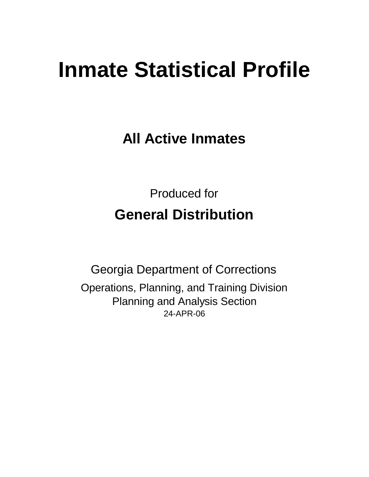# **Inmate Statistical Profile**

**All Active Inmates**

Produced for **General Distribution**

24-APR-06 Georgia Department of Corrections Operations, Planning, and Training Division Planning and Analysis Section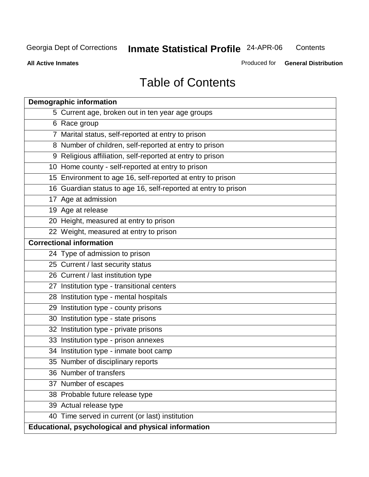**Contents** 

**All Active Inmates**

Produced for **General Distribution**

# Table of Contents

| <b>Demographic information</b>                                 |
|----------------------------------------------------------------|
| 5 Current age, broken out in ten year age groups               |
| 6 Race group                                                   |
| 7 Marital status, self-reported at entry to prison             |
| 8 Number of children, self-reported at entry to prison         |
| 9 Religious affiliation, self-reported at entry to prison      |
| 10 Home county - self-reported at entry to prison              |
| 15 Environment to age 16, self-reported at entry to prison     |
| 16 Guardian status to age 16, self-reported at entry to prison |
| 17 Age at admission                                            |
| 19 Age at release                                              |
| 20 Height, measured at entry to prison                         |
| 22 Weight, measured at entry to prison                         |
| <b>Correctional information</b>                                |
| 24 Type of admission to prison                                 |
| 25 Current / last security status                              |
| 26 Current / last institution type                             |
| 27 Institution type - transitional centers                     |
| 28 Institution type - mental hospitals                         |
| 29 Institution type - county prisons                           |
| 30 Institution type - state prisons                            |
| 32 Institution type - private prisons                          |
| 33 Institution type - prison annexes                           |
| 34 Institution type - inmate boot camp                         |
| 35 Number of disciplinary reports                              |
| 36 Number of transfers                                         |
| 37 Number of escapes                                           |
| 38 Probable future release type                                |
| 39 Actual release type                                         |
| 40 Time served in current (or last) institution                |
| Educational, psychological and physical information            |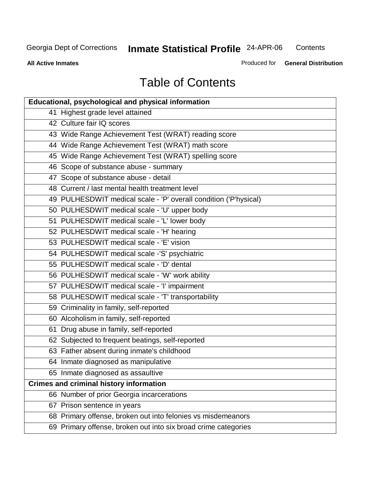**Contents** 

**All Active Inmates**

Produced for **General Distribution**

# Table of Contents

| <b>Educational, psychological and physical information</b>       |
|------------------------------------------------------------------|
| 41 Highest grade level attained                                  |
| 42 Culture fair IQ scores                                        |
| 43 Wide Range Achievement Test (WRAT) reading score              |
| 44 Wide Range Achievement Test (WRAT) math score                 |
| 45 Wide Range Achievement Test (WRAT) spelling score             |
| 46 Scope of substance abuse - summary                            |
| 47 Scope of substance abuse - detail                             |
| 48 Current / last mental health treatment level                  |
| 49 PULHESDWIT medical scale - 'P' overall condition ('P'hysical) |
| 50 PULHESDWIT medical scale - 'U' upper body                     |
| 51 PULHESDWIT medical scale - 'L' lower body                     |
| 52 PULHESDWIT medical scale - 'H' hearing                        |
| 53 PULHESDWIT medical scale - 'E' vision                         |
| 54 PULHESDWIT medical scale -'S' psychiatric                     |
| 55 PULHESDWIT medical scale - 'D' dental                         |
| 56 PULHESDWIT medical scale - 'W' work ability                   |
| 57 PULHESDWIT medical scale - 'I' impairment                     |
| 58 PULHESDWIT medical scale - 'T' transportability               |
| 59 Criminality in family, self-reported                          |
| 60 Alcoholism in family, self-reported                           |
| 61 Drug abuse in family, self-reported                           |
| 62 Subjected to frequent beatings, self-reported                 |
| 63 Father absent during inmate's childhood                       |
| 64 Inmate diagnosed as manipulative                              |
| 65 Inmate diagnosed as assaultive                                |
| <b>Crimes and criminal history information</b>                   |
| 66 Number of prior Georgia incarcerations                        |
| 67 Prison sentence in years                                      |
| 68 Primary offense, broken out into felonies vs misdemeanors     |
| 69 Primary offense, broken out into six broad crime categories   |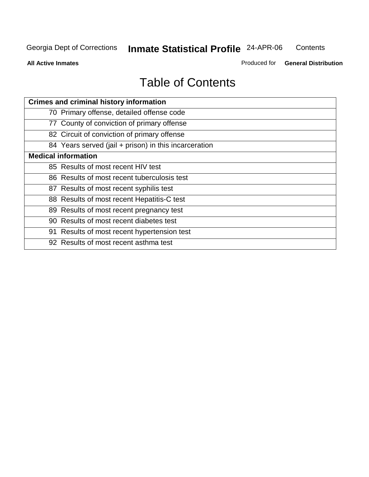**Contents** 

**All Active Inmates**

Produced for **General Distribution**

# Table of Contents

| <b>Crimes and criminal history information</b>        |
|-------------------------------------------------------|
| 70 Primary offense, detailed offense code             |
| 77 County of conviction of primary offense            |
| 82 Circuit of conviction of primary offense           |
| 84 Years served (jail + prison) in this incarceration |
| <b>Medical information</b>                            |
| 85 Results of most recent HIV test                    |
| 86 Results of most recent tuberculosis test           |
| 87 Results of most recent syphilis test               |
| 88 Results of most recent Hepatitis-C test            |
| 89 Results of most recent pregnancy test              |
| 90 Results of most recent diabetes test               |
| 91 Results of most recent hypertension test           |
| 92 Results of most recent asthma test                 |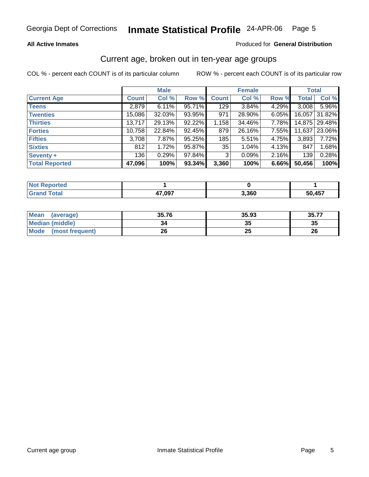#### **All Active Inmates**

#### Produced for **General Distribution**

#### Current age, broken out in ten-year age groups

|                       |              | <b>Male</b> |        |              | <b>Female</b> |       | <b>Total</b> |               |
|-----------------------|--------------|-------------|--------|--------------|---------------|-------|--------------|---------------|
| <b>Current Age</b>    | <b>Count</b> | Col %       | Row %  | <b>Count</b> | Col %         | Row % | <b>Total</b> | Col %         |
| <b>Teens</b>          | 2,879        | 6.11%       | 95.71% | 129          | 3.84%         | 4.29% | 3,008        | 5.96%         |
| <b>Twenties</b>       | 15,086       | $32.03\%$   | 93.95% | 971          | 28.90%        | 6.05% | 16,057       | 31.82%        |
| <b>Thirties</b>       | 13,717       | 29.13%      | 92.22% | 1,158        | 34.46%        | 7.78% |              | 14,875 29.48% |
| <b>Forties</b>        | 10,758       | 22.84%      | 92.45% | 879          | 26.16%        | 7.55% | 11,637       | 23.06%        |
| <b>Fifties</b>        | 3,708        | 7.87%       | 95.25% | 185          | 5.51%         | 4.75% | 3,893        | 7.72%         |
| <b>Sixties</b>        | 812          | 1.72%       | 95.87% | 35           | 1.04%         | 4.13% | 847          | 1.68%         |
| Seventy +             | 136          | 0.29%       | 97.84% | 3            | 0.09%         | 2.16% | 139          | 0.28%         |
| <b>Total Reported</b> | 47,096       | 100%        | 93.34% | 3,360        | 100%          | 6.66% | 50,456       | 100%          |

| <b>Not Reported</b> |        |       |        |
|---------------------|--------|-------|--------|
| Total               | 17 N97 | 3,360 | 50,457 |

| <b>Mean</b><br>(average) | 35.76 | 35.93    | 35.77 |
|--------------------------|-------|----------|-------|
| <b>Median (middle)</b>   | 34    | ^^<br>w  | 35    |
| Mode<br>(most frequent)  | 26    | າເ<br>δw | 26    |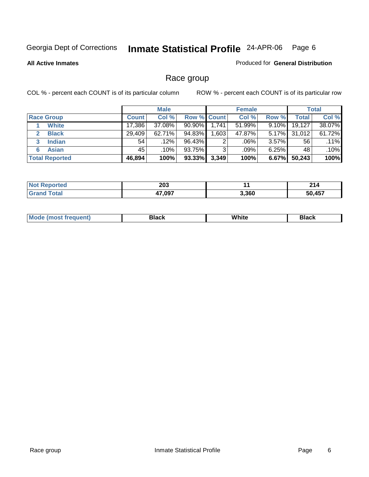#### **All Active Inmates**

#### Produced for **General Distribution**

### Race group

|                       |              | <b>Male</b> |                    |       | <b>Female</b> |          |        | <b>Total</b> |
|-----------------------|--------------|-------------|--------------------|-------|---------------|----------|--------|--------------|
| <b>Race Group</b>     | <b>Count</b> | Col %       | <b>Row % Count</b> |       | Col %         | Row %    | Total  | Col %        |
| <b>White</b>          | 17,386       | 37.08%      | $90.90\%$          | 1,741 | 51.99%        | $9.10\%$ | 19,127 | 38.07%       |
| <b>Black</b>          | 29,409       | 62.71%      | 94.83%             | .603  | 47.87%        | $5.17\%$ | 31,012 | 61.72%       |
| <b>Indian</b><br>3    | 54           | .12%        | 96.43%             | 2     | .06%          | $3.57\%$ | 56     | .11%         |
| <b>Asian</b>          | 45           | .10%        | 93.75%             | 3     | .09%          | $6.25\%$ | 48     | .10%         |
| <b>Total Reported</b> | 46,894       | 100%        | 93.33%             | 3,349 | 100%          | 6.67%    | 50,243 | 100%         |

| 203<br>__ |       | -94<br>4 I 4    |
|-----------|-------|-----------------|
| 17 007    | 3,360 | A57<br>.<br>. . |

|  | M <sub>c</sub> | Black | <br>White<br>$ -$ | והה<br>ыаск<br>___ |
|--|----------------|-------|-------------------|--------------------|
|--|----------------|-------|-------------------|--------------------|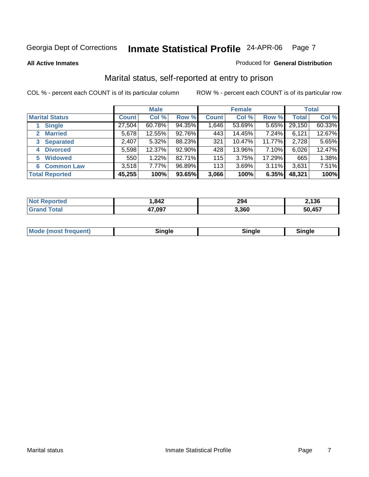**All Active Inmates**

#### Produced for **General Distribution**

### Marital status, self-reported at entry to prison

|                        |              | <b>Male</b> |        |              | <b>Female</b> |        |              | <b>Total</b> |
|------------------------|--------------|-------------|--------|--------------|---------------|--------|--------------|--------------|
| <b>Marital Status</b>  | <b>Count</b> | Col %       | Row %  | <b>Count</b> | Col %         | Row %  | <b>Total</b> | Col %        |
| <b>Single</b>          | 27,504       | 60.78%      | 94.35% | 1,646        | 53.69%        | 5.65%  | 29,150       | 60.33%       |
| <b>Married</b><br>2    | 5,678        | 12.55%      | 92.76% | 443          | 14.45%        | 7.24%  | 6,121        | 12.67%       |
| <b>Separated</b><br>3  | 2,407        | 5.32%       | 88.23% | 321          | 10.47%        | 11.77% | 2,728        | 5.65%        |
| <b>Divorced</b><br>4   | 5,598        | 12.37%      | 92.90% | 428          | 13.96%        | 7.10%  | 6,026        | 12.47%       |
| <b>Widowed</b><br>5    | 550          | 1.22%       | 82.71% | 115          | 3.75%         | 17.29% | 665          | 1.38%        |
| <b>Common Law</b><br>6 | 3,518        | 7.77%       | 96.89% | 113          | 3.69%         | 3.11%  | 3,631        | 7.51%        |
| <b>Total Reported</b>  | 45,255       | 100%        | 93.65% | 3,066        | 100%          | 6.35%  | 48,321       | 100%         |

| NO              | ,842   | 294   | .136        |
|-----------------|--------|-------|-------------|
| $\sim$ 4 $\sim$ | 17 NQZ | 3.360 | ,457<br>50. |

|  | <b>Mode</b><br><i>i</i> requent)<br>mose | .<br>naie | ™ale ∶ | $- \cdot \cdot$ |
|--|------------------------------------------|-----------|--------|-----------------|
|--|------------------------------------------|-----------|--------|-----------------|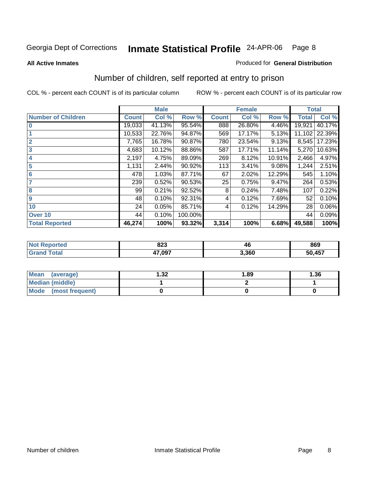**All Active Inmates**

#### Produced for **General Distribution**

### Number of children, self reported at entry to prison

|                           |              | <b>Male</b> |         |              | <b>Female</b> |          | <b>Total</b> |        |
|---------------------------|--------------|-------------|---------|--------------|---------------|----------|--------------|--------|
| <b>Number of Children</b> | <b>Count</b> | Col %       | Row %   | <b>Count</b> | Col %         | Row %    | <b>Total</b> | Col %  |
| 10                        | 19,033       | 41.13%      | 95.54%  | 888          | 26.80%        | 4.46%    | 19,921       | 40.17% |
|                           | 10,533       | 22.76%      | 94.87%  | 569          | 17.17%        | 5.13%    | 11,102       | 22.39% |
| $\overline{2}$            | 7,765        | 16.78%      | 90.87%  | 780          | 23.54%        | 9.13%    | 8,545        | 17.23% |
| $\overline{\mathbf{3}}$   | 4,683        | 10.12%      | 88.86%  | 587          | 17.71%        | 11.14%   | 5,270        | 10.63% |
| 4                         | 2,197        | 4.75%       | 89.09%  | 269          | 8.12%         | 10.91%   | 2,466        | 4.97%  |
| 5                         | 1,131        | 2.44%       | 90.92%  | 113          | 3.41%         | 9.08%    | 1,244        | 2.51%  |
| $6\phantom{a}6$           | 478          | 1.03%       | 87.71%  | 67           | 2.02%         | 12.29%   | 545          | 1.10%  |
| 7                         | 239          | 0.52%       | 90.53%  | 25           | 0.75%         | $9.47\%$ | 264          | 0.53%  |
| 8                         | 99           | 0.21%       | 92.52%  | 8            | 0.24%         | 7.48%    | 107          | 0.22%  |
| 9                         | 48           | 0.10%       | 92.31%  | 4            | 0.12%         | 7.69%    | 52           | 0.10%  |
| 10                        | 24           | 0.05%       | 85.71%  | 4            | 0.12%         | 14.29%   | 28           | 0.06%  |
| Over 10                   | 44           | 0.10%       | 100.00% |              |               |          | 44           | 0.09%  |
| <b>Total Reported</b>     | 46,274       | 100%        | 93.32%  | 3,314        | 100%          | 6.68%    | 49,588       | 100%   |

| nnn<br>ozo    | - 7  | 869         |
|---------------|------|-------------|
| 17 NQ7<br>. . | .360 | J.457<br>50 |

| <b>Mean</b><br>(average) | l.32 | 1.89 | . 36 |
|--------------------------|------|------|------|
| <b>Median (middle)</b>   |      |      |      |
| Mode<br>(most frequent)  |      |      |      |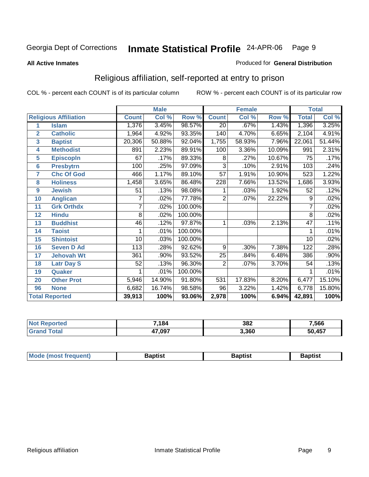#### **All Active Inmates**

#### Produced for **General Distribution**

### Religious affiliation, self-reported at entry to prison

|                       |                              | <b>Male</b>  |        | <b>Female</b> |                  |        | <b>Total</b> |                 |        |
|-----------------------|------------------------------|--------------|--------|---------------|------------------|--------|--------------|-----------------|--------|
|                       | <b>Religious Affiliation</b> | <b>Count</b> | Col %  | Row %         | <b>Count</b>     | Col %  | Row %        | <b>Total</b>    | Col %  |
| 1                     | <b>Islam</b>                 | 1,376        | 3.45%  | 98.57%        | $\overline{20}$  | .67%   | 1.43%        | 1,396           | 3.25%  |
| $\overline{2}$        | <b>Catholic</b>              | 1,964        | 4.92%  | 93.35%        | 140              | 4.70%  | 6.65%        | 2,104           | 4.91%  |
| 3                     | <b>Baptist</b>               | 20,306       | 50.88% | 92.04%        | 1,755            | 58.93% | 7.96%        | 22,061          | 51.44% |
| 4                     | <b>Methodist</b>             | 891          | 2.23%  | 89.91%        | 100              | 3.36%  | 10.09%       | 991             | 2.31%  |
| 5                     | <b>EpiscopIn</b>             | 67           | .17%   | 89.33%        | 8                | .27%   | 10.67%       | 75              | .17%   |
| $6\phantom{1}6$       | <b>Presbytrn</b>             | 100          | .25%   | 97.09%        | 3                | .10%   | 2.91%        | 103             | .24%   |
| 7                     | <b>Chc Of God</b>            | 466          | 1.17%  | 89.10%        | $\overline{57}$  | 1.91%  | 10.90%       | 523             | 1.22%  |
| 8                     | <b>Holiness</b>              | 1,458        | 3.65%  | 86.48%        | $\overline{228}$ | 7.66%  | 13.52%       | 1,686           | 3.93%  |
| $\boldsymbol{9}$      | <b>Jewish</b>                | 51           | .13%   | 98.08%        | 1                | .03%   | 1.92%        | 52              | .12%   |
| 10                    | <b>Anglican</b>              | 7            | .02%   | 77.78%        | $\overline{2}$   | .07%   | 22.22%       | 9               | .02%   |
| 11                    | <b>Grk Orthdx</b>            | 7            | .02%   | 100.00%       |                  |        |              | 7               | .02%   |
| 12                    | <b>Hindu</b>                 | 8            | .02%   | 100.00%       |                  |        |              | $\overline{8}$  | .02%   |
| 13                    | <b>Buddhist</b>              | 46           | .12%   | 97.87%        | 1                | .03%   | 2.13%        | $\overline{47}$ | .11%   |
| 14                    | <b>Taoist</b>                |              | .01%   | 100.00%       |                  |        |              |                 | .01%   |
| 15                    | <b>Shintoist</b>             | 10           | .03%   | 100.00%       |                  |        |              | 10              | .02%   |
| 16                    | <b>Seven D Ad</b>            | 113          | .28%   | 92.62%        | 9                | .30%   | 7.38%        | 122             | .28%   |
| 17                    | <b>Jehovah Wt</b>            | 361          | .90%   | 93.52%        | 25               | .84%   | 6.48%        | 386             | .90%   |
| 18                    | <b>Latr Day S</b>            | 52           | .13%   | 96.30%        | $\overline{2}$   | .07%   | 3.70%        | 54              | .13%   |
| 19                    | Quaker                       |              | .01%   | 100.00%       |                  |        |              |                 | .01%   |
| 20                    | <b>Other Prot</b>            | 5,946        | 14.90% | 91.80%        | $\overline{531}$ | 17.83% | 8.20%        | 6,477           | 15.10% |
| 96                    | <b>None</b>                  | 6,682        | 16.74% | 98.58%        | 96               | 3.22%  | 1.42%        | 6,778           | 15.80% |
| <b>Total Reported</b> |                              | 39,913       | 100%   | 93.06%        | 2,978            | 100%   | 6.94%        | 42,891          | 100%   |

| <b>NO1</b><br><b>TEG</b> | 7,184  | 382   | 7,566      |
|--------------------------|--------|-------|------------|
|                          | 47,097 | 3.360 | ,457<br>50 |

| <b>Mode</b><br>frequent)<br>TIMOST | Baptist | Baptist | <b>laptist</b> |
|------------------------------------|---------|---------|----------------|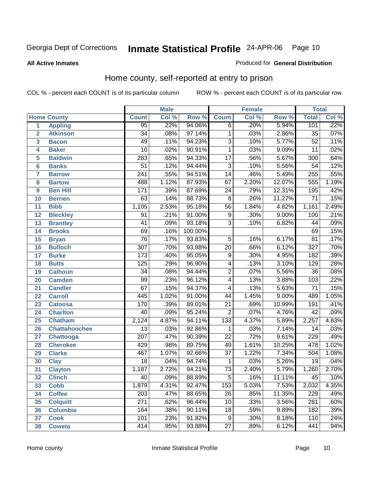#### **All Active Inmates**

#### Produced for **General Distribution**

### Home county, self-reported at entry to prison

|                  |                      | <b>Male</b>      |       |         | <b>Female</b>   |       |        | <b>Total</b>     |       |
|------------------|----------------------|------------------|-------|---------|-----------------|-------|--------|------------------|-------|
|                  | <b>Home County</b>   | <b>Count</b>     | Col % | Row %   | <b>Count</b>    | Col % | Row %  | <b>Total</b>     | Col % |
| 1                | <b>Appling</b>       | 95               | .22%  | 94.06%  | $\overline{6}$  | .20%  | 5.94%  | 101              | .22%  |
| $\overline{2}$   | <b>Atkinson</b>      | $\overline{34}$  | .08%  | 97.14%  | 1               | .03%  | 2.86%  | $\overline{35}$  | .07%  |
| 3                | <b>Bacon</b>         | 49               | .11%  | 94.23%  | $\overline{3}$  | .10%  | 5.77%  | $\overline{52}$  | .11%  |
| 4                | <b>Baker</b>         | $\overline{10}$  | .02%  | 90.91%  | 1               | .03%  | 9.09%  | $\overline{11}$  | .02%  |
| 5                | <b>Baldwin</b>       | 283              | .65%  | 94.33%  | $\overline{17}$ | .56%  | 5.67%  | $\overline{300}$ | .64%  |
| $6\phantom{1}6$  | <b>Banks</b>         | $\overline{51}$  | .12%  | 94.44%  | $\overline{3}$  | .10%  | 5.56%  | $\overline{54}$  | .12%  |
| 7                | <b>Barrow</b>        | $\overline{241}$ | .55%  | 94.51%  | $\overline{14}$ | .46%  | 5.49%  | 255              | .55%  |
| 8                | <b>Bartow</b>        | 488              | 1.12% | 87.93%  | 67              | 2.20% | 12.07% | 555              | 1.19% |
| $\boldsymbol{9}$ | <b>Ben Hill</b>      | 171              | .39%  | 87.69%  | $\overline{24}$ | .79%  | 12.31% | 195              | .42%  |
| 10               | <b>Berrien</b>       | 63               | .14%  | 88.73%  | $\overline{8}$  | .26%  | 11.27% | $\overline{71}$  | .15%  |
| 11               | <b>Bibb</b>          | 1,105            | 2.53% | 95.18%  | $\overline{56}$ | 1.84% | 4.82%  | 1,161            | 2.49% |
| 12               | <b>Bleckley</b>      | $\overline{91}$  | .21%  | 91.00%  | $\overline{9}$  | .30%  | 9.00%  | 100              | .21%  |
| 13               | <b>Brantley</b>      | $\overline{41}$  | .09%  | 93.18%  | $\overline{3}$  | .10%  | 6.82%  | $\overline{44}$  | .09%  |
| 14               | <b>Brooks</b>        | 69               | .16%  | 100.00% |                 |       |        | 69               | .15%  |
| 15               | <b>Bryan</b>         | $\overline{76}$  | .17%  | 93.83%  | $\overline{5}$  | .16%  | 6.17%  | $\overline{81}$  | .17%  |
| 16               | <b>Bulloch</b>       | $\overline{307}$ | .70%  | 93.88%  | $\overline{20}$ | .66%  | 6.12%  | $\overline{327}$ | .70%  |
| $\overline{17}$  | <b>Burke</b>         | 173              | .40%  | 95.05%  | $\overline{9}$  | .30%  | 4.95%  | 182              | .39%  |
| 18               | <b>Butts</b>         | 125              | .29%  | 96.90%  | $\overline{4}$  | .13%  | 3.10%  | $\overline{129}$ | .28%  |
| 19               | <b>Calhoun</b>       | $\overline{34}$  | .08%  | 94.44%  | $\overline{2}$  | .07%  | 5.56%  | $\overline{36}$  | .08%  |
| 20               | <b>Camden</b>        | $\overline{99}$  | .23%  | 96.12%  | $\overline{4}$  | .13%  | 3.88%  | 103              | .22%  |
| $\overline{21}$  | <b>Candler</b>       | $\overline{67}$  | .15%  | 94.37%  | $\overline{4}$  | .13%  | 5.63%  | $\overline{71}$  | .15%  |
| 22               | <b>Carroll</b>       | 445              | 1.02% | 91.00%  | $\overline{44}$ | 1.45% | 9.00%  | 489              | 1.05% |
| 23               | <b>Catoosa</b>       | 170              | .39%  | 89.01%  | $\overline{21}$ | .69%  | 10.99% | 191              | .41%  |
| 24               | <b>Charlton</b>      | $\overline{40}$  | .09%  | 95.24%  | $\overline{2}$  | .07%  | 4.76%  | $\overline{42}$  | .09%  |
| 25               | <b>Chatham</b>       | 2,124            | 4.87% | 94.11%  | 133             | 4.37% | 5.89%  | 2,257            | 4.83% |
| 26               | <b>Chattahoochee</b> | $\overline{13}$  | .03%  | 92.86%  | 1               | .03%  | 7.14%  | 14               | .03%  |
| 27               | Chattooga            | $\overline{207}$ | .47%  | 90.39%  | $\overline{22}$ | .72%  | 9.61%  | $\overline{229}$ | .49%  |
| 28               | <b>Cherokee</b>      | 429              | .98%  | 89.75%  | 49              | 1.61% | 10.25% | 478              | 1.02% |
| 29               | <b>Clarke</b>        | 467              | 1.07% | 92.66%  | $\overline{37}$ | 1.22% | 7.34%  | 504              | 1.08% |
| 30               | <b>Clay</b>          | $\overline{18}$  | .04%  | 94.74%  | $\mathbf 1$     | .03%  | 5.26%  | $\overline{19}$  | .04%  |
| 31               | <b>Clayton</b>       | 1,187            | 2.72% | 94.21%  | $\overline{73}$ | 2.40% | 5.79%  | 1,260            | 2.70% |
| 32               | <b>Clinch</b>        | 40               | .09%  | 88.89%  | 5               | .16%  | 11.11% | 45               | .10%  |
| 33               | <b>Cobb</b>          | 1,879            | 4.31% | 92.47%  | 153             | 5.03% | 7.53%  | 2,032            | 4.35% |
| 34               | <b>Coffee</b>        | $\overline{203}$ | .47%  | 88.65%  | 26              | .85%  | 11.35% | 229              | .49%  |
| 35               | <b>Colquitt</b>      | $\overline{271}$ | .62%  | 96.44%  | 10              | .33%  | 3.56%  | 281              | .60%  |
| 36               | <b>Columbia</b>      | 164              | .38%  | 90.11%  | 18              | .59%  | 9.89%  | 182              | .39%  |
| 37               | <b>Cook</b>          | 101              | .23%  | 91.82%  | $\overline{9}$  | .30%  | 8.18%  | 110              | .24%  |
| 38               | <b>Coweta</b>        | 414              | .95%  | 93.88%  | $\overline{27}$ | .89%  | 6.12%  | 441              | .94%  |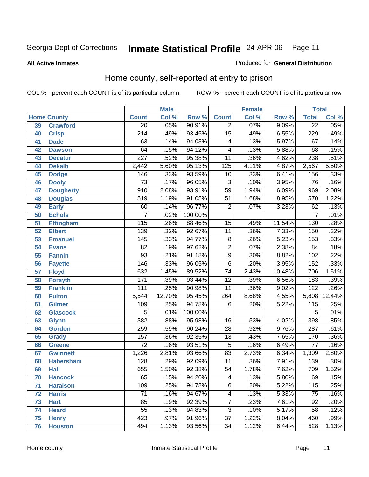Produced for **General Distribution**

#### **All Active Inmates**

### Home county, self-reported at entry to prison

|    |                    | <b>Male</b>      |        | <b>Female</b> |                          |       | <b>Total</b> |                  |        |
|----|--------------------|------------------|--------|---------------|--------------------------|-------|--------------|------------------|--------|
|    | <b>Home County</b> | <b>Count</b>     | Col %  | Row %         | <b>Count</b>             | Col % | Row %        | <b>Total</b>     | Col %  |
| 39 | <b>Crawford</b>    | $\overline{20}$  | .05%   | 90.91%        | $\overline{2}$           | .07%  | 9.09%        | $\overline{22}$  | .05%   |
| 40 | <b>Crisp</b>       | $\overline{214}$ | .49%   | 93.45%        | $\overline{15}$          | .49%  | 6.55%        | 229              | .49%   |
| 41 | <b>Dade</b>        | $\overline{63}$  | .14%   | 94.03%        | 4                        | .13%  | 5.97%        | $\overline{67}$  | .14%   |
| 42 | <b>Dawson</b>      | 64               | .15%   | 94.12%        | 4                        | .13%  | 5.88%        | 68               | .15%   |
| 43 | <b>Decatur</b>     | $\overline{227}$ | .52%   | 95.38%        | $\overline{11}$          | .36%  | 4.62%        | 238              | .51%   |
| 44 | <b>Dekalb</b>      | 2,442            | 5.60%  | 95.13%        | $\overline{125}$         | 4.11% | 4.87%        | 2,567            | 5.50%  |
| 45 | <b>Dodge</b>       | 146              | .33%   | 93.59%        | 10                       | .33%  | 6.41%        | 156              | .33%   |
| 46 | <b>Dooly</b>       | $\overline{73}$  | .17%   | 96.05%        | $\overline{3}$           | .10%  | 3.95%        | $\overline{76}$  | .16%   |
| 47 | <b>Dougherty</b>   | $\overline{910}$ | 2.08%  | 93.91%        | $\overline{59}$          | 1.94% | 6.09%        | 969              | 2.08%  |
| 48 | <b>Douglas</b>     | $\overline{519}$ | 1.19%  | 91.05%        | $\overline{51}$          | 1.68% | 8.95%        | 570              | 1.22%  |
| 49 | <b>Early</b>       | 60               | .14%   | 96.77%        | $\overline{2}$           | .07%  | 3.23%        | 62               | .13%   |
| 50 | <b>Echols</b>      | 7                | .02%   | 100.00%       |                          |       |              | 7                | .01%   |
| 51 | <b>Effingham</b>   | $\overline{115}$ | .26%   | 88.46%        | $\overline{15}$          | .49%  | 11.54%       | 130              | .28%   |
| 52 | <b>Elbert</b>      | 139              | .32%   | 92.67%        | $\overline{11}$          | .36%  | 7.33%        | 150              | .32%   |
| 53 | <b>Emanuel</b>     | 145              | .33%   | 94.77%        | 8                        | .26%  | 5.23%        | 153              | .33%   |
| 54 | <b>Evans</b>       | $\overline{82}$  | .19%   | 97.62%        | $\overline{2}$           | .07%  | 2.38%        | $\overline{84}$  | .18%   |
| 55 | <b>Fannin</b>      | $\overline{93}$  | .21%   | 91.18%        | $\overline{9}$           | .30%  | 8.82%        | 102              | .22%   |
| 56 | <b>Fayette</b>     | 146              | .33%   | 96.05%        | $\overline{6}$           | .20%  | 3.95%        | 152              | .33%   |
| 57 | <b>Floyd</b>       | 632              | 1.45%  | 89.52%        | $\overline{74}$          | 2.43% | 10.48%       | 706              | 1.51%  |
| 58 | <b>Forsyth</b>     | 171              | .39%   | 93.44%        | $\overline{12}$          | .39%  | 6.56%        | 183              | .39%   |
| 59 | <b>Franklin</b>    | 111              | .25%   | 90.98%        | $\overline{11}$          | .36%  | 9.02%        | $\overline{122}$ | .26%   |
| 60 | <b>Fulton</b>      | 5,544            | 12.70% | 95.45%        | 264                      | 8.68% | 4.55%        | 5,808            | 12.44% |
| 61 | <b>Gilmer</b>      | 109              | .25%   | 94.78%        | $\overline{6}$           | .20%  | 5.22%        | 115              | .25%   |
| 62 | <b>Glascock</b>    | $\overline{5}$   | .01%   | 100.00%       |                          |       |              | 5                | .01%   |
| 63 | <b>Glynn</b>       | $\overline{382}$ | .88%   | 95.98%        | $\overline{16}$          | .53%  | 4.02%        | 398              | .85%   |
| 64 | <b>Gordon</b>      | 259              | .59%   | 90.24%        | $\overline{28}$          | .92%  | 9.76%        | 287              | .61%   |
| 65 | <b>Grady</b>       | 157              | .36%   | 92.35%        | $\overline{13}$          | .43%  | 7.65%        | 170              | .36%   |
| 66 | <b>Greene</b>      | $\overline{72}$  | .16%   | 93.51%        | $\overline{5}$           | .16%  | 6.49%        | $\overline{77}$  | .16%   |
| 67 | <b>Gwinnett</b>    | 1,226            | 2.81%  | 93.66%        | $\overline{83}$          | 2.73% | 6.34%        | 1,309            | 2.80%  |
| 68 | <b>Habersham</b>   | 128              | .29%   | 92.09%        | $\overline{11}$          | .36%  | 7.91%        | 139              | .30%   |
| 69 | <b>Hall</b>        | 655              | 1.50%  | 92.38%        | $\overline{54}$          | 1.78% | 7.62%        | 709              | 1.52%  |
| 70 | <b>Hancock</b>     | 65               | .15%   | 94.20%        | $\overline{\mathbf{4}}$  | .13%  | 5.80%        | 69               | .15%   |
| 71 | <b>Haralson</b>    | 109              | .25%   | 94.78%        | $\overline{6}$           | .20%  | 5.22%        | 115              | .25%   |
| 72 | <b>Harris</b>      | $\overline{71}$  | .16%   | 94.67%        | $\overline{\mathcal{A}}$ | .13%  | 5.33%        | 75               | .16%   |
| 73 | <b>Hart</b>        | 85               | .19%   | 92.39%        | 7                        | .23%  | 7.61%        | $\overline{92}$  | .20%   |
| 74 | <b>Heard</b>       | $\overline{55}$  | .13%   | 94.83%        | $\overline{3}$           | .10%  | 5.17%        | $\overline{58}$  | .12%   |
| 75 | <b>Henry</b>       | $\overline{423}$ | .97%   | 91.96%        | $\overline{37}$          | 1.22% | 8.04%        | 460              | .99%   |
| 76 | <b>Houston</b>     | 494              | 1.13%  | 93.56%        | $\overline{34}$          | 1.12% | 6.44%        | 528              | 1.13%  |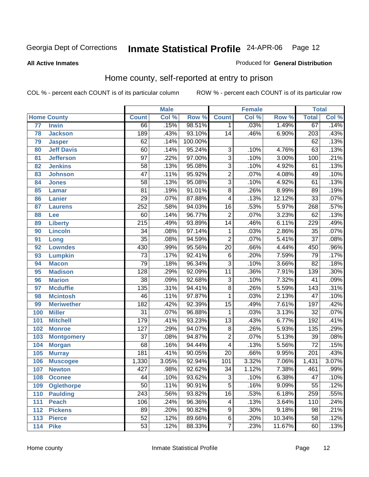#### **All Active Inmates**

#### Produced for **General Distribution**

### Home county, self-reported at entry to prison

|       |                    | <b>Male</b>      |       |         | <b>Female</b>   |       |        | <b>Total</b>     |       |
|-------|--------------------|------------------|-------|---------|-----------------|-------|--------|------------------|-------|
|       | <b>Home County</b> | <b>Count</b>     | Col % | Row %   | <b>Count</b>    | Col % | Row %  | <b>Total</b>     | Col % |
| 77    | <b>Irwin</b>       | 66               | .15%  | 98.51%  | $\mathbf 1$     | .03%  | 1.49%  | 67               | .14%  |
| 78    | <b>Jackson</b>     | 189              | .43%  | 93.10%  | $\overline{14}$ | .46%  | 6.90%  | $\overline{203}$ | .43%  |
| 79    | <b>Jasper</b>      | 62               | .14%  | 100.00% |                 |       |        | 62               | .13%  |
| 80    | <b>Jeff Davis</b>  | 60               | .14%  | 95.24%  | $\overline{3}$  | .10%  | 4.76%  | 63               | .13%  |
| 81    | <b>Jefferson</b>   | $\overline{97}$  | .22%  | 97.00%  | $\overline{3}$  | .10%  | 3.00%  | 100              | .21%  |
| 82    | <b>Jenkins</b>     | $\overline{58}$  | .13%  | 95.08%  | $\overline{3}$  | .10%  | 4.92%  | 61               | .13%  |
| 83    | <b>Johnson</b>     | $\overline{47}$  | .11%  | 95.92%  | $\overline{2}$  | .07%  | 4.08%  | 49               | .10%  |
| 84    | <b>Jones</b>       | $\overline{58}$  | .13%  | 95.08%  | $\overline{3}$  | .10%  | 4.92%  | 61               | .13%  |
| 85    | <b>Lamar</b>       | $\overline{81}$  | .19%  | 91.01%  | $\overline{8}$  | .26%  | 8.99%  | 89               | .19%  |
| 86    | <b>Lanier</b>      | $\overline{29}$  | .07%  | 87.88%  | 4               | .13%  | 12.12% | $\overline{33}$  | .07%  |
| 87    | <b>Laurens</b>     | $\overline{252}$ | .58%  | 94.03%  | $\overline{16}$ | .53%  | 5.97%  | 268              | .57%  |
| 88    | Lee                | 60               | .14%  | 96.77%  | $\overline{2}$  | .07%  | 3.23%  | 62               | .13%  |
| 89    | <b>Liberty</b>     | $\overline{215}$ | .49%  | 93.89%  | $\overline{14}$ | .46%  | 6.11%  | $\overline{229}$ | .49%  |
| 90    | <b>Lincoln</b>     | $\overline{34}$  | .08%  | 97.14%  | 1               | .03%  | 2.86%  | $\overline{35}$  | .07%  |
| 91    | Long               | $\overline{35}$  | .08%  | 94.59%  | $\overline{2}$  | .07%  | 5.41%  | $\overline{37}$  | .08%  |
| 92    | <b>Lowndes</b>     | 430              | .99%  | 95.56%  | $\overline{20}$ | .66%  | 4.44%  | 450              | .96%  |
| 93    | <b>Lumpkin</b>     | $\overline{73}$  | .17%  | 92.41%  | $\overline{6}$  | .20%  | 7.59%  | $\overline{79}$  | .17%  |
| 94    | <b>Macon</b>       | $\overline{79}$  | .18%  | 96.34%  | $\overline{3}$  | .10%  | 3.66%  | $\overline{82}$  | .18%  |
| 95    | <b>Madison</b>     | 128              | .29%  | 92.09%  | $\overline{11}$ | .36%  | 7.91%  | 139              | .30%  |
| 96    | <b>Marion</b>      | $\overline{38}$  | .09%  | 92.68%  | $\overline{3}$  | .10%  | 7.32%  | 41               | .09%  |
| 97    | <b>Mcduffie</b>    | 135              | .31%  | 94.41%  | $\overline{8}$  | .26%  | 5.59%  | $\overline{143}$ | .31%  |
| 98    | <b>Mcintosh</b>    | $\overline{46}$  | .11%  | 97.87%  | 1               | .03%  | 2.13%  | $\overline{47}$  | .10%  |
| 99    | <b>Meriwether</b>  | $\overline{182}$ | .42%  | 92.39%  | $\overline{15}$ | .49%  | 7.61%  | 197              | .42%  |
| 100   | <b>Miller</b>      | $\overline{31}$  | .07%  | 96.88%  | 1               | .03%  | 3.13%  | $\overline{32}$  | .07%  |
| 101   | <b>Mitchell</b>    | 179              | .41%  | 93.23%  | $\overline{13}$ | .43%  | 6.77%  | $\overline{192}$ | .41%  |
| $102$ | <b>Monroe</b>      | $\overline{127}$ | .29%  | 94.07%  | $\overline{8}$  | .26%  | 5.93%  | 135              | .29%  |
| 103   | <b>Montgomery</b>  | $\overline{37}$  | .08%  | 94.87%  | $\overline{2}$  | .07%  | 5.13%  | $\overline{39}$  | .08%  |
| 104   | <b>Morgan</b>      | 68               | .16%  | 94.44%  | 4               | .13%  | 5.56%  | $\overline{72}$  | .15%  |
| 105   | <b>Murray</b>      | $\overline{181}$ | .41%  | 90.05%  | $\overline{20}$ | .66%  | 9.95%  | $\overline{201}$ | .43%  |
| 106   | <b>Muscogee</b>    | 1,330            | 3.05% | 92.94%  | 101             | 3.32% | 7.06%  | 1,431            | 3.07% |
| 107   | <b>Newton</b>      | 427              | .98%  | 92.62%  | $\overline{34}$ | 1.12% | 7.38%  | 461              | .99%  |
| 108   | <b>Oconee</b>      | 44               | .10%  | 93.62%  | 3               | .10%  | 6.38%  | 47               | .10%  |
| 109   | <b>Oglethorpe</b>  | $\overline{50}$  | .11%  | 90.91%  | $\overline{5}$  | .16%  | 9.09%  | $\overline{55}$  | .12%  |
| 110   | <b>Paulding</b>    | $\sqrt{243}$     | .56%  | 93.82%  | $\overline{16}$ | .53%  | 6.18%  | 259              | .55%  |
| 111   | <b>Peach</b>       | 106              | .24%  | 96.36%  | 4               | .13%  | 3.64%  | 110              | .24%  |
| 112   | <b>Pickens</b>     | 89               | .20%  | 90.82%  | 9               | .30%  | 9.18%  | 98               | .21%  |
| 113   | <b>Pierce</b>      | $\overline{52}$  | .12%  | 89.66%  | $\overline{6}$  | .20%  | 10.34% | $\overline{58}$  | .12%  |
| $114$ | <b>Pike</b>        | $\overline{53}$  | .12%  | 88.33%  | $\overline{7}$  | .23%  | 11.67% | 60               | .13%  |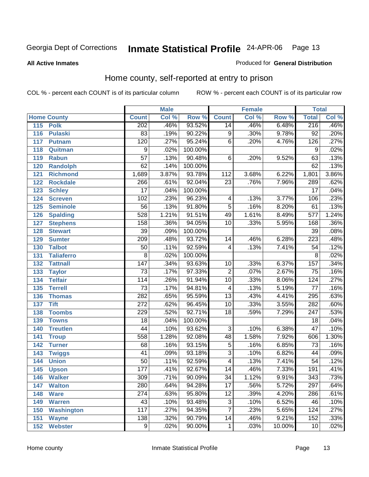#### **All Active Inmates**

#### Produced for **General Distribution**

### Home county, self-reported at entry to prison

|     |                    |                  | <b>Male</b> |         |                 | <b>Female</b> |        | <b>Total</b>     |       |
|-----|--------------------|------------------|-------------|---------|-----------------|---------------|--------|------------------|-------|
|     | <b>Home County</b> | <b>Count</b>     | Col %       | Row %   | <b>Count</b>    | Col %         | Row %  | <b>Total</b>     | Col % |
| 115 | <b>Polk</b>        | 202              | .46%        | 93.52%  | 14              | .46%          | 6.48%  | 216              | .46%  |
| 116 | <b>Pulaski</b>     | 83               | .19%        | 90.22%  | 9               | .30%          | 9.78%  | $\overline{92}$  | .20%  |
| 117 | <b>Putnam</b>      | 120              | .27%        | 95.24%  | $\overline{6}$  | .20%          | 4.76%  | 126              | .27%  |
| 118 | Quitman            | 9                | .02%        | 100.00% |                 |               |        | 9                | .02%  |
| 119 | <b>Rabun</b>       | $\overline{57}$  | .13%        | 90.48%  | $\overline{6}$  | .20%          | 9.52%  | $\overline{63}$  | .13%  |
| 120 | <b>Randolph</b>    | 62               | .14%        | 100.00% |                 |               |        | 62               | .13%  |
| 121 | <b>Richmond</b>    | 1,689            | 3.87%       | 93.78%  | 112             | 3.68%         | 6.22%  | 1,801            | 3.86% |
| 122 | <b>Rockdale</b>    | 266              | .61%        | 92.04%  | 23              | .76%          | 7.96%  | 289              | .62%  |
| 123 | <b>Schley</b>      | $\overline{17}$  | .04%        | 100.00% |                 |               |        | $\overline{17}$  | .04%  |
| 124 | <b>Screven</b>     | 102              | .23%        | 96.23%  | 4               | .13%          | 3.77%  | 106              | .23%  |
| 125 | <b>Seminole</b>    | $\overline{56}$  | .13%        | 91.80%  | $\overline{5}$  | .16%          | 8.20%  | 61               | .13%  |
| 126 | <b>Spalding</b>    | 528              | 1.21%       | 91.51%  | 49              | 1.61%         | 8.49%  | 577              | 1.24% |
| 127 | <b>Stephens</b>    | 158              | .36%        | 94.05%  | $\overline{10}$ | .33%          | 5.95%  | 168              | .36%  |
| 128 | <b>Stewart</b>     | $\overline{39}$  | .09%        | 100.00% |                 |               |        | 39               | .08%  |
| 129 | <b>Sumter</b>      | $\overline{209}$ | .48%        | 93.72%  | 14              | .46%          | 6.28%  | $\overline{223}$ | .48%  |
| 130 | <b>Talbot</b>      | 50               | .11%        | 92.59%  | 4               | .13%          | 7.41%  | 54               | .12%  |
| 131 | <b>Taliaferro</b>  | $\overline{8}$   | .02%        | 100.00% |                 |               |        | $\overline{8}$   | .02%  |
| 132 | <b>Tattnall</b>    | $\overline{147}$ | .34%        | 93.63%  | 10              | .33%          | 6.37%  | 157              | .34%  |
| 133 | <b>Taylor</b>      | $\overline{73}$  | .17%        | 97.33%  | $\overline{2}$  | .07%          | 2.67%  | $\overline{75}$  | .16%  |
| 134 | <b>Telfair</b>     | 114              | .26%        | 91.94%  | 10              | .33%          | 8.06%  | 124              | .27%  |
| 135 | <b>Terrell</b>     | $\overline{73}$  | .17%        | 94.81%  | $\overline{4}$  | .13%          | 5.19%  | $\overline{77}$  | .16%  |
| 136 | <b>Thomas</b>      | 282              | .65%        | 95.59%  | $\overline{13}$ | .43%          | 4.41%  | 295              | .63%  |
| 137 | <b>Tift</b>        | $\overline{272}$ | .62%        | 96.45%  | 10              | .33%          | 3.55%  | 282              | .60%  |
| 138 | <b>Toombs</b>      | $\overline{229}$ | .52%        | 92.71%  | 18              | .59%          | 7.29%  | $\overline{247}$ | .53%  |
| 139 | <b>Towns</b>       | $\overline{18}$  | .04%        | 100.00% |                 |               |        | $\overline{18}$  | .04%  |
| 140 | <b>Treutlen</b>    | 44               | .10%        | 93.62%  | $\overline{3}$  | .10%          | 6.38%  | $\overline{47}$  | .10%  |
| 141 | <b>Troup</b>       | 558              | 1.28%       | 92.08%  | 48              | 1.58%         | 7.92%  | 606              | 1.30% |
| 142 | <b>Turner</b>      | 68               | .16%        | 93.15%  | 5               | .16%          | 6.85%  | $\overline{73}$  | .16%  |
| 143 | <b>Twiggs</b>      | $\overline{41}$  | .09%        | 93.18%  | $\overline{3}$  | .10%          | 6.82%  | 44               | .09%  |
| 144 | <b>Union</b>       | $\overline{50}$  | .11%        | 92.59%  | 4               | .13%          | 7.41%  | $\overline{54}$  | .12%  |
| 145 | <b>Upson</b>       | 177              | .41%        | 92.67%  | $\overline{14}$ | .46%          | 7.33%  | 191              | .41%  |
| 146 | <b>Walker</b>      | 309              | .71%        | 90.09%  | 34              | 1.12%         | 9.91%  | 343              | .73%  |
| 147 | <b>Walton</b>      | 280              | .64%        | 94.28%  | $\overline{17}$ | .56%          | 5.72%  | $\overline{297}$ | .64%  |
| 148 | <b>Ware</b>        | 274              | .63%        | 95.80%  | 12              | .39%          | 4.20%  | 286              | .61%  |
| 149 | <b>Warren</b>      | 43               | .10%        | 93.48%  | $\overline{3}$  | .10%          | 6.52%  | 46               | .10%  |
| 150 | <b>Washington</b>  | 117              | .27%        | 94.35%  | 7               | .23%          | 5.65%  | 124              | .27%  |
| 151 | <b>Wayne</b>       | 138              | .32%        | 90.79%  | $\overline{14}$ | .46%          | 9.21%  | 152              | .33%  |
| 152 | <b>Webster</b>     | 9                | .02%        | 90.00%  | $\mathbf{1}$    | .03%          | 10.00% | 10               | .02%  |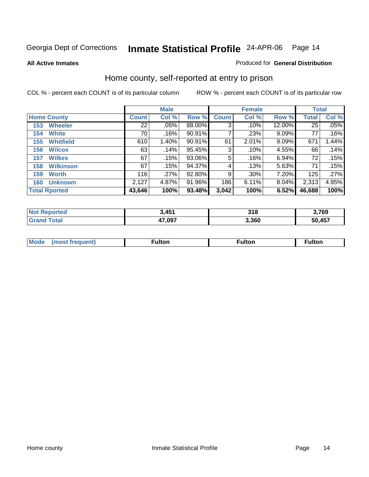**All Active Inmates**

#### Produced for **General Distribution**

### Home county, self-reported at entry to prison

|     |                      |                 | <b>Male</b> |        |              | <b>Female</b> |          | <b>Total</b> |       |
|-----|----------------------|-----------------|-------------|--------|--------------|---------------|----------|--------------|-------|
|     | <b>Home County</b>   | <b>Count</b>    | Col %       | Row %  | <b>Count</b> | Col %         | Row %    | <b>Total</b> | Col % |
| 153 | <b>Wheeler</b>       | 22 <sub>1</sub> | .05%        | 88.00% | 3            | .10%          | 12.00%   | 25           | .05%  |
| 154 | <b>White</b>         | 70              | .16%        | 90.91% |              | .23%          | 9.09%    | 77           | .16%  |
| 155 | <b>Whitfield</b>     | 610             | 1.40%       | 90.91% | 61           | 2.01%         | 9.09%    | 671          | 1.44% |
| 156 | <b>Wilcox</b>        | 63              | .14%        | 95.45% | 3            | .10%          | 4.55%    | 66           | .14%  |
| 157 | <b>Wilkes</b>        | 67              | .15%        | 93.06% | 5            | .16%          | 6.94%    | 72           | .15%  |
| 158 | <b>Wilkinson</b>     | 67              | .15%        | 94.37% | 4            | .13%          | 5.63%    | 71           | .15%  |
| 159 | <b>Worth</b>         | 116             | .27%        | 92.80% | 9            | .30%          | 7.20%    | 125          | .27%  |
| 160 | <b>Unknown</b>       | 2,127           | 4.87%       | 91.96% | 186          | 6.11%         | $8.04\%$ | 2,313        | 4.95% |
|     | <b>Total Rported</b> | 43,646          | 100%        | 93.48% | 3,042        | 100%          | 6.52%    | 46,688       | 100%  |

| NOI<br>IA (÷IO | ,451   | 318   | 3,769  |
|----------------|--------|-------|--------|
| <b>otal</b>    | 47,097 | 3.360 | 50,457 |

| <b>Mode</b> | ultor | <sup>:</sup> ulton<br> | . |
|-------------|-------|------------------------|---|
|             |       |                        |   |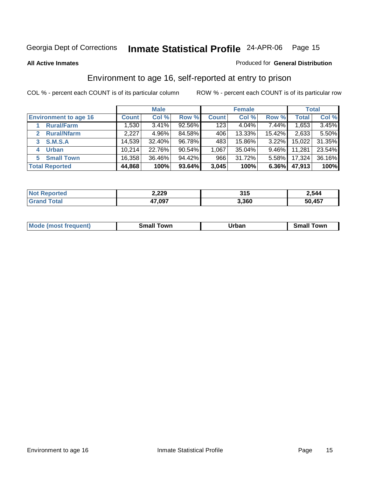#### **All Active Inmates**

#### Produced for **General Distribution**

### Environment to age 16, self-reported at entry to prison

|                              |              | <b>Male</b> |           |              | <b>Female</b> |        |        | <b>Total</b> |
|------------------------------|--------------|-------------|-----------|--------------|---------------|--------|--------|--------------|
| <b>Environment to age 16</b> | <b>Count</b> | Col %       | Row %     | <b>Count</b> | Col %         | Row %  | Total  | Col %        |
| <b>Rural/Farm</b>            | 1,530        | 3.41%       | $92.56\%$ | 123          | $4.04\%$      | 7.44%  | 1,653  | 3.45%        |
| <b>Rural/Nfarm</b>           | 2,227        | 4.96%       | 84.58%    | 406          | 13.33%        | 15.42% | 2,633  | 5.50%        |
| <b>S.M.S.A</b><br>3          | 14,539       | 32.40%      | 96.78%    | 483          | 15.86%        | 3.22%  | 15,022 | 31.35%       |
| <b>Urban</b><br>4            | 10.214       | 22.76%      | 90.54%    | 1,067        | 35.04%        | 9.46%  | 11,281 | 23.54%       |
| <b>Small Town</b><br>5       | 16,358       | 36.46%      | 94.42%    | 966          | 31.72%        | 5.58%  | 17,324 | 36.16%       |
| <b>Total Reported</b>        | 44,868       | 100%        | 93.64%    | 3,045        | 100%          | 6.36%  | 47,913 | 100%         |

| <b>Not Reported</b> | 2,229  | 315   | 2,544  |
|---------------------|--------|-------|--------|
| <b>Grand Total</b>  | 47,097 | 3,360 | 50,457 |

| Mode (most frequent) | ----<br>Town<br>\mall<br>_____ | Jrban<br>____ | Towr<br>small |
|----------------------|--------------------------------|---------------|---------------|
|                      |                                |               |               |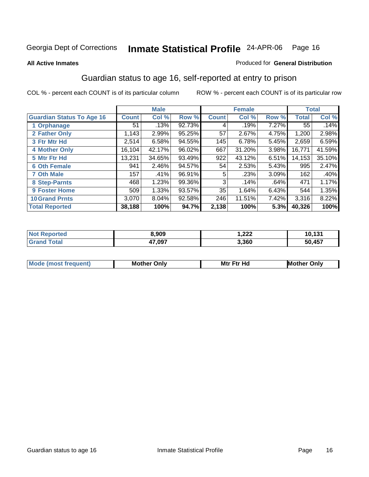#### **All Active Inmates**

#### Produced for **General Distribution**

### Guardian status to age 16, self-reported at entry to prison

|                                  |              | <b>Male</b> |        |              | <b>Female</b> |       |              | <b>Total</b> |
|----------------------------------|--------------|-------------|--------|--------------|---------------|-------|--------------|--------------|
| <b>Guardian Status To Age 16</b> | <b>Count</b> | Col %       | Row %  | <b>Count</b> | Col %         | Row % | <b>Total</b> | Col %        |
| 1 Orphanage                      | 51           | .13%        | 92.73% | 4            | .19%          | 7.27% | 55           | .14%         |
| 2 Father Only                    | 1,143        | 2.99%       | 95.25% | 57           | 2.67%         | 4.75% | 1,200        | 2.98%        |
| 3 Ftr Mtr Hd                     | 2,514        | 6.58%       | 94.55% | 145          | 6.78%         | 5.45% | 2,659        | 6.59%        |
| <b>4 Mother Only</b>             | 16,104       | 42.17%      | 96.02% | 667          | 31.20%        | 3.98% | 16,771       | 41.59%       |
| 5 Mtr Ftr Hd                     | 13,231       | 34.65%      | 93.49% | 922          | 43.12%        | 6.51% | 14,153       | 35.10%       |
| <b>6 Oth Female</b>              | 941          | 2.46%       | 94.57% | 54           | 2.53%         | 5.43% | 995          | 2.47%        |
| <b>7 Oth Male</b>                | 157          | .41%        | 96.91% | 5            | .23%          | 3.09% | 162          | .40%         |
| 8 Step-Parnts                    | 468          | 1.23%       | 99.36% | 3            | .14%          | .64%  | 471          | 1.17%        |
| <b>9 Foster Home</b>             | 509          | 1.33%       | 93.57% | 35           | 1.64%         | 6.43% | 544          | 1.35%        |
| <b>10 Grand Prnts</b>            | 3,070        | 8.04%       | 92.58% | 246          | 11.51%        | 7.42% | 3,316        | 8.22%        |
| <b>Total Reported</b>            | 38,188       | 100%        | 94.7%  | 2,138        | 100%          | 5.3%  | 40,326       | 100%         |

| <b>Not</b><br>Reported | 8,909  | 1,222 | 10,131 |
|------------------------|--------|-------|--------|
|                        | 47,097 | 3,360 | 50,457 |

| Mode              | Mother | Mtr Ftr Hd                                                                                                      | Only   |
|-------------------|--------|-----------------------------------------------------------------------------------------------------------------|--------|
| (most frequent) د | Only   | the contract of the contract of the contract of the contract of the contract of the contract of the contract of | Mother |
|                   |        |                                                                                                                 |        |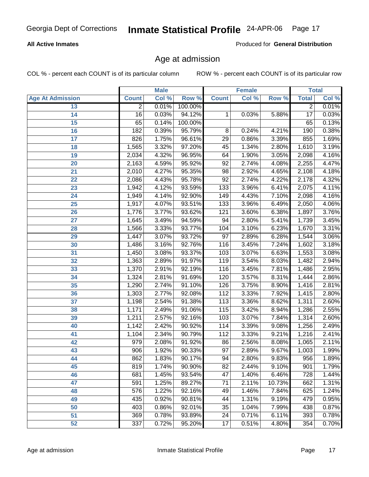#### **All Active Inmates**

Produced for **General Distribution**

### Age at admission

|                         |                | <b>Male</b> |         |                  | <b>Female</b> |        |                 | <b>Total</b> |
|-------------------------|----------------|-------------|---------|------------------|---------------|--------|-----------------|--------------|
| <b>Age At Admission</b> | <b>Count</b>   | Col %       | Row %   | <b>Count</b>     | Col %         | Row %  | <b>Total</b>    | Col %        |
| 13                      | $\overline{2}$ | 0.01%       | 100.00% |                  |               |        | $\overline{2}$  | 0.01%        |
| 14                      | 16             | 0.03%       | 94.12%  | 1                | 0.03%         | 5.88%  | $\overline{17}$ | 0.03%        |
| 15                      | 65             | 0.14%       | 100.00% |                  |               |        | 65              | 0.13%        |
| 16                      | 182            | 0.39%       | 95.79%  | $\overline{8}$   | 0.24%         | 4.21%  | 190             | 0.38%        |
| 17                      | 826            | 1.75%       | 96.61%  | 29               | 0.86%         | 3.39%  | 855             | 1.69%        |
| 18                      | 1,565          | 3.32%       | 97.20%  | 45               | 1.34%         | 2.80%  | 1,610           | 3.19%        |
| 19                      | 2,034          | 4.32%       | 96.95%  | 64               | 1.90%         | 3.05%  | 2,098           | 4.16%        |
| 20                      | 2,163          | 4.59%       | 95.92%  | $\overline{92}$  | 2.74%         | 4.08%  | 2,255           | 4.47%        |
| 21                      | 2,010          | 4.27%       | 95.35%  | 98               | 2.92%         | 4.65%  | 2,108           | 4.18%        |
| 22                      | 2,086          | 4.43%       | 95.78%  | $\overline{92}$  | 2.74%         | 4.22%  | 2,178           | 4.32%        |
| 23                      | 1,942          | 4.12%       | 93.59%  | $\overline{133}$ | 3.96%         | 6.41%  | 2,075           | 4.11%        |
| $\overline{24}$         | 1,949          | 4.14%       | 92.90%  | $\overline{149}$ | 4.43%         | 7.10%  | 2,098           | 4.16%        |
| 25                      | 1,917          | 4.07%       | 93.51%  | $\overline{133}$ | 3.96%         | 6.49%  | 2,050           | 4.06%        |
| 26                      | 1,776          | 3.77%       | 93.62%  | 121              | 3.60%         | 6.38%  | 1,897           | 3.76%        |
| 27                      | 1,645          | 3.49%       | 94.59%  | 94               | 2.80%         | 5.41%  | 1,739           | 3.45%        |
| 28                      | 1,566          | 3.33%       | 93.77%  | 104              | 3.10%         | 6.23%  | 1,670           | 3.31%        |
| 29                      | 1,447          | 3.07%       | 93.72%  | 97               | 2.89%         | 6.28%  | 1,544           | 3.06%        |
| 30                      | 1,486          | 3.16%       | 92.76%  | 116              | 3.45%         | 7.24%  | 1,602           | 3.18%        |
| 31                      | 1,450          | 3.08%       | 93.37%  | 103              | 3.07%         | 6.63%  | 1,553           | 3.08%        |
| 32                      | 1,363          | 2.89%       | 91.97%  | 119              | 3.54%         | 8.03%  | 1,482           | 2.94%        |
| 33                      | 1,370          | 2.91%       | 92.19%  | 116              | 3.45%         | 7.81%  | 1,486           | 2.95%        |
| 34                      | 1,324          | 2.81%       | 91.69%  | 120              | 3.57%         | 8.31%  | 1,444           | 2.86%        |
| 35                      | 1,290          | 2.74%       | 91.10%  | 126              | 3.75%         | 8.90%  | 1,416           | 2.81%        |
| 36                      | 1,303          | 2.77%       | 92.08%  | 112              | 3.33%         | 7.92%  | 1,415           | 2.80%        |
| 37                      | 1,198          | 2.54%       | 91.38%  | 113              | 3.36%         | 8.62%  | 1,311           | 2.60%        |
| 38                      | 1,171          | 2.49%       | 91.06%  | 115              | 3.42%         | 8.94%  | 1,286           | 2.55%        |
| 39                      | 1,211          | 2.57%       | 92.16%  | 103              | 3.07%         | 7.84%  | 1,314           | 2.60%        |
| 40                      | 1,142          | 2.42%       | 90.92%  | 114              | 3.39%         | 9.08%  | 1,256           | 2.49%        |
| 41                      | 1,104          | 2.34%       | 90.79%  | $\overline{112}$ | 3.33%         | 9.21%  | 1,216           | 2.41%        |
| 42                      | 979            | 2.08%       | 91.92%  | 86               | 2.56%         | 8.08%  | 1,065           | 2.11%        |
| 43                      | 906            | 1.92%       | 90.33%  | $\overline{97}$  | 2.89%         | 9.67%  | 1,003           | 1.99%        |
| 44                      | 862            | 1.83%       | 90.17%  | 94               | 2.80%         | 9.83%  | 956             | 1.89%        |
| 45                      | 819            | 1.74%       | 90.90%  | $\overline{82}$  | 2.44%         | 9.10%  | 901             | 1.79%        |
| 46                      | 681            | 1.45%       | 93.54%  | 47               | 1.40%         | 6.46%  | 728             | 1.44%        |
| 47                      | 591            | 1.25%       | 89.27%  | 71               | 2.11%         | 10.73% | 662             | 1.31%        |
| 48                      | 576            | 1.22%       | 92.16%  | 49               | 1.46%         | 7.84%  | 625             | 1.24%        |
| 49                      | 435            | 0.92%       | 90.81%  | 44               | 1.31%         | 9.19%  | 479             | 0.95%        |
| 50                      | 403            | 0.86%       | 92.01%  | $\overline{35}$  | 1.04%         | 7.99%  | 438             | 0.87%        |
| 51                      | 369            | 0.78%       | 93.89%  | 24               | 0.71%         | 6.11%  | 393             | 0.78%        |
| 52                      | 337            | 0.72%       | 95.20%  | 17               | 0.51%         | 4.80%  | 354             | 0.70%        |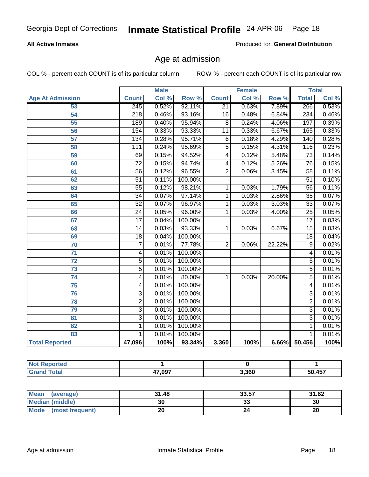#### **All Active Inmates**

Produced for **General Distribution**

### Age at admission

|                         |                  | <b>Male</b> |                  |                         | <b>Female</b> |        |                  | <b>Total</b> |
|-------------------------|------------------|-------------|------------------|-------------------------|---------------|--------|------------------|--------------|
| <b>Age At Admission</b> | <b>Count</b>     | Col %       | Row <sup>%</sup> | <b>Count</b>            | Col %         | Row %  | <b>Total</b>     | Col %        |
| 53                      | 245              | 0.52%       | 92.11%           | $\overline{21}$         | 0.63%         | 7.89%  | 266              | 0.53%        |
| 54                      | $\overline{218}$ | 0.46%       | 93.16%           | 16                      | 0.48%         | 6.84%  | $\overline{234}$ | 0.46%        |
| $\overline{55}$         | 189              | 0.40%       | 95.94%           | $\overline{8}$          | 0.24%         | 4.06%  | 197              | 0.39%        |
| 56                      | 154              | 0.33%       | 93.33%           | $\overline{11}$         | 0.33%         | 6.67%  | 165              | 0.33%        |
| $\overline{57}$         | 134              | 0.28%       | 95.71%           | 6                       | 0.18%         | 4.29%  | 140              | 0.28%        |
| 58                      | $\overline{111}$ | 0.24%       | 95.69%           | $\overline{5}$          | 0.15%         | 4.31%  | 116              | 0.23%        |
| 59                      | 69               | 0.15%       | 94.52%           | $\overline{4}$          | 0.12%         | 5.48%  | 73               | 0.14%        |
| 60                      | $\overline{72}$  | 0.15%       | 94.74%           | $\overline{\mathbf{4}}$ | 0.12%         | 5.26%  | $\overline{76}$  | 0.15%        |
| 61                      | $\overline{56}$  | 0.12%       | 96.55%           | $\overline{2}$          | 0.06%         | 3.45%  | $\overline{58}$  | 0.11%        |
| 62                      | $\overline{51}$  | 0.11%       | 100.00%          |                         |               |        | $\overline{51}$  | 0.10%        |
| 63                      | $\overline{55}$  | 0.12%       | 98.21%           | 1                       | 0.03%         | 1.79%  | $\overline{56}$  | 0.11%        |
| 64                      | $\overline{34}$  | 0.07%       | 97.14%           | 1                       | 0.03%         | 2.86%  | $\overline{35}$  | 0.07%        |
| 65                      | $\overline{32}$  | 0.07%       | 96.97%           | 1                       | 0.03%         | 3.03%  | $\overline{33}$  | 0.07%        |
| 66                      | $\overline{24}$  | 0.05%       | 96.00%           | $\overline{1}$          | 0.03%         | 4.00%  | $\overline{25}$  | 0.05%        |
| 67                      | $\overline{17}$  | 0.04%       | 100.00%          |                         |               |        | $\overline{17}$  | 0.03%        |
| 68                      | $\overline{14}$  | 0.03%       | 93.33%           | 1                       | 0.03%         | 6.67%  | $\overline{15}$  | 0.03%        |
| 69                      | $\overline{18}$  | 0.04%       | 100.00%          |                         |               |        | $\overline{18}$  | 0.04%        |
| $\overline{70}$         | $\overline{7}$   | 0.01%       | 77.78%           | $\overline{2}$          | 0.06%         | 22.22% | 9                | 0.02%        |
| 71                      | 4                | 0.01%       | 100.00%          |                         |               |        | 4                | 0.01%        |
| 72                      | $\overline{5}$   | 0.01%       | 100.00%          |                         |               |        | $\overline{5}$   | 0.01%        |
| $\overline{73}$         | $\overline{5}$   | 0.01%       | 100.00%          |                         |               |        | $\overline{5}$   | 0.01%        |
| $\overline{74}$         | 4                | 0.01%       | 80.00%           | 1                       | 0.03%         | 20.00% | $\overline{5}$   | 0.01%        |
| 75                      | 4                | 0.01%       | 100.00%          |                         |               |        | 4                | 0.01%        |
| 76                      | $\overline{3}$   | 0.01%       | 100.00%          |                         |               |        | $\overline{3}$   | 0.01%        |
| 78                      | $\overline{2}$   | 0.01%       | 100.00%          |                         |               |        | $\overline{2}$   | 0.01%        |
| 79                      | $\overline{3}$   | 0.01%       | 100.00%          |                         |               |        | $\overline{3}$   | 0.01%        |
| $\overline{81}$         | $\overline{3}$   | 0.01%       | 100.00%          |                         |               |        | $\overline{3}$   | 0.01%        |
| 82                      | $\mathbf{1}$     | 0.01%       | 100.00%          |                         |               |        | 1                | 0.01%        |
| 83                      | 1                | 0.01%       | 100.00%          |                         |               |        | 1                | 0.01%        |
| <b>Total Reported</b>   | 47,096           | 100%        | 93.34%           | 3,360                   | 100%          |        | 6.66% 50,456     | 100%         |

| тео  |               |       |        |
|------|---------------|-------|--------|
| otal | 47.097<br>T 8 | 3,360 | 50.457 |

| Mean (average)       | 31.48 | 33.57 | 31.62 |
|----------------------|-------|-------|-------|
| Median (middle)      |       | 33    | 30    |
| Mode (most frequent) | 20    |       | 20    |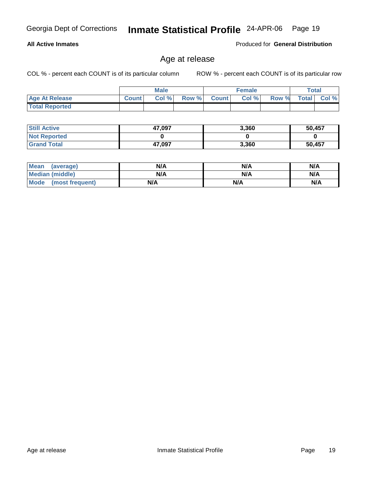**Total Reported**

**All Active Inmates**

| <b>Still Active</b> | 47,097 | 3,360 | 50,457 |
|---------------------|--------|-------|--------|
| <b>Not Reported</b> |        |       |        |
| <b>Grand Total</b>  | 47,097 | 3,360 | 50,457 |

Age at release

| <b>Mean</b><br>(average) | N/A | N/A | N/A |
|--------------------------|-----|-----|-----|
| <b>Median (middle)</b>   | N/A | N/A | N/A |
| Mode (most frequent)     | N/A | N/A | N/A |

#### **Male Age At Release Count Col % Row % Count Col % Row % Total Col %**

COL % - percent each COUNT is of its particular column ROW % - percent each COUNT is of its particular row

**Female Total**

Produced for **General Distribution**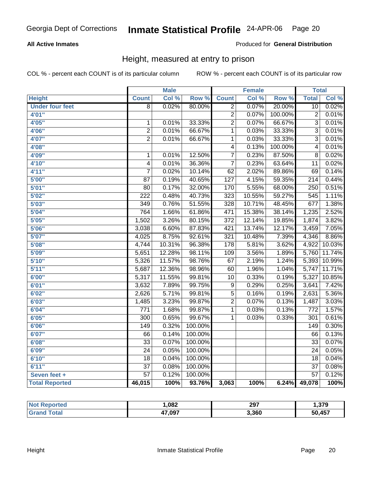#### **All Active Inmates**

Produced for **General Distribution**

### Height, measured at entry to prison

|                        |                         | <b>Male</b> |                  |                  | <b>Female</b> |                  | <b>Total</b>     |        |
|------------------------|-------------------------|-------------|------------------|------------------|---------------|------------------|------------------|--------|
| <b>Height</b>          | <b>Count</b>            | Col %       | Row <sup>%</sup> | <b>Count</b>     | Col %         | Row <sup>%</sup> | <b>Total</b>     | Col %  |
| <b>Under four feet</b> | $\overline{8}$          | 0.02%       | 80.00%           | $\overline{2}$   | 0.07%         | 20.00%           | 10               | 0.02%  |
| 4'01"                  |                         |             |                  | $\overline{2}$   | 0.07%         | 100.00%          | $\overline{2}$   | 0.01%  |
| 4'05"                  | $\mathbf{1}$            | 0.01%       | 33.33%           | $\overline{2}$   | 0.07%         | 66.67%           | $\overline{3}$   | 0.01%  |
| 4'06"                  | $\overline{2}$          | 0.01%       | 66.67%           | $\overline{1}$   | 0.03%         | 33.33%           | $\overline{3}$   | 0.01%  |
| 4'07"                  | $\overline{2}$          | 0.01%       | 66.67%           | $\overline{1}$   | 0.03%         | 33.33%           | $\overline{3}$   | 0.01%  |
| 4'08"                  |                         |             |                  | $\overline{4}$   | 0.13%         | 100.00%          | $\overline{4}$   | 0.01%  |
| 4'09"                  | $\mathbf 1$             | 0.01%       | 12.50%           | $\overline{7}$   | 0.23%         | 87.50%           | 8                | 0.02%  |
| 4'10''                 | $\overline{\mathbf{4}}$ | 0.01%       | 36.36%           | 7                | 0.23%         | 63.64%           | 11               | 0.02%  |
| 4'11''                 | $\overline{7}$          | 0.02%       | 10.14%           | $\overline{62}$  | 2.02%         | 89.86%           | 69               | 0.14%  |
| 5'00''                 | 87                      | 0.19%       | 40.65%           | 127              | 4.15%         | 59.35%           | 214              | 0.44%  |
| 5'01''                 | 80                      | 0.17%       | 32.00%           | 170              | 5.55%         | 68.00%           | $\overline{250}$ | 0.51%  |
| 5'02''                 | $\overline{222}$        | 0.48%       | 40.73%           | 323              | 10.55%        | 59.27%           | 545              | 1.11%  |
| 5'03''                 | 349                     | 0.76%       | 51.55%           | 328              | 10.71%        | 48.45%           | 677              | 1.38%  |
| 5'04"                  | 764                     | 1.66%       | 61.86%           | 471              | 15.38%        | 38.14%           | 1,235            | 2.52%  |
| 5'05"                  | 1,502                   | 3.26%       | 80.15%           | $\overline{372}$ | 12.14%        | 19.85%           | 1,874            | 3.82%  |
| 5'06''                 | 3,038                   | 6.60%       | 87.83%           | 421              | 13.74%        | 12.17%           | 3,459            | 7.05%  |
| 5'07''                 | 4,025                   | 8.75%       | 92.61%           | $\overline{321}$ | 10.48%        | 7.39%            | 4,346            | 8.86%  |
| 5'08''                 | 4,744                   | 10.31%      | 96.38%           | $\overline{178}$ | 5.81%         | 3.62%            | 4,922            | 10.03% |
| 5'09''                 | 5,651                   | 12.28%      | 98.11%           | 109              | 3.56%         | 1.89%            | 5,760            | 11.74% |
| 5'10''                 | 5,326                   | 11.57%      | 98.76%           | 67               | 2.19%         | 1.24%            | 5,393            | 10.99% |
| 5'11''                 | 5,687                   | 12.36%      | 98.96%           | 60               | 1.96%         | 1.04%            | 5,747            | 11.71% |
| 6'00''                 | 5,317                   | 11.55%      | 99.81%           | 10               | 0.33%         | 0.19%            | 5,327            | 10.85% |
| 6'01''                 | 3,632                   | 7.89%       | 99.75%           | 9                | 0.29%         | 0.25%            | 3,641            | 7.42%  |
| 6'02''                 | 2,626                   | 5.71%       | 99.81%           | $\overline{5}$   | 0.16%         | 0.19%            | 2,631            | 5.36%  |
| 6'03''                 | 1,485                   | 3.23%       | 99.87%           | $\overline{2}$   | 0.07%         | 0.13%            | 1,487            | 3.03%  |
| 6'04''                 | $\overline{771}$        | 1.68%       | 99.87%           | $\mathbf{1}$     | 0.03%         | 0.13%            | $\overline{772}$ | 1.57%  |
| 6'05''                 | $\overline{300}$        | 0.65%       | 99.67%           | $\mathbf{1}$     | 0.03%         | 0.33%            | $\overline{301}$ | 0.61%  |
| 6'06''                 | 149                     | 0.32%       | 100.00%          |                  |               |                  | 149              | 0.30%  |
| 6'07''                 | 66                      | 0.14%       | 100.00%          |                  |               |                  | 66               | 0.13%  |
| 6'08''                 | $\overline{33}$         | 0.07%       | 100.00%          |                  |               |                  | $\overline{33}$  | 0.07%  |
| 6'09''                 | $\overline{24}$         | 0.05%       | 100.00%          |                  |               |                  | $\overline{24}$  | 0.05%  |
| 6'10''                 | 18                      | 0.04%       | 100.00%          |                  |               |                  | 18               | 0.04%  |
| 6'11''                 | $\overline{37}$         | 0.08%       | 100.00%          |                  |               |                  | $\overline{37}$  | 0.08%  |
| Seven feet +           | $\overline{57}$         | 0.12%       | 100.00%          |                  |               |                  | $\overline{57}$  | 0.12%  |
| <b>Total Reported</b>  | 46,015                  | 100%        | 93.76%           | 3,063            | 100%          | 6.24%            | 49,078           | 100%   |

| orted | 082. ا | 297   | .379.، |
|-------|--------|-------|--------|
|       | 47,097 | 3,360 | 50,457 |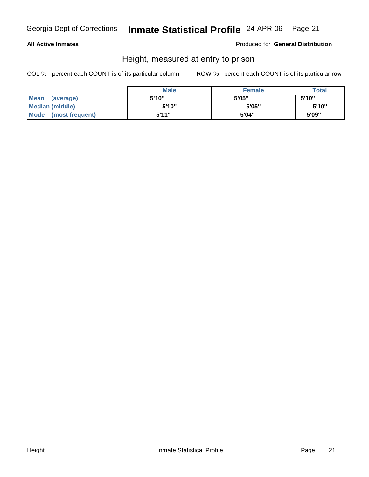#### **All Active Inmates**

Produced for **General Distribution**

### Height, measured at entry to prison

|                      | <b>Male</b> | Female | <b>Total</b> |
|----------------------|-------------|--------|--------------|
| Mean (average)       | 5'10"       | 5'05"  | 5'10"        |
| Median (middle)      | 5'10"       | 5'05"  | 5'10"        |
| Mode (most frequent) | 5'11"       | 5'04"  | 5'09"        |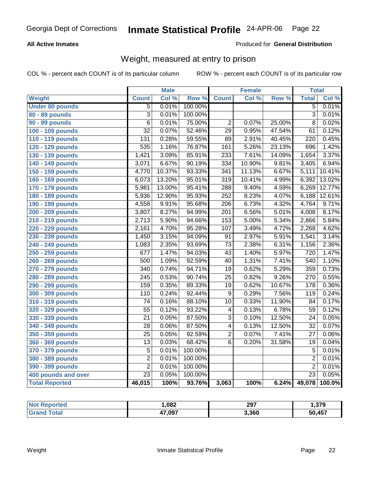#### **All Active Inmates**

#### Produced for **General Distribution**

### Weight, measured at entry to prison

|                        |                  | <b>Male</b> |                  |                  | <b>Female</b> |        | <b>Total</b>    |        |
|------------------------|------------------|-------------|------------------|------------------|---------------|--------|-----------------|--------|
| Weight                 | <b>Count</b>     | Col %       | Row <sup>%</sup> | <b>Count</b>     | Col %         | Row %  | <b>Total</b>    | Col %  |
| <b>Under 80 pounds</b> | 5                | 0.01%       | 100.00%          |                  |               |        | $\overline{5}$  | 0.01%  |
| 80 - 89 pounds         | $\overline{3}$   | 0.01%       | 100.00%          |                  |               |        | $\overline{3}$  | 0.01%  |
| 90 - 99 pounds         | $\overline{6}$   | 0.01%       | 75.00%           | $\overline{2}$   | 0.07%         | 25.00% | $\overline{8}$  | 0.02%  |
| 100 - 109 pounds       | $\overline{32}$  | 0.07%       | 52.46%           | $\overline{29}$  | 0.95%         | 47.54% | 61              | 0.12%  |
| 110 - 119 pounds       | $\overline{131}$ | 0.28%       | 59.55%           | 89               | 2.91%         | 40.45% | 220             | 0.45%  |
| 120 - 129 pounds       | 535              | 1.16%       | 76.87%           | 161              | 5.26%         | 23.13% | 696             | 1.42%  |
| 130 - 139 pounds       | 1,421            | 3.09%       | 85.91%           | 233              | 7.61%         | 14.09% | 1,654           | 3.37%  |
| 140 - 149 pounds       | 3,071            | 6.67%       | 90.19%           | 334              | 10.90%        | 9.81%  | 3,405           | 6.94%  |
| 150 - 159 pounds       | 4,770            | 10.37%      | 93.33%           | $\overline{341}$ | 11.13%        | 6.67%  | 5,111           | 10.41% |
| 160 - 169 pounds       | 6,073            | 13.20%      | 95.01%           | 319              | 10.41%        | 4.99%  | 6,392           | 13.02% |
| 170 - 179 pounds       | 5,981            | 13.00%      | 95.41%           | 288              | 9.40%         | 4.59%  | 6,269           | 12.77% |
| 180 - 189 pounds       | 5,936            | 12.90%      | 95.93%           | 252              | 8.23%         | 4.07%  | 6,188           | 12.61% |
| 190 - 199 pounds       | 4,558            | 9.91%       | 95.68%           | $\overline{206}$ | 6.73%         | 4.32%  | 4,764           | 9.71%  |
| 200 - 209 pounds       | 3,807            | 8.27%       | 94.99%           | $\overline{201}$ | 6.56%         | 5.01%  | 4,008           | 8.17%  |
| 210 - 219 pounds       | 2,713            | 5.90%       | 94.66%           | 153              | 5.00%         | 5.34%  | 2,866           | 5.84%  |
| 220 - 229 pounds       | 2,161            | 4.70%       | 95.28%           | 107              | 3.49%         | 4.72%  | 2,268           | 4.62%  |
| 230 - 239 pounds       | 1,450            | 3.15%       | 94.09%           | $\overline{91}$  | 2.97%         | 5.91%  | 1,541           | 3.14%  |
| 240 - 249 pounds       | 1,083            | 2.35%       | 93.69%           | $\overline{73}$  | 2.38%         | 6.31%  | 1,156           | 2.36%  |
| 250 - 259 pounds       | $\overline{677}$ | 1.47%       | 94.03%           | $\overline{43}$  | 1.40%         | 5.97%  | 720             | 1.47%  |
| 260 - 269 pounds       | $\overline{500}$ | 1.09%       | 92.59%           | $\overline{40}$  | 1.31%         | 7.41%  | 540             | 1.10%  |
| 270 - 279 pounds       | $\overline{340}$ | 0.74%       | 94.71%           | $\overline{19}$  | 0.62%         | 5.29%  | 359             | 0.73%  |
| 280 - 289 pounds       | $\overline{245}$ | 0.53%       | 90.74%           | $\overline{25}$  | 0.82%         | 9.26%  | 270             | 0.55%  |
| 290 - 299 pounds       | 159              | 0.35%       | 89.33%           | $\overline{19}$  | 0.62%         | 10.67% | 178             | 0.36%  |
| 300 - 309 pounds       | 110              | 0.24%       | 92.44%           | 9                | 0.29%         | 7.56%  | 119             | 0.24%  |
| 310 - 319 pounds       | $\overline{74}$  | 0.16%       | 88.10%           | 10               | 0.33%         | 11.90% | 84              | 0.17%  |
| 320 - 329 pounds       | $\overline{55}$  | 0.12%       | 93.22%           | 4                | 0.13%         | 6.78%  | $\overline{59}$ | 0.12%  |
| 330 - 339 pounds       | $\overline{21}$  | 0.05%       | 87.50%           | 3                | 0.10%         | 12.50% | $\overline{24}$ | 0.05%  |
| 340 - 349 pounds       | 28               | 0.06%       | 87.50%           | 4                | 0.13%         | 12.50% | $\overline{32}$ | 0.07%  |
| 350 - 359 pounds       | $\overline{25}$  | 0.05%       | 92.59%           | $\overline{2}$   | 0.07%         | 7.41%  | $\overline{27}$ | 0.06%  |
| 360 - 369 pounds       | $\overline{13}$  | 0.03%       | 68.42%           | $\overline{6}$   | 0.20%         | 31.58% | 19              | 0.04%  |
| 370 - 379 pounds       | $\overline{5}$   | 0.01%       | 100.00%          |                  |               |        | $\overline{5}$  | 0.01%  |
| 380 - 389 pounds       | $\overline{2}$   | 0.01%       | 100.00%          |                  |               |        | $\overline{2}$  | 0.01%  |
| 390 - 399 pounds       | $\overline{2}$   | 0.01%       | 100.00%          |                  |               |        | $\overline{2}$  | 0.01%  |
| 400 pounds and over    | $\overline{23}$  | 0.05%       | 100.00%          |                  |               |        | $\overline{23}$ | 0.05%  |
| <b>Total Reported</b>  | 46,015           | 100%        | 93.76%           | 3,063            | 100%          | 6.24%  | 49,078          | 100.0% |

| orted<br><b>NO</b> | .082           | 297   | .379.  |
|--------------------|----------------|-------|--------|
| Gr <sup>-</sup>    | 47 NQ7<br>י טי | 3,360 | 50,457 |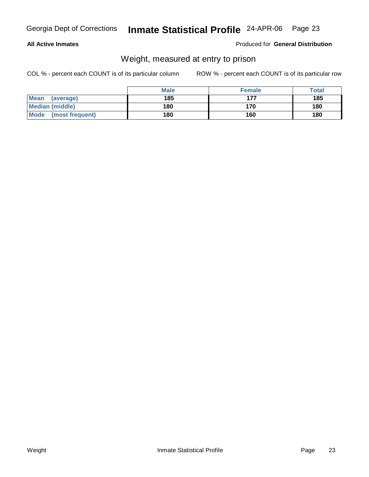#### **All Active Inmates**

#### Produced for **General Distribution**

### Weight, measured at entry to prison

|                      | <b>Male</b> | <b>Female</b> | <b>Total</b> |
|----------------------|-------------|---------------|--------------|
| Mean<br>(average)    | 185         | 177           | 185          |
| Median (middle)      | 180         | 170           | 180          |
| Mode (most frequent) | 180         | 160           | 180          |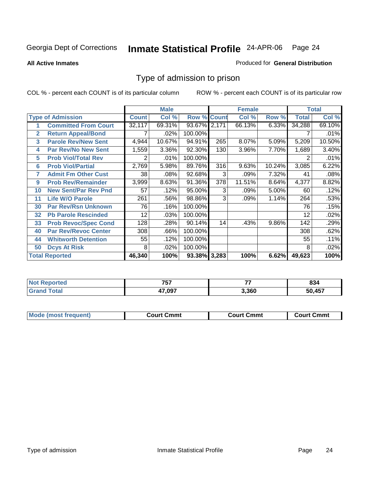**All Active Inmates**

#### Produced for **General Distribution**

### Type of admission to prison

|              |                             |              | <b>Male</b> |                    |       | <b>Female</b> |        |              | <b>Total</b> |
|--------------|-----------------------------|--------------|-------------|--------------------|-------|---------------|--------|--------------|--------------|
|              | <b>Type of Admission</b>    | <b>Count</b> | Col %       | <b>Row % Count</b> |       | Col %         | Row %  | <b>Total</b> | Col %        |
| 1            | <b>Committed From Court</b> | 32,117       | 69.31%      | 93.67%             | 2,171 | 66.13%        | 6.33%  | 34,288       | 69.10%       |
| $\mathbf{2}$ | <b>Return Appeal/Bond</b>   |              | .02%        | 100.00%            |       |               |        |              | .01%         |
| 3            | <b>Parole Rev/New Sent</b>  | 4,944        | 10.67%      | 94.91%             | 265   | 8.07%         | 5.09%  | 5,209        | 10.50%       |
| 4            | <b>Par Rev/No New Sent</b>  | 1,559        | 3.36%       | 92.30%             | 130   | 3.96%         | 7.70%  | 1,689        | 3.40%        |
| 5            | <b>Prob Viol/Total Rev</b>  | 2            | .01%        | 100.00%            |       |               |        | 2            | .01%         |
| 6            | <b>Prob Viol/Partial</b>    | 2,769        | 5.98%       | 89.76%             | 316   | 9.63%         | 10.24% | 3,085        | 6.22%        |
| 7            | <b>Admit Fm Other Cust</b>  | 38           | .08%        | 92.68%             | 3     | .09%          | 7.32%  | 41           | .08%         |
| 9            | <b>Prob Rev/Remainder</b>   | 3,999        | 8.63%       | 91.36%             | 378   | 11.51%        | 8.64%  | 4,377        | 8.82%        |
| 10           | <b>New Sent/Par Rev Pnd</b> | 57           | .12%        | 95.00%             | 3     | .09%          | 5.00%  | 60           | .12%         |
| 11           | <b>Life W/O Parole</b>      | 261          | .56%        | 98.86%             | 3     | .09%          | 1.14%  | 264          | .53%         |
| 30           | <b>Par Rev/Rsn Unknown</b>  | 76           | .16%        | 100.00%            |       |               |        | 76           | .15%         |
| 32           | <b>Pb Parole Rescinded</b>  | 12           | .03%        | 100.00%            |       |               |        | 12           | .02%         |
| 33           | <b>Prob Revoc/Spec Cond</b> | 128          | .28%        | 90.14%             | 14    | .43%          | 9.86%  | 142          | .29%         |
| 40           | <b>Par Rev/Revoc Center</b> | 308          | .66%        | 100.00%            |       |               |        | 308          | .62%         |
| 44           | <b>Whitworth Detention</b>  | 55           | .12%        | 100.00%            |       |               |        | 55           | .11%         |
| 50           | <b>Dcys At Risk</b>         | 8            | .02%        | 100.00%            |       |               |        | 8            | .02%         |
|              | <b>Total Reported</b>       | 46,340       | 100%        | 93.38% 3,283       |       | 100%          | 6.62%  | 49,623       | 100%         |

| orted       | フロフ    | --    | 00     |
|-------------|--------|-------|--------|
|             | . J I  |       | 834    |
| <b>otal</b> | 17.097 | 3,360 | 50 157 |

| <b>Mou</b><br>วmmt<br>freauent)<br>.ourtث<br>$\cdots$ | Cmmt<br>Court - | Cmmu<br>∵יווח… |
|-------------------------------------------------------|-----------------|----------------|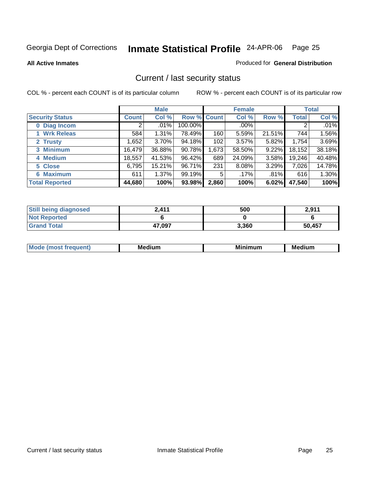**All Active Inmates**

#### Produced for **General Distribution**

### Current / last security status

|                        |              | <b>Male</b> |             |       | <b>Female</b> |          |        | <b>Total</b> |
|------------------------|--------------|-------------|-------------|-------|---------------|----------|--------|--------------|
| <b>Security Status</b> | <b>Count</b> | Col %       | Row % Count |       | Col %         | Row %    | Total  | Col %        |
| 0 Diag Incom           | 2            | .01%        | 100.00%     |       | .00%          |          | 2      | $.01\%$      |
| 1 Wrk Releas           | 584          | 1.31%       | 78.49%      | 160   | 5.59%         | 21.51%   | 744    | 1.56%        |
| 2 Trusty               | 1,652        | 3.70%       | 94.18%      | 102   | 3.57%         | 5.82%    | 1,754  | 3.69%        |
| 3 Minimum              | 16,479       | 36.88%      | 90.78%      | 1,673 | 58.50%        | $9.22\%$ | 18,152 | 38.18%       |
| 4 Medium               | 18,557       | 41.53%      | 96.42%      | 689   | 24.09%        | $3.58\%$ | 19,246 | 40.48%       |
| 5 Close                | 6,795        | 15.21%      | 96.71%      | 231   | 8.08%         | 3.29%    | 7,026  | 14.78%       |
| <b>6 Maximum</b>       | 611          | 1.37%       | 99.19%      | 5     | .17%          | .81%     | 616    | 1.30%        |
| <b>Total Reported</b>  | 44,680       | 100%        | 93.98%      | 2,860 | 100%          | 6.02%    | 47,540 | 100%         |

| <b>Still being diagnosed</b> | 2,411  | 500   | 2,911  |
|------------------------------|--------|-------|--------|
| <b>Not Reported</b>          |        |       |        |
| <b>Grand Total</b>           | 47,097 | 3,360 | 50,457 |

| M <sub>c</sub><br>.<br>יחםו וו | M٢<br>. | M.<br>ıımum | Medium |
|--------------------------------|---------|-------------|--------|
|                                |         |             |        |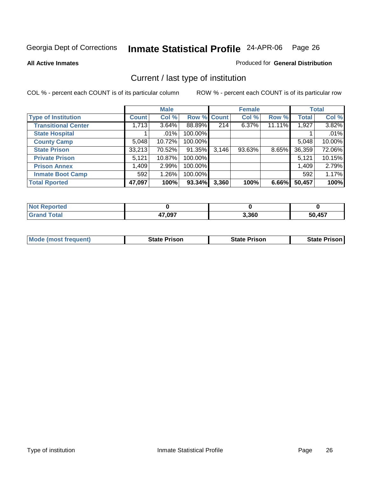**All Active Inmates**

#### Produced for **General Distribution**

### Current / last type of institution

|                            |              | <b>Male</b> |             |       | <b>Female</b> |        |              | <b>Total</b> |
|----------------------------|--------------|-------------|-------------|-------|---------------|--------|--------------|--------------|
| <b>Type of Institution</b> | <b>Count</b> | Col %       | Row % Count |       | Col %         | Row %  | <b>Total</b> | Col %        |
| <b>Transitional Center</b> | 1,713        | 3.64%       | 88.89%      | 214   | 6.37%         | 11.11% | 1,927        | 3.82%        |
| <b>State Hospital</b>      |              | $.01\%$     | 100.00%     |       |               |        |              | .01%         |
| <b>County Camp</b>         | 5,048        | 10.72%      | 100.00%     |       |               |        | 5,048        | 10.00%       |
| <b>State Prison</b>        | 33,213       | 70.52%      | 91.35%      | 3,146 | 93.63%        | 8.65%  | 36,359       | 72.06%       |
| <b>Private Prison</b>      | 5,121        | 10.87%      | 100.00%     |       |               |        | 5,121        | 10.15%       |
| <b>Prison Annex</b>        | 1,409        | 2.99%       | 100.00%     |       |               |        | 1,409        | 2.79%        |
| <b>Inmate Boot Camp</b>    | 592          | 1.26%       | 100.00%     |       |               |        | 592          | 1.17%        |
| <b>Total Rported</b>       | 47,097       | 100%        | 93.34%      | 3,360 | 100%          | 6.66%  | 50,457       | 100%         |

| orted |        |       |            |
|-------|--------|-------|------------|
|       | 47,097 | 3,360 | <b>A57</b> |

| <b>Mode (most frequent)</b> | <b>State Prison</b> | <b>State Prison</b> | <b>State Prison I</b> |
|-----------------------------|---------------------|---------------------|-----------------------|
|                             |                     |                     |                       |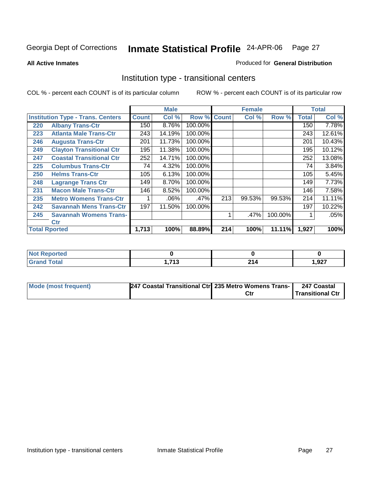**All Active Inmates**

#### Produced for **General Distribution**

### Institution type - transitional centers

|     |                                          |              | <b>Male</b> |             |     | <b>Female</b> |         |              | <b>Total</b> |
|-----|------------------------------------------|--------------|-------------|-------------|-----|---------------|---------|--------------|--------------|
|     | <b>Institution Type - Trans. Centers</b> | <b>Count</b> | Col %       | Row % Count |     | Col %         | Row %   | <b>Total</b> | Col %        |
| 220 | <b>Albany Trans-Ctr</b>                  | 150          | 8.76%       | 100.00%     |     |               |         | 150          | 7.78%        |
| 223 | <b>Atlanta Male Trans-Ctr</b>            | 243          | 14.19%      | 100.00%     |     |               |         | 243          | 12.61%       |
| 246 | <b>Augusta Trans-Ctr</b>                 | 201          | 11.73%      | 100.00%     |     |               |         | 201          | 10.43%       |
| 249 | <b>Clayton Transitional Ctr</b>          | 195          | 11.38%      | 100.00%     |     |               |         | 195          | 10.12%       |
| 247 | <b>Coastal Transitional Ctr</b>          | 252          | 14.71%      | 100.00%     |     |               |         | 252          | 13.08%       |
| 225 | <b>Columbus Trans-Ctr</b>                | 74           | 4.32%       | 100.00%     |     |               |         | 74           | 3.84%        |
| 250 | <b>Helms Trans-Ctr</b>                   | 105          | 6.13%       | 100.00%     |     |               |         | 105          | 5.45%        |
| 248 | <b>Lagrange Trans Ctr</b>                | 149          | 8.70%       | 100.00%     |     |               |         | 149          | 7.73%        |
| 231 | <b>Macon Male Trans-Ctr</b>              | 146          | 8.52%       | 100.00%     |     |               |         | 146          | 7.58%        |
| 235 | <b>Metro Womens Trans-Ctr</b>            | 1            | .06%        | $.47\%$     | 213 | 99.53%        | 99.53%  | 214          | 11.11%       |
| 242 | <b>Savannah Mens Trans-Ctr</b>           | 197          | 11.50%      | 100.00%     |     |               |         | 197          | 10.22%       |
| 245 | <b>Savannah Womens Trans-</b>            |              |             |             | 1   | .47%          | 100.00% |              | .05%         |
|     | <b>Ctr</b>                               |              |             |             |     |               |         |              |              |
|     | <b>Total Rported</b>                     | 1,713        | 100%        | 88.89%      | 214 | 100%          | 11.11%  | 1,927        | 100%         |

| <b>orted</b><br>' NOT |            |     |       |
|-----------------------|------------|-----|-------|
| <b>Total</b>          | <b>742</b> | ີ   | 1,927 |
| $\mathsf{v}$ and      | . . I . J  | 214 |       |

| Mode (most frequent) | 247 Coastal Transitional Ctr 235 Metro Womens Trans- | 247 Coastal      |
|----------------------|------------------------------------------------------|------------------|
|                      |                                                      | Transitional Ctr |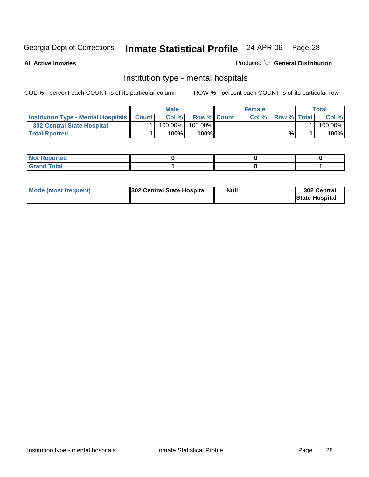**All Active Inmates**

#### Produced for **General Distribution**

### Institution type - mental hospitals

|                                                      | Male       |                    | <b>Female</b> |                    | $\tau$ otal |
|------------------------------------------------------|------------|--------------------|---------------|--------------------|-------------|
| <b>Institution Type - Mental Hospitals   Count  </b> | Col %      | <b>Row % Count</b> | Col%          | <b>Row % Total</b> | Col %       |
| 302 Central State Hospital                           | $100.00\%$ | $100.00\%$         |               |                    | 100.00%     |
| <b>Total Rported</b>                                 | 100%       | $100\%$            |               | %                  | 100%        |

| $\mathsf{I}$ Not Reported |  |  |
|---------------------------|--|--|
| $int^{\bullet}$<br>____   |  |  |

| Mode (most frequent) | 302 Central State Hospital | <b>Null</b> | 302 Central<br><b>State Hospital</b> |
|----------------------|----------------------------|-------------|--------------------------------------|
|                      |                            |             |                                      |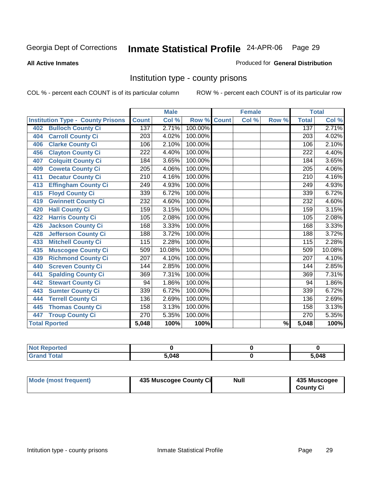#### **All Active Inmates**

#### Produced for **General Distribution**

### Institution type - county prisons

|                                          |                  | <b>Male</b> |         |              | <b>Female</b>             |       |                  | <b>Total</b> |
|------------------------------------------|------------------|-------------|---------|--------------|---------------------------|-------|------------------|--------------|
| <b>Institution Type - County Prisons</b> | <b>Count</b>     | Col %       | Row %   | <b>Count</b> | $\overline{\text{Col}}$ % | Row % | <b>Total</b>     | Col %        |
| <b>Bulloch County Ci</b><br>402          | 137              | 2.71%       | 100.00% |              |                           |       | 137              | 2.71%        |
| <b>Carroll County Ci</b><br>404          | $\overline{203}$ | 4.02%       | 100.00% |              |                           |       | $\overline{203}$ | 4.02%        |
| <b>Clarke County Ci</b><br>406           | 106              | 2.10%       | 100.00% |              |                           |       | 106              | 2.10%        |
| <b>Clayton County Ci</b><br>456          | 222              | 4.40%       | 100.00% |              |                           |       | 222              | 4.40%        |
| <b>Colquitt County Ci</b><br>407         | 184              | 3.65%       | 100.00% |              |                           |       | 184              | 3.65%        |
| <b>Coweta County Ci</b><br>409           | $\overline{205}$ | 4.06%       | 100.00% |              |                           |       | 205              | 4.06%        |
| <b>Decatur County Ci</b><br>411          | $\overline{210}$ | 4.16%       | 100.00% |              |                           |       | 210              | 4.16%        |
| <b>Effingham County Ci</b><br>413        | 249              | 4.93%       | 100.00% |              |                           |       | 249              | 4.93%        |
| <b>Floyd County Ci</b><br>415            | 339              | 6.72%       | 100.00% |              |                           |       | 339              | 6.72%        |
| <b>Gwinnett County Ci</b><br>419         | 232              | 4.60%       | 100.00% |              |                           |       | 232              | 4.60%        |
| <b>Hall County Ci</b><br>420             | 159              | 3.15%       | 100.00% |              |                           |       | 159              | 3.15%        |
| <b>Harris County Ci</b><br>422           | 105              | 2.08%       | 100.00% |              |                           |       | 105              | 2.08%        |
| <b>Jackson County Ci</b><br>426          | 168              | 3.33%       | 100.00% |              |                           |       | 168              | 3.33%        |
| <b>Jefferson County Ci</b><br>428        | 188              | 3.72%       | 100.00% |              |                           |       | 188              | 3.72%        |
| <b>Mitchell County Ci</b><br>433         | 115              | 2.28%       | 100.00% |              |                           |       | 115              | 2.28%        |
| <b>Muscogee County Ci</b><br>435         | 509              | 10.08%      | 100.00% |              |                           |       | 509              | 10.08%       |
| <b>Richmond County Ci</b><br>439         | 207              | 4.10%       | 100.00% |              |                           |       | 207              | 4.10%        |
| <b>Screven County Ci</b><br>440          | 144              | 2.85%       | 100.00% |              |                           |       | 144              | 2.85%        |
| <b>Spalding County Ci</b><br>441         | 369              | 7.31%       | 100.00% |              |                           |       | 369              | 7.31%        |
| <b>Stewart County Ci</b><br>442          | 94               | 1.86%       | 100.00% |              |                           |       | 94               | 1.86%        |
| <b>Sumter County Ci</b><br>443           | 339              | 6.72%       | 100.00% |              |                           |       | 339              | 6.72%        |
| <b>Terrell County Ci</b><br>444          | 136              | 2.69%       | 100.00% |              |                           |       | 136              | 2.69%        |
| <b>Thomas County Ci</b><br>445           | 158              | 3.13%       | 100.00% |              |                           |       | 158              | 3.13%        |
| <b>Troup County Ci</b><br>447            | $\overline{270}$ | 5.35%       | 100.00% |              |                           |       | 270              | 5.35%        |
| <b>Total Rported</b>                     | 5,048            | 100%        | 100%    |              |                           | $\%$  | 5,048            | 100%         |

| reo   |       |       |
|-------|-------|-------|
| _____ | 5.048 | 5,048 |

| Mode (most frequent) | 435 Muscogee County Ci | Null | 435 Muscogee     |
|----------------------|------------------------|------|------------------|
|                      |                        |      | <b>County Ci</b> |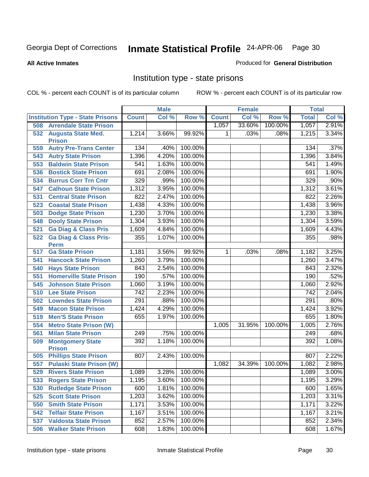**All Active Inmates**

#### Produced for **General Distribution**

### Institution type - state prisons

|     |                                            |              | <b>Male</b> |         |              | <b>Female</b> |         | <b>Total</b> |       |
|-----|--------------------------------------------|--------------|-------------|---------|--------------|---------------|---------|--------------|-------|
|     | <b>Institution Type - State Prisons</b>    | <b>Count</b> | Col %       | Row %   | <b>Count</b> | Col %         | Row %   | <b>Total</b> | Col % |
| 508 | <b>Arrendale State Prison</b>              |              |             |         | 1,057        | 33.60%        | 100.00% | 1,057        | 2.91% |
| 532 | <b>Augusta State Med.</b><br><b>Prison</b> | 1,214        | 3.66%       | 99.92%  | 1.           | .03%          | .08%    | 1,215        | 3.34% |
| 559 | <b>Autry Pre-Trans Center</b>              | 134          | .40%        | 100.00% |              |               |         | 134          | .37%  |
| 543 | <b>Autry State Prison</b>                  | 1,396        | 4.20%       | 100.00% |              |               |         | 1,396        | 3.84% |
| 553 | <b>Baldwin State Prison</b>                | 541          | 1.63%       | 100.00% |              |               |         | 541          | 1.49% |
| 536 | <b>Bostick State Prison</b>                | 691          | 2.08%       | 100.00% |              |               |         | 691          | 1.90% |
| 534 | <b>Burrus Corr Trn Cntr</b>                | 329          | .99%        | 100.00% |              |               |         | 329          | .90%  |
| 547 | <b>Calhoun State Prison</b>                | 1,312        | 3.95%       | 100.00% |              |               |         | 1,312        | 3.61% |
| 531 | <b>Central State Prison</b>                | 822          | 2.47%       | 100.00% |              |               |         | 822          | 2.26% |
| 523 | <b>Coastal State Prison</b>                | 1,438        | 4.33%       | 100.00% |              |               |         | 1,438        | 3.96% |
| 503 | <b>Dodge State Prison</b>                  | 1,230        | 3.70%       | 100.00% |              |               |         | 1,230        | 3.38% |
| 548 | <b>Dooly State Prison</b>                  | 1,304        | 3.93%       | 100.00% |              |               |         | 1,304        | 3.59% |
| 521 | <b>Ga Diag &amp; Class Pris</b>            | 1,609        | 4.84%       | 100.00% |              |               |         | 1,609        | 4.43% |
| 522 | <b>Ga Diag &amp; Class Pris-</b>           | 355          | 1.07%       | 100.00% |              |               |         | 355          | .98%  |
|     | <b>Perm</b>                                |              |             |         |              |               |         |              |       |
| 517 | <b>Ga State Prison</b>                     | 1,181        | 3.56%       | 99.92%  | $\mathbf 1$  | .03%          | .08%    | 1,182        | 3.25% |
| 541 | <b>Hancock State Prison</b>                | 1,260        | 3.79%       | 100.00% |              |               |         | 1,260        | 3.47% |
| 540 | <b>Hays State Prison</b>                   | 843          | 2.54%       | 100.00% |              |               |         | 843          | 2.32% |
| 551 | <b>Homerville State Prison</b>             | 190          | .57%        | 100.00% |              |               |         | 190          | .52%  |
| 545 | <b>Johnson State Prison</b>                | 1,060        | 3.19%       | 100.00% |              |               |         | 1,060        | 2.92% |
| 510 | <b>Lee State Prison</b>                    | 742          | 2.23%       | 100.00% |              |               |         | 742          | 2.04% |
| 502 | <b>Lowndes State Prison</b>                | 291          | .88%        | 100.00% |              |               |         | 291          | .80%  |
| 549 | <b>Macon State Prison</b>                  | 1,424        | 4.29%       | 100.00% |              |               |         | 1,424        | 3.92% |
| 519 | <b>Men'S State Prison</b>                  | 655          | 1.97%       | 100.00% |              |               |         | 655          | 1.80% |
| 554 | <b>Metro State Prison (W)</b>              |              |             |         | 1,005        | 31.95%        | 100.00% | 1,005        | 2.76% |
| 561 | <b>Milan State Prison</b>                  | 249          | .75%        | 100.00% |              |               |         | 249          | .68%  |
| 509 | <b>Montgomery State</b><br><b>Prison</b>   | 392          | 1.18%       | 100.00% |              |               |         | 392          | 1.08% |
| 505 | <b>Phillips State Prison</b>               | 807          | 2.43%       | 100.00% |              |               |         | 807          | 2.22% |
| 557 | <b>Pulaski State Prison (W)</b>            |              |             |         | 1,082        | 34.39%        | 100.00% | 1,082        | 2.98% |
| 529 | <b>Rivers State Prison</b>                 | 1,089        | 3.28%       | 100.00% |              |               |         | 1,089        | 3.00% |
| 533 | <b>Rogers State Prison</b>                 | 1,195        | 3.60%       | 100.00% |              |               |         | 1,195        | 3.29% |
| 530 | <b>Rutledge State Prison</b>               | 600          | 1.81%       | 100.00% |              |               |         | 600          | 1.65% |
| 525 | <b>Scott State Prison</b>                  | 1,203        | 3.62%       | 100.00% |              |               |         | 1,203        | 3.31% |
| 550 | <b>Smith State Prison</b>                  | 1,171        | 3.53%       | 100.00% |              |               |         | 1,171        | 3.22% |
| 542 | <b>Telfair State Prison</b>                | 1,167        | 3.51%       | 100.00% |              |               |         | 1,167        | 3.21% |
| 537 | <b>Valdosta State Prison</b>               | 852          | 2.57%       | 100.00% |              |               |         | 852          | 2.34% |
| 506 | <b>Walker State Prison</b>                 | 608          | 1.83%       | 100.00% |              |               |         | 608          | 1.67% |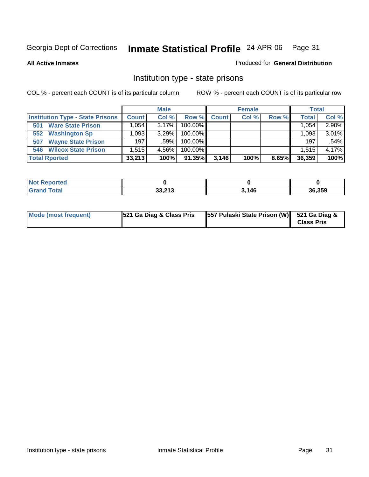**All Active Inmates**

#### Produced for **General Distribution**

### Institution type - state prisons

|                                         | <b>Male</b>  |          |            | <b>Female</b> |       |       | <b>Total</b> |       |
|-----------------------------------------|--------------|----------|------------|---------------|-------|-------|--------------|-------|
| <b>Institution Type - State Prisons</b> | <b>Count</b> | Col %    | Row %      | Count         | Col % | Row % | <b>Total</b> | Col % |
| <b>Ware State Prison</b><br>501         | .054         | $3.17\%$ | $100.00\%$ |               |       |       | 1.054        | 2.90% |
| <b>Washington Sp</b><br>552             | .093         | 3.29%    | $100.00\%$ |               |       |       | 1.093        | 3.01% |
| <b>Wayne State Prison</b><br>507        | 197          | $.59\%$  | $100.00\%$ |               |       |       | 197          | .54%  |
| <b>Wilcox State Prison</b><br>546       | .515         | 4.56%    | 100.00%    |               |       |       | 1.515        | 4.17% |
| <b>Total Rported</b>                    | 33,213       | 100%     | 91.35%     | 3,146         | 100%  | 8.65% | 36,359       | 100%  |

| <b>Not</b><br><b>Reported</b> |                             |       |        |
|-------------------------------|-----------------------------|-------|--------|
| Total                         | <b>22.242</b><br>د ۱ ۱ ه.دد | 3,146 | 36,359 |

| Mode (most frequent) | 521 Ga Diag & Class Pris | 557 Pulaski State Prison (W) 521 Ga Diag & | <b>Class Pris</b> |
|----------------------|--------------------------|--------------------------------------------|-------------------|
|----------------------|--------------------------|--------------------------------------------|-------------------|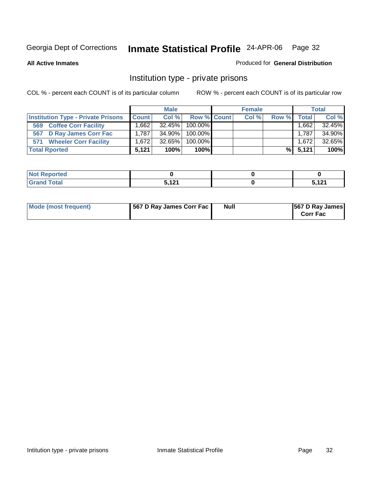**All Active Inmates**

#### Produced for **General Distribution**

### Institution type - private prisons

|                                           | <b>Male</b>         |           |             | <b>Female</b> |       |       | <b>Total</b> |        |
|-------------------------------------------|---------------------|-----------|-------------|---------------|-------|-------|--------------|--------|
| <b>Institution Type - Private Prisons</b> | <b>Count</b>        | Col %     | Row % Count |               | Col % | Row % | <b>Total</b> | Col %  |
| <b>Coffee Corr Facility</b><br>569        | $.662$ <sup>T</sup> | $32.45\%$ | $100.00\%$  |               |       |       | .662         | 32.45% |
| <b>D Ray James Corr Fac</b><br>567        | 1.787               | 34.90%    | $100.00\%$  |               |       |       | 1.787        | 34.90% |
| <b>Wheeler Corr Facility</b><br>571       | 1.672               | 32.65%    | $100.00\%$  |               |       |       | 1.672        | 32.65% |
| <b>Total Rported</b>                      | 5.121               | 100%      | 100%        |               |       |       | % 5,121      | 100%   |

| Reported<br>' NOT |                      |            |
|-------------------|----------------------|------------|
| <b>otal</b><br>-- | E 494<br>14 I<br>. . | . 404<br>. |

| <b>Mode (most frequent)</b> | 567 D Ray James Corr Fac | Null | <b>567 D Ray James</b><br><b>Corr Fac</b> |
|-----------------------------|--------------------------|------|-------------------------------------------|
|-----------------------------|--------------------------|------|-------------------------------------------|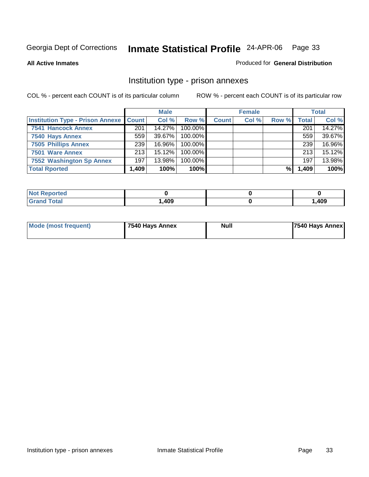**All Active Inmates**

#### Produced for **General Distribution**

### Institution type - prison annexes

|                                         | <b>Male</b>  |        |            | <b>Female</b> |       |       | <b>Total</b> |        |
|-----------------------------------------|--------------|--------|------------|---------------|-------|-------|--------------|--------|
| <b>Institution Type - Prison Annexe</b> | <b>Count</b> | Col %  | Row %      | <b>Count</b>  | Col % | Row % | <b>Total</b> | Col %  |
| <b>7541 Hancock Annex</b>               | 201          | 14.27% | 100.00%    |               |       |       | 201          | 14.27% |
| 7540 Hays Annex                         | 559          | 39.67% | 100.00%    |               |       |       | 559          | 39.67% |
| <b>7505 Phillips Annex</b>              | 239          | 16.96% | $100.00\%$ |               |       |       | 239          | 16.96% |
| 7501 Ware Annex                         | 213          | 15.12% | $100.00\%$ |               |       |       | 213          | 15.12% |
| 7552 Washington Sp Annex                | 197          | 13.98% | 100.00%    |               |       |       | 197          | 13.98% |
| <b>Total Rported</b>                    | 1,409        | 100%   | 100%       |               |       | %     | 1,409        | 100%   |

| <b>Reported</b>      |      |      |
|----------------------|------|------|
| <b>Total</b><br>Grar | ,409 | ,409 |

| Mode (most frequent) | 7540 Hays Annex | Null | 7540 Hays Annex |
|----------------------|-----------------|------|-----------------|
|                      |                 |      |                 |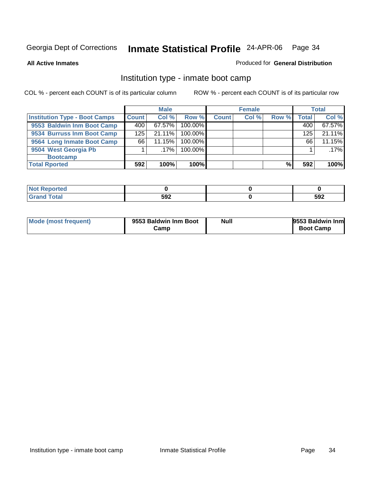**All Active Inmates**

#### Produced for **General Distribution**

### Institution type - inmate boot camp

|                                      | <b>Male</b>  |           |         | <b>Female</b> |       |       | <b>Total</b> |        |
|--------------------------------------|--------------|-----------|---------|---------------|-------|-------|--------------|--------|
| <b>Institution Type - Boot Camps</b> | <b>Count</b> | Col %     | Row %   | <b>Count</b>  | Col % | Row % | <b>Total</b> | Col %  |
| 9553 Baldwin Inm Boot Camp           | 400          | $67.57\%$ | 100.00% |               |       |       | 400          | 67.57% |
| 9534 Burruss Inm Boot Camp           | 125          | 21.11%    | 100.00% |               |       |       | 125          | 21.11% |
| 9564 Long Inmate Boot Camp           | 66           | 11.15%    | 100.00% |               |       |       | 66           | 11.15% |
| 9504 West Georgia Pb                 |              | ا 17%.    | 100.00% |               |       |       |              | .17%   |
| <b>Bootcamp</b>                      |              |           |         |               |       |       |              |        |
| <b>Total Rported</b>                 | 592          | 100%      | 100%    |               |       | %     | 592          | 100%   |

| теа                                  |     |     |
|--------------------------------------|-----|-----|
| $f \wedge f \wedge f$<br>υιαι<br>___ | 592 | 592 |

| Mode (most frequent) | 9553 Baldwin Inm Boot | <b>Null</b> | 9553 Baldwin Inm |
|----------------------|-----------------------|-------------|------------------|
|                      | Camp                  |             | <b>Boot Camp</b> |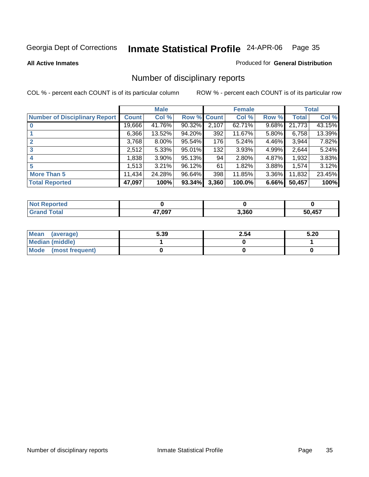**All Active Inmates**

#### Produced for **General Distribution**

### Number of disciplinary reports

|                                      |              | <b>Male</b> |             |       | <b>Female</b> |          |        | <b>Total</b> |
|--------------------------------------|--------------|-------------|-------------|-------|---------------|----------|--------|--------------|
| <b>Number of Disciplinary Report</b> | <b>Count</b> | Col %       | Row % Count |       | Col %         | Row %    | Total  | Col %        |
|                                      | 19,666       | 41.76%      | 90.32%      | 2,107 | 62.71%        | 9.68%    | 21,773 | 43.15%       |
|                                      | 6,366        | 13.52%      | 94.20%      | 392   | 11.67%        | $5.80\%$ | 6,758  | 13.39%       |
|                                      | 3,768        | 8.00%       | 95.54%      | 176   | 5.24%         | 4.46%    | 3,944  | 7.82%        |
| 3                                    | 2,512        | 5.33%       | 95.01%      | 132   | 3.93%         | $4.99\%$ | 2,644  | 5.24%        |
| 4                                    | 1,838        | 3.90%       | 95.13%      | 94    | 2.80%         | 4.87%    | 1,932  | 3.83%        |
| 5                                    | 1,513        | 3.21%       | 96.12%      | 61    | 1.82%         | 3.88%    | 1,574  | 3.12%        |
| <b>More Than 5</b>                   | 11,434       | 24.28%      | 96.64%      | 398   | 11.85%        | $3.36\%$ | 11,832 | 23.45%       |
| <b>Total Reported</b>                | 47,097       | 100%        | 93.34%      | 3,360 | 100.0%        | 6.66%    | 50,457 | 100%         |

| N |                   |       |     |
|---|-------------------|-------|-----|
|   | 47 NQ7<br>"<br>__ | 3.360 | A57 |

| Mean (average)       | 5.39 | 2.54 | 5.20 |
|----------------------|------|------|------|
| Median (middle)      |      |      |      |
| Mode (most frequent) |      |      |      |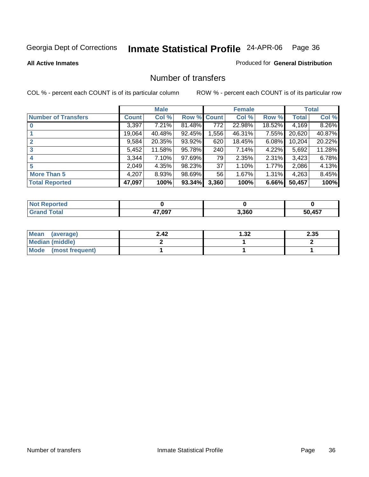#### **All Active Inmates**

### Produced for **General Distribution**

#### Number of transfers

|                            |        | <b>Male</b> |             |                  | <b>Female</b> |          |              | <b>Total</b> |
|----------------------------|--------|-------------|-------------|------------------|---------------|----------|--------------|--------------|
| <b>Number of Transfers</b> | Count  | Col %       | Row % Count |                  | Col %         | Row %    | <b>Total</b> | Col %        |
|                            | 3,397  | $7.21\%$    | 81.48%      | $\overline{772}$ | 22.98%        | 18.52%   | 4,169        | 8.26%        |
|                            | 19,064 | 40.48%      | 92.45%      | 1,556            | 46.31%        | 7.55%    | 20,620       | 40.87%       |
| $\mathbf{2}$               | 9,584  | 20.35%      | 93.92%      | 620              | 18.45%        | 6.08%    | 10,204       | 20.22%       |
| 3                          | 5,452  | 11.58%      | 95.78%      | 240              | 7.14%         | $4.22\%$ | 5,692        | 11.28%       |
|                            | 3,344  | $7.10\%$    | 97.69%      | 79               | 2.35%         | $2.31\%$ | 3,423        | 6.78%        |
| 5                          | 2,049  | 4.35%       | 98.23%      | 37               | 1.10%         | 1.77%    | 2,086        | 4.13%        |
| <b>More Than 5</b>         | 4,207  | 8.93%       | 98.69%      | 56               | 1.67%         | $1.31\%$ | 4,263        | 8.45%        |
| <b>Total Reported</b>      | 47,097 | 100%        | 93.34%      | 3,360            | 100%          | 6.66%    | 50,457       | 100%         |

| Te o<br>N |        |       |            |
|-----------|--------|-------|------------|
| ______    | 17 007 | 3.360 | AET<br>. . |

| Mean (average)       | 2.42 | 1.32 | 2.35 |
|----------------------|------|------|------|
| Median (middle)      |      |      |      |
| Mode (most frequent) |      |      |      |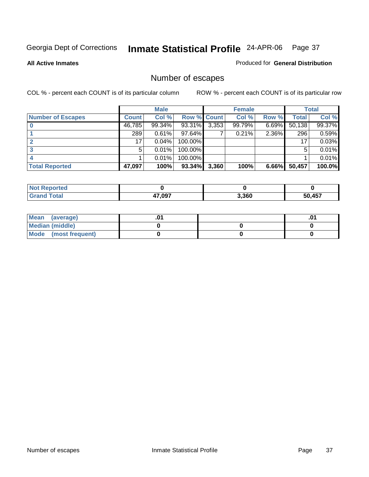**All Active Inmates**

### Produced for **General Distribution**

## Number of escapes

|                          |              | <b>Male</b> |                    |       | <b>Female</b> |          |        | <b>Total</b> |
|--------------------------|--------------|-------------|--------------------|-------|---------------|----------|--------|--------------|
| <b>Number of Escapes</b> | <b>Count</b> | Col %       | <b>Row % Count</b> |       | Col %         | Row %    | Total  | Col %        |
|                          | 46,785       | 99.34%      | 93.31%             | 3,353 | 99.79%        | 6.69%    | 50,138 | 99.37%       |
|                          | 289          | 0.61%       | 97.64%             |       | 0.21%         | 2.36%    | 296    | 0.59%        |
|                          | 17           | 0.04%       | 100.00%            |       |               |          | 17     | 0.03%        |
|                          | 5            | $0.01\%$    | 100.00%            |       |               |          | 5      | 0.01%        |
|                          |              | $0.01\%$    | 100.00%            |       |               |          |        | 0.01%        |
| <b>Total Reported</b>    | 47,097       | 100%        | 93.34%             | 3,360 | 100%          | $6.66\%$ | 50,457 | 100.0%       |

| тео |        |       |        |
|-----|--------|-------|--------|
|     | 47,097 | 3,360 | 50 A57 |

| Mean (average)         |  | .01 |
|------------------------|--|-----|
| <b>Median (middle)</b> |  |     |
| Mode (most frequent)   |  |     |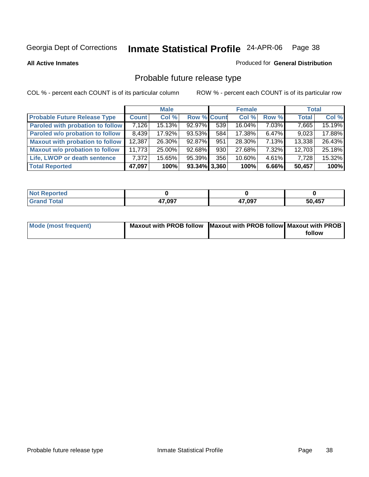**All Active Inmates**

### Produced for **General Distribution**

# Probable future release type

|                                         |        | <b>Male</b> |                    |     | <b>Female</b> |          | <b>Total</b> |        |
|-----------------------------------------|--------|-------------|--------------------|-----|---------------|----------|--------------|--------|
| <b>Probable Future Release Type</b>     | Count  | Col %       | <b>Row % Count</b> |     | Col %         | Row %    | <b>Total</b> | Col %  |
| <b>Paroled with probation to follow</b> | 7,126  | 15.13%      | 92.97%             | 539 | 16.04%        | 7.03%    | 7,665        | 15.19% |
| Paroled w/o probation to follow         | 8.439  | 17.92%      | 93.53%             | 584 | 17.38%        | $6.47\%$ | 9,023        | 17.88% |
| Maxout with probation to follow         | 12,387 | 26.30%      | 92.87%             | 951 | 28.30%        | 7.13%    | 13,338       | 26.43% |
| <b>Maxout w/o probation to follow</b>   | 11,773 | 25.00%      | 92.68%             | 930 | 27.68%        | 7.32%    | 12,703       | 25.18% |
| Life, LWOP or death sentence            | 7.372  | 15.65%      | 95.39%             | 356 | 10.60%        | $4.61\%$ | 7,728        | 15.32% |
| <b>Total Reported</b>                   | 47,097 | 100%        | $93.34\%$ 3.360    |     | 100%          | 6.66%    | 50.457       | 100%   |

| <b>ported</b>        |        |        |        |
|----------------------|--------|--------|--------|
| <b>Total</b><br>Cror | 47,097 | 47,097 | 50,457 |

| <b>Mode (most frequent)</b> | Maxout with PROB follow Maxout with PROB follow Maxout with PROB |        |
|-----------------------------|------------------------------------------------------------------|--------|
|                             |                                                                  | follow |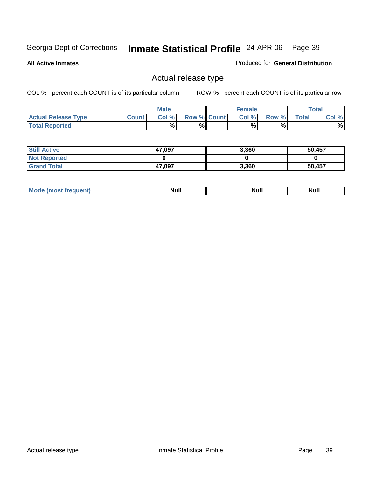**All Active Inmates**

Produced for **General Distribution**

## Actual release type

|                            |       | <b>Male</b> |                    | <b>Female</b> |       |              | Total |
|----------------------------|-------|-------------|--------------------|---------------|-------|--------------|-------|
| <b>Actual Release Type</b> | Count | Col %       | <b>Row % Count</b> | Col %         | Row % | <b>Total</b> | Col % |
| <b>Total Reported</b>      |       | %           | %                  | %             | %     |              | %     |

| <b>Still Active</b> | 47,097 | 3,360 | 50,457 |
|---------------------|--------|-------|--------|
| <b>Not Reported</b> |        |       |        |
| <b>Grand Total</b>  | 47,097 | 3,360 | 50,457 |

| M | <b>Null</b> | ичин | Null |
|---|-------------|------|------|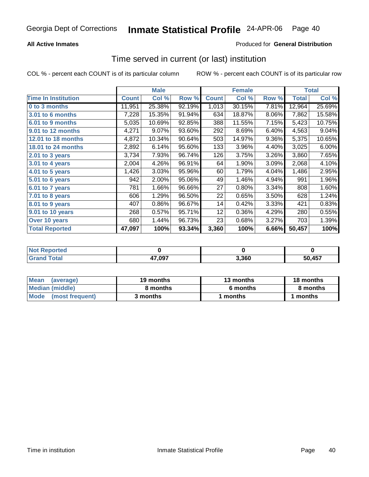### **All Active Inmates**

### Produced for **General Distribution**

## Time served in current (or last) institution

|                            |              | <b>Male</b> |        |              | <b>Female</b> |       |        | <b>Total</b> |
|----------------------------|--------------|-------------|--------|--------------|---------------|-------|--------|--------------|
| <b>Time In Institution</b> | <b>Count</b> | Col %       | Row %  | <b>Count</b> | Col %         | Row % | Total  | Col %        |
| 0 to 3 months              | 11,951       | 25.38%      | 92.19% | 1,013        | 30.15%        | 7.81% | 12,964 | 25.69%       |
| <b>3.01 to 6 months</b>    | 7,228        | 15.35%      | 91.94% | 634          | 18.87%        | 8.06% | 7,862  | 15.58%       |
| 6.01 to 9 months           | 5,035        | 10.69%      | 92.85% | 388          | 11.55%        | 7.15% | 5,423  | 10.75%       |
| 9.01 to 12 months          | 4,271        | 9.07%       | 93.60% | 292          | 8.69%         | 6.40% | 4,563  | 9.04%        |
| 12.01 to 18 months         | 4,872        | 10.34%      | 90.64% | 503          | 14.97%        | 9.36% | 5,375  | 10.65%       |
| 18.01 to 24 months         | 2,892        | 6.14%       | 95.60% | 133          | 3.96%         | 4.40% | 3,025  | 6.00%        |
| 2.01 to 3 years            | 3,734        | 7.93%       | 96.74% | 126          | 3.75%         | 3.26% | 3,860  | 7.65%        |
| 3.01 to 4 years            | 2,004        | 4.26%       | 96.91% | 64           | 1.90%         | 3.09% | 2,068  | 4.10%        |
| 4.01 to 5 years            | 1,426        | 3.03%       | 95.96% | 60           | 1.79%         | 4.04% | 1,486  | 2.95%        |
| 5.01 to 6 years            | 942          | 2.00%       | 95.06% | 49           | 1.46%         | 4.94% | 991    | 1.96%        |
| 6.01 to 7 years            | 781          | 1.66%       | 96.66% | 27           | 0.80%         | 3.34% | 808    | 1.60%        |
| 7.01 to 8 years            | 606          | 1.29%       | 96.50% | 22           | 0.65%         | 3.50% | 628    | 1.24%        |
| 8.01 to 9 years            | 407          | 0.86%       | 96.67% | 14           | 0.42%         | 3.33% | 421    | 0.83%        |
| 9.01 to 10 years           | 268          | 0.57%       | 95.71% | 12           | 0.36%         | 4.29% | 280    | 0.55%        |
| Over 10 years              | 680          | 1.44%       | 96.73% | 23           | 0.68%         | 3.27% | 703    | 1.39%        |
| <b>Total Reported</b>      | 47,097       | 100%        | 93.34% | 3,360        | 100%          | 6.66% | 50,457 | 100%         |

| prted<br><b>NOT</b> |        |      |        |
|---------------------|--------|------|--------|
|                     | 47,097 | 360, | 50 457 |

| Mean<br>(average)    | 19 months | 13 months | 18 months |  |
|----------------------|-----------|-----------|-----------|--|
| Median (middle)      | 8 months  | 6 months  | 8 months  |  |
| Mode (most frequent) | 3 months  | months    | 1 months  |  |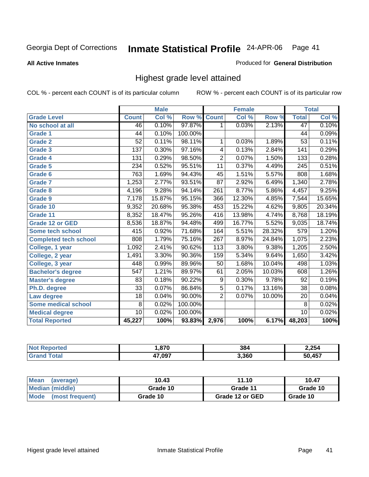**All Active Inmates**

### Produced for **General Distribution**

## Highest grade level attained

|                              |                  | <b>Male</b> |         |                  | <b>Female</b> |        |                  | <b>Total</b> |
|------------------------------|------------------|-------------|---------|------------------|---------------|--------|------------------|--------------|
| <b>Grade Level</b>           | <b>Count</b>     | Col %       | Row %   | <b>Count</b>     | Col %         | Row %  | <b>Total</b>     | Col %        |
| No school at all             | 46               | 0.10%       | 97.87%  | 1                | 0.03%         | 2.13%  | 47               | 0.10%        |
| <b>Grade 1</b>               | $\overline{44}$  | 0.10%       | 100.00% |                  |               |        | 44               | 0.09%        |
| <b>Grade 2</b>               | 52               | 0.11%       | 98.11%  | 1                | 0.03%         | 1.89%  | $\overline{53}$  | 0.11%        |
| <b>Grade 3</b>               | 137              | 0.30%       | 97.16%  | 4                | 0.13%         | 2.84%  | 141              | 0.29%        |
| Grade 4                      | $\overline{131}$ | 0.29%       | 98.50%  | $\overline{2}$   | 0.07%         | 1.50%  | 133              | 0.28%        |
| Grade 5                      | 234              | 0.52%       | 95.51%  | $\overline{11}$  | 0.37%         | 4.49%  | $\overline{245}$ | 0.51%        |
| Grade 6                      | 763              | 1.69%       | 94.43%  | 45               | 1.51%         | 5.57%  | 808              | 1.68%        |
| <b>Grade 7</b>               | 1,253            | 2.77%       | 93.51%  | $\overline{87}$  | 2.92%         | 6.49%  | 1,340            | 2.78%        |
| <b>Grade 8</b>               | 4,196            | 9.28%       | 94.14%  | 261              | 8.77%         | 5.86%  | 4,457            | 9.25%        |
| <b>Grade 9</b>               | 7,178            | 15.87%      | 95.15%  | 366              | 12.30%        | 4.85%  | 7,544            | 15.65%       |
| Grade 10                     | 9,352            | 20.68%      | 95.38%  | 453              | 15.22%        | 4.62%  | 9,805            | 20.34%       |
| Grade 11                     | 8,352            | 18.47%      | 95.26%  | 416              | 13.98%        | 4.74%  | 8,768            | 18.19%       |
| <b>Grade 12 or GED</b>       | 8,536            | 18.87%      | 94.48%  | 499              | 16.77%        | 5.52%  | 9,035            | 18.74%       |
| Some tech school             | $\overline{415}$ | 0.92%       | 71.68%  | 164              | 5.51%         | 28.32% | 579              | 1.20%        |
| <b>Completed tech school</b> | 808              | 1.79%       | 75.16%  | $\overline{267}$ | 8.97%         | 24.84% | 1,075            | 2.23%        |
| College, 1 year              | 1,092            | 2.41%       | 90.62%  | 113              | 3.80%         | 9.38%  | 1,205            | 2.50%        |
| College, 2 year              | 1,491            | 3.30%       | 90.36%  | 159              | 5.34%         | 9.64%  | 1,650            | 3.42%        |
| College, 3 year              | 448              | 0.99%       | 89.96%  | 50               | 1.68%         | 10.04% | 498              | 1.03%        |
| <b>Bachelor's degree</b>     | 547              | 1.21%       | 89.97%  | 61               | 2.05%         | 10.03% | 608              | 1.26%        |
| <b>Master's degree</b>       | 83               | 0.18%       | 90.22%  | 9                | 0.30%         | 9.78%  | 92               | 0.19%        |
| Ph.D. degree                 | $\overline{33}$  | 0.07%       | 86.84%  | $\overline{5}$   | 0.17%         | 13.16% | 38               | 0.08%        |
| Law degree                   | $\overline{18}$  | 0.04%       | 90.00%  | $\overline{2}$   | 0.07%         | 10.00% | $\overline{20}$  | 0.04%        |
| <b>Some medical school</b>   | 8                | 0.02%       | 100.00% |                  |               |        | 8                | 0.02%        |
| <b>Medical degree</b>        | 10               | 0.02%       | 100.00% |                  |               |        | 10               | 0.02%        |
| <b>Total Reported</b>        | 45,227           | 100%        | 93.83%  | 2,976            | 100%          | 6.17%  | 48,203           | 100%         |

| - 070  | 20 <sub>4</sub><br>၁၀٬ | 2,254                             |
|--------|------------------------|-----------------------------------|
| 47.097 | เ วุคก                 | $\overline{a}$ and $\overline{a}$ |

| Mean<br>(average)       | 10.43    | 11.10           | 10.47    |
|-------------------------|----------|-----------------|----------|
| Median (middle)         | Grade 10 | Grade 11        | Grade 10 |
| Mode<br>(most frequent) | Grade 10 | Grade 12 or GED | Grade 10 |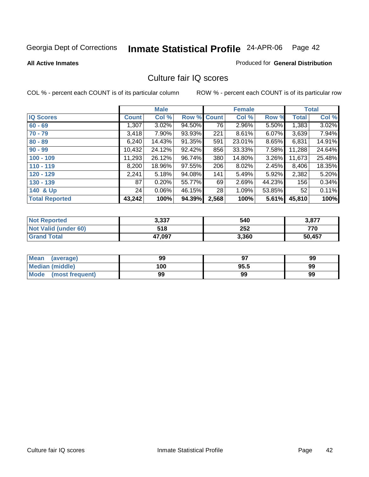### **All Active Inmates**

### Produced for **General Distribution**

## Culture fair IQ scores

|                       |              | <b>Male</b> |        |              | <b>Female</b> |          |              | <b>Total</b> |
|-----------------------|--------------|-------------|--------|--------------|---------------|----------|--------------|--------------|
| <b>IQ Scores</b>      | <b>Count</b> | Col %       | Row %  | <b>Count</b> | Col %         | Row %    | <b>Total</b> | Col %        |
| $60 - 69$             | 1,307        | 3.02%       | 94.50% | 76           | 2.96%         | 5.50%    | 1,383        | 3.02%        |
| $70 - 79$             | 3,418        | $7.90\%$    | 93.93% | 221          | 8.61%         | $6.07\%$ | 3,639        | 7.94%        |
| $80 - 89$             | 6,240        | 14.43%      | 91.35% | 591          | 23.01%        | $8.65\%$ | 6,831        | 14.91%       |
| $90 - 99$             | 10,432       | 24.12%      | 92.42% | 856          | 33.33%        | 7.58%    | 11,288       | 24.64%       |
| $100 - 109$           | 11,293       | 26.12%      | 96.74% | 380          | 14.80%        | $3.26\%$ | 11,673       | 25.48%       |
| $110 - 119$           | 8,200        | 18.96%      | 97.55% | 206          | 8.02%         | 2.45%    | 8,406        | 18.35%       |
| $120 - 129$           | 2,241        | 5.18%       | 94.08% | 141          | 5.49%         | 5.92%    | 2,382        | 5.20%        |
| $130 - 139$           | 87           | 0.20%       | 55.77% | 69           | 2.69%         | 44.23%   | 156          | 0.34%        |
| 140 & Up              | 24           | $0.06\%$    | 46.15% | 28           | 1.09%         | 53.85%   | 52           | 0.11%        |
| <b>Total Reported</b> | 43,242       | 100%        | 94.39% | 2,568        | 100%          | 5.61%    | 45,810       | 100%         |

| <b>Not Reported</b>  | 3,337  | 540   | 3,877  |
|----------------------|--------|-------|--------|
| Not Valid (under 60) | 518    | 252   | 770    |
| <b>Grand Total</b>   | 47,097 | 3,360 | 50,457 |

| <b>Mean</b><br>(average) | 99  | 67   | 99 |
|--------------------------|-----|------|----|
| <b>Median (middle)</b>   | 100 | 95.5 | 99 |
| Mode<br>(most frequent)  | 99  | 99   | 99 |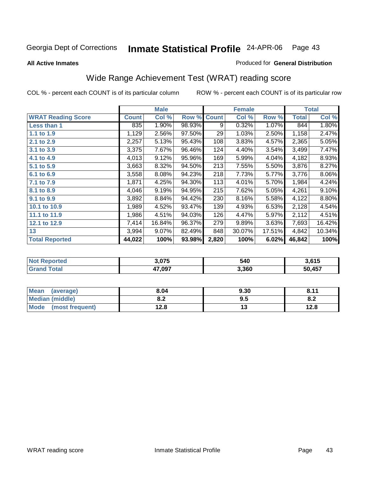### **All Active Inmates**

### Produced for **General Distribution**

## Wide Range Achievement Test (WRAT) reading score

|                           |              | <b>Male</b> |        |              | <b>Female</b> |        |              | <b>Total</b> |
|---------------------------|--------------|-------------|--------|--------------|---------------|--------|--------------|--------------|
| <b>WRAT Reading Score</b> | <b>Count</b> | Col %       | Row %  | <b>Count</b> | Col %         | Row %  | <b>Total</b> | Col %        |
| <b>Less than 1</b>        | 835          | 1.90%       | 98.93% | 9            | 0.32%         | 1.07%  | 844          | 1.80%        |
| 1.1 to 1.9                | 1,129        | 2.56%       | 97.50% | 29           | 1.03%         | 2.50%  | 1,158        | 2.47%        |
| 2.1 to 2.9                | 2,257        | 5.13%       | 95.43% | 108          | 3.83%         | 4.57%  | 2,365        | 5.05%        |
| 3.1 to 3.9                | 3,375        | 7.67%       | 96.46% | 124          | 4.40%         | 3.54%  | 3,499        | 7.47%        |
| 4.1 to 4.9                | 4,013        | 9.12%       | 95.96% | 169          | 5.99%         | 4.04%  | 4,182        | 8.93%        |
| 5.1 to 5.9                | 3,663        | 8.32%       | 94.50% | 213          | 7.55%         | 5.50%  | 3,876        | 8.27%        |
| 6.1 to 6.9                | 3,558        | 8.08%       | 94.23% | 218          | 7.73%         | 5.77%  | 3,776        | 8.06%        |
| 7.1 to 7.9                | 1,871        | 4.25%       | 94.30% | 113          | 4.01%         | 5.70%  | 1,984        | 4.24%        |
| 8.1 to 8.9                | 4,046        | 9.19%       | 94.95% | 215          | 7.62%         | 5.05%  | 4,261        | 9.10%        |
| 9.1 to 9.9                | 3,892        | 8.84%       | 94.42% | 230          | 8.16%         | 5.58%  | 4,122        | 8.80%        |
| 10.1 to 10.9              | 1,989        | 4.52%       | 93.47% | 139          | 4.93%         | 6.53%  | 2,128        | 4.54%        |
| 11.1 to 11.9              | 1,986        | 4.51%       | 94.03% | 126          | 4.47%         | 5.97%  | 2,112        | 4.51%        |
| 12.1 to 12.9              | 7,414        | 16.84%      | 96.37% | 279          | 9.89%         | 3.63%  | 7,693        | 16.42%       |
| 13                        | 3,994        | 9.07%       | 82.49% | 848          | 30.07%        | 17.51% | 4,842        | 10.34%       |
| <b>Total Reported</b>     | 44,022       | 100%        | 93.98% | 2,820        | 100%          | 6.02%  | 46,842       | 100%         |

| тес.<br>N     | אלה י<br>,, , | 540   | 3,615     |
|---------------|---------------|-------|-----------|
| $\sim$ $\sim$ | 47,097        | 3.360 | .157<br>- |

| <b>Mean</b><br>(average) | 8.04          | 9.30 | 0.44 |
|--------------------------|---------------|------|------|
| <b>Median (middle)</b>   | י ה<br>0.Z    | 9.5  | o.z  |
| Mode<br>(most frequent)  | 120<br>ه. 2 ا | . .  | 12.8 |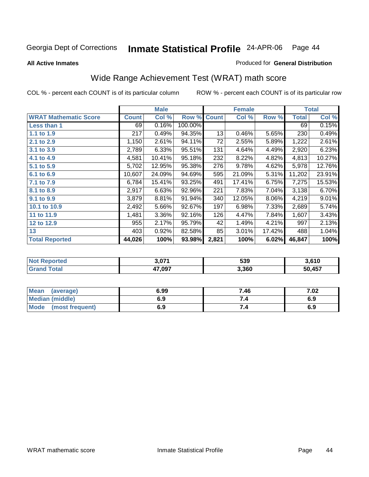**All Active Inmates**

### Produced for **General Distribution**

## Wide Range Achievement Test (WRAT) math score

|                              |              | <b>Male</b> |         |              | <b>Female</b> |        |              | <b>Total</b> |
|------------------------------|--------------|-------------|---------|--------------|---------------|--------|--------------|--------------|
| <b>WRAT Mathematic Score</b> | <b>Count</b> | Col %       | Row %   | <b>Count</b> | Col %         | Row %  | <b>Total</b> | Col %        |
| Less than 1                  | 69           | 0.16%       | 100.00% |              |               |        | 69           | 0.15%        |
| 1.1 to 1.9                   | 217          | 0.49%       | 94.35%  | 13           | 0.46%         | 5.65%  | 230          | 0.49%        |
| 2.1 to 2.9                   | 1,150        | 2.61%       | 94.11%  | 72           | 2.55%         | 5.89%  | 1,222        | 2.61%        |
| 3.1 to 3.9                   | 2,789        | 6.33%       | 95.51%  | 131          | 4.64%         | 4.49%  | 2,920        | 6.23%        |
| 4.1 to 4.9                   | 4,581        | 10.41%      | 95.18%  | 232          | 8.22%         | 4.82%  | 4,813        | 10.27%       |
| 5.1 to 5.9                   | 5,702        | 12.95%      | 95.38%  | 276          | 9.78%         | 4.62%  | 5,978        | 12.76%       |
| 6.1 to 6.9                   | 10,607       | 24.09%      | 94.69%  | 595          | 21.09%        | 5.31%  | 11,202       | 23.91%       |
| 7.1 to 7.9                   | 6,784        | 15.41%      | 93.25%  | 491          | 17.41%        | 6.75%  | 7,275        | 15.53%       |
| 8.1 to 8.9                   | 2,917        | 6.63%       | 92.96%  | 221          | 7.83%         | 7.04%  | 3,138        | 6.70%        |
| 9.1 to 9.9                   | 3,879        | 8.81%       | 91.94%  | 340          | 12.05%        | 8.06%  | 4,219        | 9.01%        |
| 10.1 to 10.9                 | 2,492        | 5.66%       | 92.67%  | 197          | 6.98%         | 7.33%  | 2,689        | 5.74%        |
| 11 to 11.9                   | 1,481        | 3.36%       | 92.16%  | 126          | 4.47%         | 7.84%  | 1,607        | 3.43%        |
| 12 to 12.9                   | 955          | 2.17%       | 95.79%  | 42           | 1.49%         | 4.21%  | 997          | 2.13%        |
| 13                           | 403          | 0.92%       | 82.58%  | 85           | 3.01%         | 17.42% | 488          | 1.04%        |
| <b>Total Reported</b>        | 44,026       | 100%        | 93.98%  | 2,821        | 100%          | 6.02%  | 46,847       | 100%         |

| <b>rteo</b><br>NO | גדה כ  | 539   | 3,610  |
|-------------------|--------|-------|--------|
|                   | 47,097 | 3,360 | 50,457 |

| <b>Mean</b><br>(average) | 6.99 | 7.46 | 7.02 |
|--------------------------|------|------|------|
| <b>Median (middle)</b>   | 6.9  |      | 6.9  |
| Mode<br>(most frequent)  | 6.9  | 7.4  | 6.9  |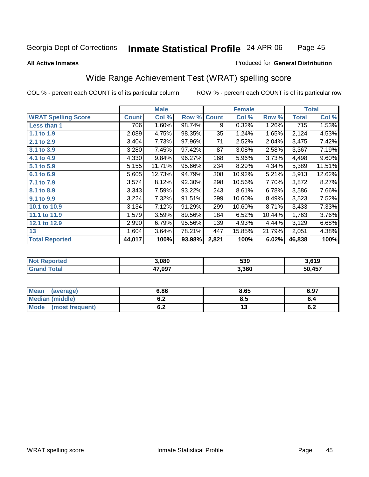### **All Active Inmates**

### Produced for **General Distribution**

## Wide Range Achievement Test (WRAT) spelling score

|                            |              | <b>Male</b> |        |              | <b>Female</b> |          |              | <b>Total</b> |
|----------------------------|--------------|-------------|--------|--------------|---------------|----------|--------------|--------------|
| <b>WRAT Spelling Score</b> | <b>Count</b> | Col %       | Row %  | <b>Count</b> | Col %         | Row %    | <b>Total</b> | Col %        |
| <b>Less than 1</b>         | 706          | 1.60%       | 98.74% | 9            | 0.32%         | $1.26\%$ | 715          | 1.53%        |
| 1.1 to 1.9                 | 2,089        | 4.75%       | 98.35% | 35           | 1.24%         | 1.65%    | 2,124        | 4.53%        |
| 2.1 to 2.9                 | 3,404        | 7.73%       | 97.96% | 71           | 2.52%         | 2.04%    | 3,475        | 7.42%        |
| 3.1 to 3.9                 | 3,280        | 7.45%       | 97.42% | 87           | 3.08%         | 2.58%    | 3,367        | 7.19%        |
| 4.1 to 4.9                 | 4,330        | 9.84%       | 96.27% | 168          | 5.96%         | 3.73%    | 4,498        | 9.60%        |
| 5.1 to 5.9                 | 5,155        | 11.71%      | 95.66% | 234          | 8.29%         | 4.34%    | 5,389        | 11.51%       |
| 6.1 to 6.9                 | 5,605        | 12.73%      | 94.79% | 308          | 10.92%        | 5.21%    | 5,913        | 12.62%       |
| 7.1 to 7.9                 | 3,574        | 8.12%       | 92.30% | 298          | 10.56%        | 7.70%    | 3,872        | 8.27%        |
| 8.1 to 8.9                 | 3,343        | 7.59%       | 93.22% | 243          | 8.61%         | 6.78%    | 3,586        | 7.66%        |
| 9.1 to 9.9                 | 3,224        | 7.32%       | 91.51% | 299          | 10.60%        | 8.49%    | 3,523        | 7.52%        |
| 10.1 to 10.9               | 3,134        | 7.12%       | 91.29% | 299          | 10.60%        | 8.71%    | 3,433        | 7.33%        |
| 11.1 to 11.9               | 1,579        | 3.59%       | 89.56% | 184          | 6.52%         | 10.44%   | 1,763        | 3.76%        |
| 12.1 to 12.9               | 2,990        | 6.79%       | 95.56% | 139          | 4.93%         | 4.44%    | 3,129        | 6.68%        |
| 13                         | 1,604        | 3.64%       | 78.21% | 447          | 15.85%        | 21.79%   | 2,051        | 4.38%        |
| <b>Total Reported</b>      | 44,017       | 100%        | 93.98% | 2,821        | 100%          | 6.02%    | 46,838       | 100%         |

| <b>orted</b><br>NO. | 3.080  | 539   | 3.619  |
|---------------------|--------|-------|--------|
| `otal<br>. Grs      | 47,097 | 3,360 | 50,457 |

| Mean<br>(average)              | 6.86                          | 8.65 | 6.97 |
|--------------------------------|-------------------------------|------|------|
| Median (middle)                | r n<br>0.Z                    | 8.5  | v.4  |
| <b>Mode</b><br>(most frequent) | $\mathbf{0} \cdot \mathbf{2}$ | ט ו  | v.z  |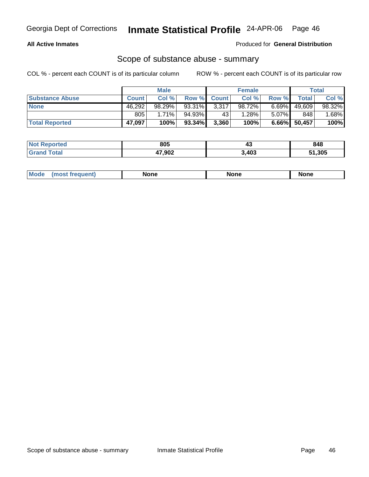### **All Active Inmates**

Produced for **General Distribution**

## Scope of substance abuse - summary

|                        |              | <b>Male</b> |             |       | <b>Female</b> |          |              | <b>Total</b> |
|------------------------|--------------|-------------|-------------|-------|---------------|----------|--------------|--------------|
| <b>Substance Abuse</b> | <b>Count</b> | Col %       | Row % Count |       | Col %         | Row %    | Total        | Col %        |
| <b>None</b>            | 46,292       | 98.29%      | 93.31%      | 3,317 | 98.72%        | $6.69\%$ | 49,609       | 98.32%       |
|                        | 805          | $1.71\%$    | 94.93%      | 43    | 1.28%         | $5.07\%$ | 848          | $1.68\%$     |
| <b>Total Reported</b>  | 47,097       | 100%        | 93.34%      | 3,360 | 100%          |          | 6.66% 50,457 | $100\%$      |

| <b>Not</b><br><b>Reported</b> | 805    | <br>≖∾ | 848    |
|-------------------------------|--------|--------|--------|
| <b>cotal</b>                  | 47,902 | 3,403  | 51,305 |

|  | Mode | lone | None | <b>None</b> |
|--|------|------|------|-------------|
|--|------|------|------|-------------|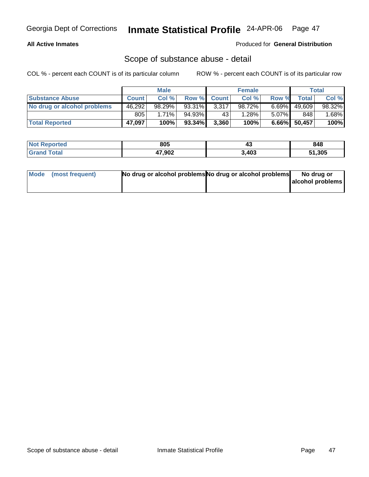### **All Active Inmates**

### Produced for **General Distribution**

## Scope of substance abuse - detail

|                             |              | <b>Male</b> |           |             | <b>Female</b> |          |              | Total    |
|-----------------------------|--------------|-------------|-----------|-------------|---------------|----------|--------------|----------|
| <b>Substance Abuse</b>      | <b>Count</b> | Col %       |           | Row % Count | Col %         | Row %    | Total        | Col %    |
| No drug or alcohol problems | 46,292       | $98.29\%$   | 93.31%    | 3,317       | 98.72%        | $6.69\%$ | 49,609       | 98.32%   |
|                             | 805          | $1.71\%$    | 94.93%    | 43          | 1.28%         | $5.07\%$ | 848          | $1.68\%$ |
| <b>Total Reported</b>       | 47,097       | 100%        | $93.34\%$ | 3,360       | 100%          |          | 6.66% 50,457 | 100%     |

| <b>Not Reported</b> | 805    | $\mathbf{r}$<br>᠇៶ | 848    |
|---------------------|--------|--------------------|--------|
| <b>Grand Total</b>  | 47,902 | 3,403              | 51,305 |

| Mode (most frequent) | No drug or alcohol problems No drug or alcohol problems | No drug or       |
|----------------------|---------------------------------------------------------|------------------|
|                      |                                                         | alcohol problems |
|                      |                                                         |                  |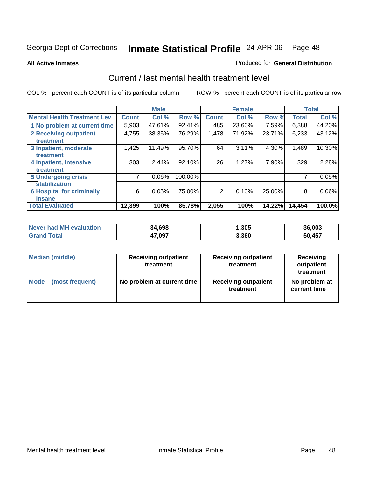**All Active Inmates**

### Produced for **General Distribution**

## Current / last mental health treatment level

|                                    |              | <b>Male</b> |         |              | <b>Female</b> |        |              | <b>Total</b> |
|------------------------------------|--------------|-------------|---------|--------------|---------------|--------|--------------|--------------|
| <b>Mental Health Treatment Lev</b> | <b>Count</b> | Col%        | Row %   | <b>Count</b> | Col %         | Row %  | <b>Total</b> | Col %        |
| 1 No problem at current time       | 5,903        | 47.61%      | 92.41%  | 485          | 23.60%        | 7.59%  | 6,388        | 44.20%       |
| <b>2 Receiving outpatient</b>      | 4,755        | 38.35%      | 76.29%  | 1,478        | 71.92%        | 23.71% | 6,233        | 43.12%       |
| treatment                          |              |             |         |              |               |        |              |              |
| 3 Inpatient, moderate              | 1,425        | 11.49%      | 95.70%  | 64           | 3.11%         | 4.30%  | 1,489        | 10.30%       |
| treatment                          |              |             |         |              |               |        |              |              |
| 4 Inpatient, intensive             | 303          | 2.44%       | 92.10%  | 26           | 1.27%         | 7.90%  | 329          | 2.28%        |
| treatment                          |              |             |         |              |               |        |              |              |
| <b>5 Undergoing crisis</b>         | 7            | 0.06%       | 100.00% |              |               |        |              | 0.05%        |
| stabilization                      |              |             |         |              |               |        |              |              |
| <b>6 Hospital for criminally</b>   | 6            | 0.05%       | 75.00%  | 2            | 0.10%         | 25.00% | 8            | $0.06\%$     |
| insane                             |              |             |         |              |               |        |              |              |
| <b>Total Evaluated</b>             | 12,399       | 100%        | 85.78%  | 2,055        | 100%          | 14.22% | 14,454       | 100.0%       |

| Never had MH evaluation | 34,698 | 305,  | 36,003 |
|-------------------------|--------|-------|--------|
| $\mathsf{Total}$        | 47,097 | 3,360 | 50,457 |

| <b>Median (middle)</b> | <b>Receiving outpatient</b><br>treatment | <b>Receiving outpatient</b><br>treatment | Receiving<br>outpatient<br>treatment |  |
|------------------------|------------------------------------------|------------------------------------------|--------------------------------------|--|
| Mode                   | No problem at current time               | <b>Receiving outpatient</b>              | No problem at                        |  |
| (most frequent)        |                                          | treatment                                | current time                         |  |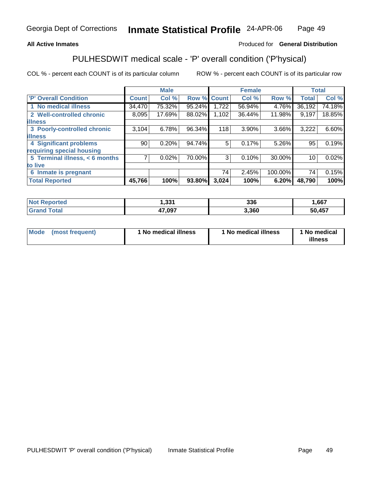### **All Active Inmates**

### Produced for **General Distribution**

# PULHESDWIT medical scale - 'P' overall condition ('P'hysical)

|                                |              | <b>Male</b> |             |       | <b>Female</b> |         |              | <b>Total</b> |
|--------------------------------|--------------|-------------|-------------|-------|---------------|---------|--------------|--------------|
| 'P' Overall Condition          | <b>Count</b> | Col %       | Row % Count |       | Col %         | Row %   | <b>Total</b> | Col %        |
| 1 No medical illness           | 34,470       | 75.32%      | 95.24%      | .722  | 56.94%        | 4.76%   | 36,192       | 74.18%       |
| 2 Well-controlled chronic      | 8,095        | 17.69%      | 88.02%      | 1,102 | 36.44%        | 11.98%  | 9,197        | 18.85%       |
| <b>illness</b>                 |              |             |             |       |               |         |              |              |
| 3 Poorly-controlled chronic    | 3,104        | 6.78%       | 96.34%      | 118   | 3.90%         | 3.66%   | 3,222        | 6.60%        |
| <b>illness</b>                 |              |             |             |       |               |         |              |              |
| <b>4 Significant problems</b>  | 90           | 0.20%       | 94.74%      | 5     | 0.17%         | 5.26%   | 95           | 0.19%        |
| requiring special housing      |              |             |             |       |               |         |              |              |
| 5 Terminal illness, < 6 months |              | 0.02%       | 70.00%      | 3     | 0.10%         | 30.00%  | 10           | 0.02%        |
| to live                        |              |             |             |       |               |         |              |              |
| 6 Inmate is pregnant           |              |             |             | 74    | 2.45%         | 100.00% | 74           | 0.15%        |
| <b>Total Reported</b>          | 45,766       | 100%        | 93.80%      | 3,024 | 100%          | 6.20%   | 48,790       | 100%         |

| N <sub>of</sub><br><b>oorted</b> | 1,331  | 336   | ,667   |
|----------------------------------|--------|-------|--------|
| Γota⊦<br><b>'</b> Gran∖          | 47,097 | 3,360 | 50,457 |

| <b>Mode</b> | (most frequent) | 1 No medical illness | 1 No medical illness | 1 No medical<br>illness |
|-------------|-----------------|----------------------|----------------------|-------------------------|
|-------------|-----------------|----------------------|----------------------|-------------------------|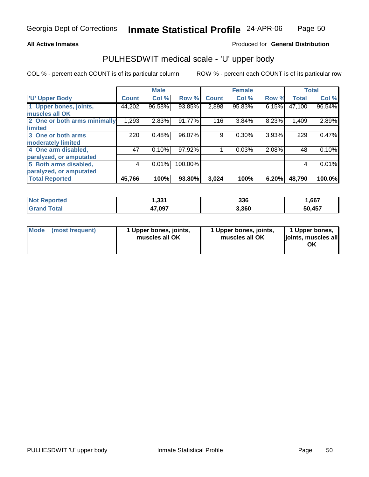### **All Active Inmates**

### Produced for **General Distribution**

## PULHESDWIT medical scale - 'U' upper body

|                              |              | <b>Male</b> |         |              | <b>Female</b> |       |              | <b>Total</b> |
|------------------------------|--------------|-------------|---------|--------------|---------------|-------|--------------|--------------|
| <b>U' Upper Body</b>         | <b>Count</b> | Col %       | Row %   | <b>Count</b> | Col %         | Row % | <b>Total</b> | Col %        |
| 1 Upper bones, joints,       | 44,202       | 96.58%      | 93.85%  | 2,898        | 95.83%        | 6.15% | 47,100       | 96.54%       |
| muscles all OK               |              |             |         |              |               |       |              |              |
| 2 One or both arms minimally | 1,293        | 2.83%       | 91.77%  | 116          | 3.84%         | 8.23% | 1,409        | 2.89%        |
| <b>limited</b>               |              |             |         |              |               |       |              |              |
| 3 One or both arms           | 220          | 0.48%       | 96.07%  | 9            | 0.30%         | 3.93% | 229          | 0.47%        |
| moderately limited           |              |             |         |              |               |       |              |              |
| 4 One arm disabled,          | 47           | 0.10%       | 97.92%  |              | 0.03%         | 2.08% | 48           | 0.10%        |
| paralyzed, or amputated      |              |             |         |              |               |       |              |              |
| 5 Both arms disabled,        | 4            | 0.01%       | 100.00% |              |               |       | 4            | 0.01%        |
| paralyzed, or amputated      |              |             |         |              |               |       |              |              |
| <b>Total Reported</b>        | 45,766       | 100%        | 93.80%  | 3,024        | 100%          | 6.20% | 48,790       | 100.0%       |

| <b>Not</b><br><b>ported</b> | 331.ا  | 336   | 667, ا |
|-----------------------------|--------|-------|--------|
| Total                       | 47,097 | 3,360 | 50,457 |

| <b>Mode</b> | (most frequent) | 1 Upper bones, joints,<br>muscles all OK | 1 Upper bones, joints,<br>muscles all OK | 1 Upper bones,<br>joints, muscles all<br>OK |
|-------------|-----------------|------------------------------------------|------------------------------------------|---------------------------------------------|
|-------------|-----------------|------------------------------------------|------------------------------------------|---------------------------------------------|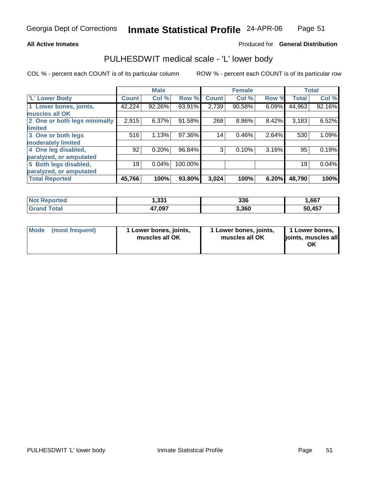### **All Active Inmates**

### Produced for **General Distribution**

## PULHESDWIT medical scale - 'L' lower body

|                              |              | <b>Male</b> |         |              | <b>Female</b> |       |              | <b>Total</b> |
|------------------------------|--------------|-------------|---------|--------------|---------------|-------|--------------|--------------|
| 'L' Lower Body               | <b>Count</b> | Col %       | Row %   | <b>Count</b> | Col %         | Row % | <b>Total</b> | Col %        |
| 1 Lower bones, joints,       | 42,224       | 92.26%      | 93.91%  | 2,739        | 90.58%        | 6.09% | 44,963       | 92.16%       |
| muscles all OK               |              |             |         |              |               |       |              |              |
| 2 One or both legs minimally | 2,915        | 6.37%       | 91.58%  | 268          | 8.86%         | 8.42% | 3,183        | 6.52%        |
| limited                      |              |             |         |              |               |       |              |              |
| 3 One or both legs           | 516          | 1.13%       | 97.36%  | 14           | 0.46%         | 2.64% | 530          | 1.09%        |
| moderately limited           |              |             |         |              |               |       |              |              |
| 4 One leg disabled,          | 92           | 0.20%       | 96.84%  | 3            | 0.10%         | 3.16% | 95           | 0.19%        |
| paralyzed, or amputated      |              |             |         |              |               |       |              |              |
| 5 Both legs disabled,        | 19           | 0.04%       | 100.00% |              |               |       | 19           | 0.04%        |
| paralyzed, or amputated      |              |             |         |              |               |       |              |              |
| <b>Total Reported</b>        | 45,766       | 100%        | 93.80%  | 3,024        | 100%          | 6.20% | 48,790       | 100%         |

| ported<br>NO.         | 331.،  | 336   | .667   |
|-----------------------|--------|-------|--------|
| <b>Total</b><br>. Grs | 47,097 | 3,360 | 50,457 |

| Mode | (most frequent) | 1 Lower bones, joints,<br>muscles all OK | 1 Lower bones, joints,<br>muscles all OK | 1 Lower bones,<br>ljoints, muscles all<br>OK |
|------|-----------------|------------------------------------------|------------------------------------------|----------------------------------------------|
|------|-----------------|------------------------------------------|------------------------------------------|----------------------------------------------|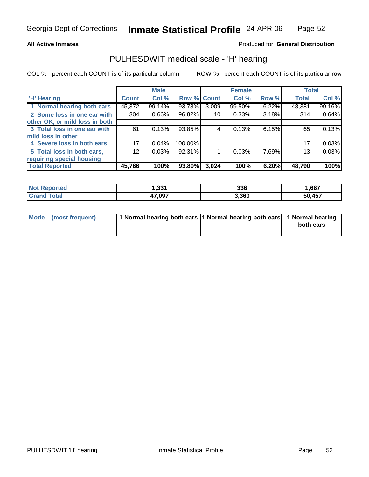### **All Active Inmates**

### Produced for **General Distribution**

## PULHESDWIT medical scale - 'H' hearing

|                                |              | <b>Male</b> |             |       | <b>Female</b> |       | <b>Total</b> |        |
|--------------------------------|--------------|-------------|-------------|-------|---------------|-------|--------------|--------|
| <b>H'</b> Hearing              | <b>Count</b> | Col %       | Row % Count |       | Col %         | Row % | <b>Total</b> | Col %  |
| 1 Normal hearing both ears     | 45,372       | 99.14%      | 93.78%      | 3,009 | 99.50%        | 6.22% | 48,381       | 99.16% |
| 2 Some loss in one ear with    | 304          | 0.66%       | 96.82%      | 10    | 0.33%         | 3.18% | 314          | 0.64%  |
| other OK, or mild loss in both |              |             |             |       |               |       |              |        |
| 3 Total loss in one ear with   | 61           | 0.13%       | 93.85%      | 4     | 0.13%         | 6.15% | 65           | 0.13%  |
| mild loss in other             |              |             |             |       |               |       |              |        |
| 4 Severe loss in both ears     | 17           | 0.04%       | 100.00%     |       |               |       | 17           | 0.03%  |
| 5 Total loss in both ears,     | 12           | 0.03%       | 92.31%      |       | 0.03%         | 7.69% | 13           | 0.03%  |
| requiring special housing      |              |             |             |       |               |       |              |        |
| <b>Total Reported</b>          | 45,766       | 100%        | 93.80%      | 3,024 | 100%          | 6.20% | 48,790       | 100%   |

| - 221  | 336   | ,667   |
|--------|-------|--------|
| 47.097 | 3.360 | 50.457 |

| Mode (most frequent) | 1 Normal hearing both ears 1 Normal hearing both ears 1 Normal hearing |           |
|----------------------|------------------------------------------------------------------------|-----------|
|                      |                                                                        | both ears |
|                      |                                                                        |           |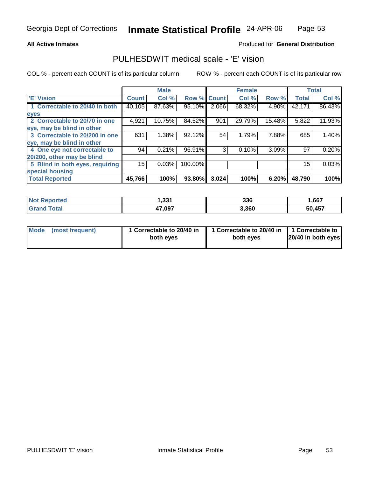### **All Active Inmates**

### Produced for **General Distribution**

## PULHESDWIT medical scale - 'E' vision

|                                 |              | <b>Male</b> |                    |       | <b>Female</b> |        |              | <b>Total</b> |
|---------------------------------|--------------|-------------|--------------------|-------|---------------|--------|--------------|--------------|
| <b>E' Vision</b>                | <b>Count</b> | Col %       | <b>Row % Count</b> |       | Col %         | Row %  | <b>Total</b> | Col %        |
| 1 Correctable to 20/40 in both  | 40,105       | 87.63%      | 95.10%             | 2,066 | 68.32%        | 4.90%  | 42,171       | 86.43%       |
| eyes                            |              |             |                    |       |               |        |              |              |
| 2 Correctable to 20/70 in one   | 4,921        | 10.75%      | 84.52%             | 901   | 29.79%        | 15.48% | 5,822        | 11.93%       |
| eye, may be blind in other      |              |             |                    |       |               |        |              |              |
| 3 Correctable to 20/200 in one  | 631          | 1.38%       | 92.12%             | 54    | 1.79%         | 7.88%  | 685          | 1.40%        |
| eye, may be blind in other      |              |             |                    |       |               |        |              |              |
| 4 One eye not correctable to    | 94           | 0.21%       | 96.91%             | 3     | 0.10%         | 3.09%  | 97           | 0.20%        |
| 20/200, other may be blind      |              |             |                    |       |               |        |              |              |
| 5 Blind in both eyes, requiring | 15           | 0.03%       | 100.00%            |       |               |        | 15           | 0.03%        |
| special housing                 |              |             |                    |       |               |        |              |              |
| <b>Total Reported</b>           | 45,766       | 100%        | 93.80%             | 3,024 | 100%          | 6.20%  | 48,790       | 100%         |

| <b>Not Reported</b> | 1,331  | 336   | 1,667  |
|---------------------|--------|-------|--------|
| Total<br>Grand      | 47,097 | 3,360 | 50,457 |

| Mode            | 1 Correctable to 20/40 in | 1 Correctable to 20/40 in   1 Correctable to | 20/40 in both eyes |
|-----------------|---------------------------|----------------------------------------------|--------------------|
| (most frequent) | both eyes                 | both eyes                                    |                    |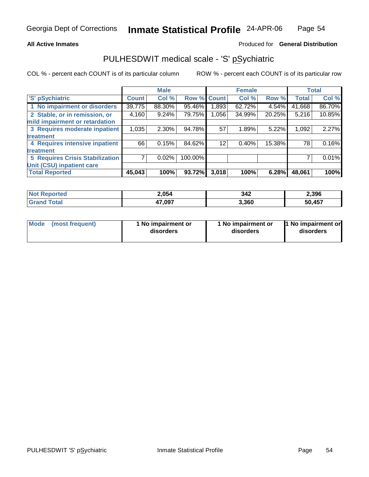### **All Active Inmates**

### Produced for **General Distribution**

## PULHESDWIT medical scale - 'S' pSychiatric

|                                        |              | <b>Male</b> |         |              | <b>Female</b> |        |              | <b>Total</b> |
|----------------------------------------|--------------|-------------|---------|--------------|---------------|--------|--------------|--------------|
| 'S' pSychiatric                        | <b>Count</b> | Col %       | Row %   | <b>Count</b> | Col %         | Row %  | <b>Total</b> | Col %        |
| 1 No impairment or disorders           | 39,775       | 88.30%      | 95.46%  | .893         | 62.72%        | 4.54%  | 41,668       | 86.70%       |
| 2 Stable, or in remission, or          | 4,160        | 9.24%       | 79.75%  | 1,056        | 34.99%        | 20.25% | 5,216        | 10.85%       |
| mild impairment or retardation         |              |             |         |              |               |        |              |              |
| 3 Requires moderate inpatient          | 1,035        | $2.30\%$    | 94.78%  | 57           | 1.89%         | 5.22%  | 1,092        | 2.27%        |
| treatment                              |              |             |         |              |               |        |              |              |
| 4 Requires intensive inpatient         | 66           | 0.15%       | 84.62%  | 12           | 0.40%         | 15.38% | 78           | 0.16%        |
| treatment                              |              |             |         |              |               |        |              |              |
| <b>5 Requires Crisis Stabilization</b> |              | 0.02%       | 100.00% |              |               |        |              | 0.01%        |
| Unit (CSU) inpatient care              |              |             |         |              |               |        |              |              |
| <b>Total Reported</b>                  | 45,043       | 100%        | 93.72%  | 3,018        | 100%          | 6.28%  | 48,061       | 100%         |

| <b>Not</b><br><b>orted</b> | 2,054  | 342   | 2,396  |
|----------------------------|--------|-------|--------|
| $\sim$ 10                  | 17,097 | 3,360 | 50,457 |

| Mode | (most frequent) | 1 No impairment or<br>disorders | 1 No impairment or<br>disorders | 1 No impairment or<br>disorders |
|------|-----------------|---------------------------------|---------------------------------|---------------------------------|
|------|-----------------|---------------------------------|---------------------------------|---------------------------------|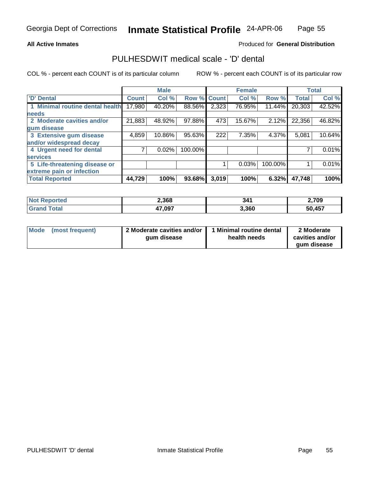### **All Active Inmates**

### Produced for **General Distribution**

## PULHESDWIT medical scale - 'D' dental

|                                 |              | <b>Male</b> |                    |       | <b>Female</b> |         |              | <b>Total</b> |
|---------------------------------|--------------|-------------|--------------------|-------|---------------|---------|--------------|--------------|
| 'D' Dental                      | <b>Count</b> | Col %       | <b>Row % Count</b> |       | Col %         | Row %   | <b>Total</b> | Col %        |
| 1 Minimal routine dental health | 17,980       | 40.20%      | 88.56%             | 2,323 | 76.95%        | 11.44%  | 20,303       | 42.52%       |
| <b>needs</b>                    |              |             |                    |       |               |         |              |              |
| 2 Moderate cavities and/or      | 21,883       | 48.92%      | 97.88%             | 473   | 15.67%        | 2.12%   | 22,356       | 46.82%       |
| gum disease                     |              |             |                    |       |               |         |              |              |
| 3 Extensive gum disease         | 4,859        | 10.86%      | 95.63%             | 222   | 7.35%         | 4.37%   | 5,081        | 10.64%       |
| and/or widespread decay         |              |             |                    |       |               |         |              |              |
| 4 Urgent need for dental        |              | 0.02%       | 100.00%            |       |               |         |              | 0.01%        |
| <b>services</b>                 |              |             |                    |       |               |         |              |              |
| 5 Life-threatening disease or   |              |             |                    |       | 0.03%         | 100.00% |              | 0.01%        |
| extreme pain or infection       |              |             |                    |       |               |         |              |              |
| <b>Total Reported</b>           | 44,729       | 100%        | 93.68%             | 3,019 | 100%          | 6.32%   | 47,748       | 100%         |

| <b>Not</b><br>Reported          | 2,368  | 341   | 2,709  |
|---------------------------------|--------|-------|--------|
| $\mathsf{Total}$<br><b>Gran</b> | 47,097 | 3,360 | 50,457 |

| Mode | (most frequent) | 2 Moderate cavities and/or  <br>gum disease | 1 Minimal routine dental<br>health needs | 2 Moderate<br>cavities and/or |
|------|-----------------|---------------------------------------------|------------------------------------------|-------------------------------|
|      |                 |                                             |                                          | gum disease                   |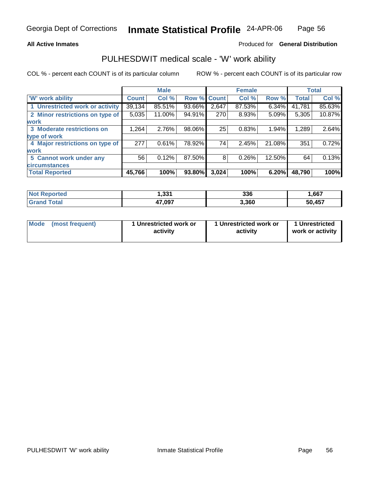### **All Active Inmates**

### Produced for **General Distribution**

## PULHESDWIT medical scale - 'W' work ability

|                                 |              | <b>Male</b> |             |       | <b>Female</b> |          |              | <b>Total</b> |
|---------------------------------|--------------|-------------|-------------|-------|---------------|----------|--------------|--------------|
| <b>W' work ability</b>          | <b>Count</b> | Col %       | Row % Count |       | Col %         | Row %    | <b>Total</b> | Col %        |
| 1 Unrestricted work or activity | 39,134       | 85.51%      | 93.66%      | 2,647 | 87.53%        | $6.34\%$ | 41,781       | 85.63%       |
| 2 Minor restrictions on type of | 5,035        | 11.00%      | 94.91%      | 270   | 8.93%         | 5.09%    | 5,305        | 10.87%       |
| <b>work</b>                     |              |             |             |       |               |          |              |              |
| 3 Moderate restrictions on      | 1,264        | 2.76%       | 98.06%      | 25    | 0.83%         | 1.94%    | 1,289        | 2.64%        |
| type of work                    |              |             |             |       |               |          |              |              |
| 4 Major restrictions on type of | 277          | 0.61%       | 78.92%      | 74    | 2.45%         | 21.08%   | 351          | 0.72%        |
| work                            |              |             |             |       |               |          |              |              |
| 5 Cannot work under any         | 56           | 0.12%       | 87.50%      | 8     | 0.26%         | 12.50%   | 64           | 0.13%        |
| <b>circumstances</b>            |              |             |             |       |               |          |              |              |
| <b>Total Reported</b>           | 45,766       | 100%        | 93.80%      | 3,024 | 100%          | 6.20%    | 48,790       | 100%         |

| <b>Not Reported</b>    | 1,331  | 336   | ,667   |
|------------------------|--------|-------|--------|
| $\tau$ otal<br>' Grand | 47,097 | 3,360 | 50,457 |

| Mode | (most frequent) | 1 Unrestricted work or<br>activity | 1 Unrestricted work or<br>activity | 1 Unrestricted<br>work or activity |
|------|-----------------|------------------------------------|------------------------------------|------------------------------------|
|------|-----------------|------------------------------------|------------------------------------|------------------------------------|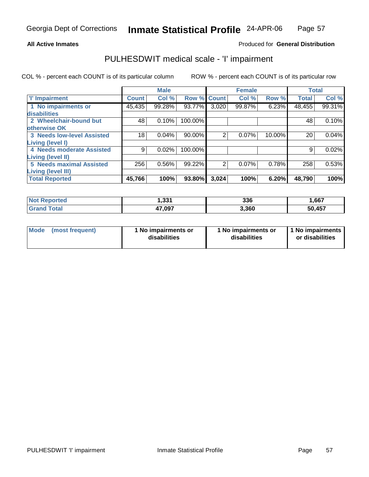### **All Active Inmates**

## Produced for **General Distribution**

## PULHESDWIT medical scale - 'I' impairment

|                                   |              | <b>Male</b> |         |              | <b>Female</b> |        |              | <b>Total</b> |
|-----------------------------------|--------------|-------------|---------|--------------|---------------|--------|--------------|--------------|
| <b>T' Impairment</b>              | <b>Count</b> | Col %       | Row %   | <b>Count</b> | Col %         | Row %  | <b>Total</b> | Col %        |
| 1 No impairments or               | 45,435       | 99.28%      | 93.77%  | 3,020        | 99.87%        | 6.23%  | 48,455       | 99.31%       |
| disabilities                      |              |             |         |              |               |        |              |              |
| 2 Wheelchair-bound but            | 48           | 0.10%       | 100.00% |              |               |        | 48           | 0.10%        |
| otherwise OK                      |              |             |         |              |               |        |              |              |
| <b>3 Needs low-level Assisted</b> | 18           | 0.04%       | 90.00%  | 2            | 0.07%         | 10.00% | 20           | 0.04%        |
| Living (level I)                  |              |             |         |              |               |        |              |              |
| 4 Needs moderate Assisted         | 9            | 0.02%       | 100.00% |              |               |        | 9            | 0.02%        |
| Living (level II)                 |              |             |         |              |               |        |              |              |
| <b>5 Needs maximal Assisted</b>   | 256          | 0.56%       | 99.22%  | 2            | 0.07%         | 0.78%  | 258          | 0.53%        |
| <b>Living (level III)</b>         |              |             |         |              |               |        |              |              |
| <b>Total Reported</b>             | 45,766       | 100%        | 93.80%  | 3,024        | 100%          | 6.20%  | 48,790       | 100%         |

| <b>Not Reported</b>   | 331.ا  | 336   | 1,667  |
|-----------------------|--------|-------|--------|
| Total<br><b>Grand</b> | 47,097 | 3,360 | 50,457 |

|  | Mode (most frequent) | 1 No impairments or<br>disabilities | 1 No impairments or<br>disabilities | 1 No impairments  <br>or disabilities |
|--|----------------------|-------------------------------------|-------------------------------------|---------------------------------------|
|--|----------------------|-------------------------------------|-------------------------------------|---------------------------------------|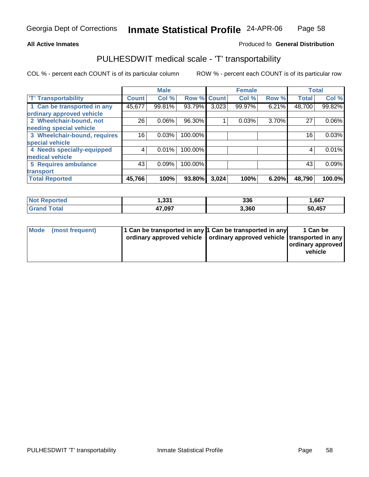#### **Inmate Statistical Profile** 24-APR-06 Page Page 58

### **All Active Inmates Allowski** Produced fo **General Distribution**

## PULHESDWIT medical scale - 'T' transportability

|                              |              | <b>Male</b> |                    |       | <b>Female</b> |       | <b>Total</b> |        |
|------------------------------|--------------|-------------|--------------------|-------|---------------|-------|--------------|--------|
| <b>T' Transportability</b>   | <b>Count</b> | Col %       | <b>Row % Count</b> |       | Col %         | Row % | <b>Total</b> | Col %  |
| 1 Can be transported in any  | 45,677       | 99.81%      | 93.79%             | 3,023 | 99.97%        | 6.21% | 48,700       | 99.82% |
| ordinary approved vehicle    |              |             |                    |       |               |       |              |        |
| 2 Wheelchair-bound, not      | 26           | 0.06%       | 96.30%             |       | 0.03%         | 3.70% | 27           | 0.06%  |
| needing special vehicle      |              |             |                    |       |               |       |              |        |
| 3 Wheelchair-bound, requires | 16           | 0.03%       | 100.00%            |       |               |       | 16           | 0.03%  |
| special vehicle              |              |             |                    |       |               |       |              |        |
| 4 Needs specially-equipped   | 4            | 0.01%       | 100.00%            |       |               |       | 4            | 0.01%  |
| medical vehicle              |              |             |                    |       |               |       |              |        |
| 5 Requires ambulance         | 43           | 0.09%       | 100.00%            |       |               |       | 43           | 0.09%  |
| transport                    |              |             |                    |       |               |       |              |        |
| <b>Total Reported</b>        | 45,766       | 100%        | 93.80%             | 3,024 | 100%          | 6.20% | 48,790       | 100.0% |

| Not I<br>Reported      | 1,331  | 336   | 1,667  |
|------------------------|--------|-------|--------|
| <b>Total</b><br>'Grand | 47,097 | 3,360 | 50,457 |

| Mode (most frequent) | 1 Can be transported in any 1 Can be transported in any<br>ordinary approved vehicle   ordinary approved vehicle   transported in any | 1 Can be<br>ordinary approved<br>vehicle |
|----------------------|---------------------------------------------------------------------------------------------------------------------------------------|------------------------------------------|
|                      |                                                                                                                                       |                                          |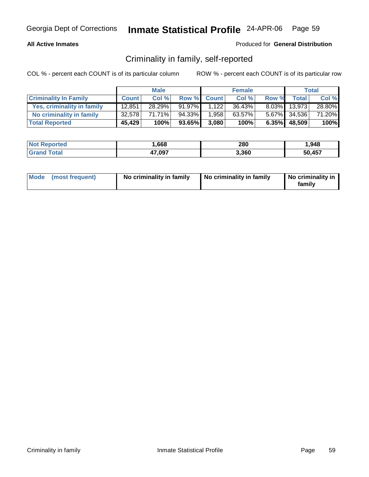### **All Active Inmates**

### Produced for **General Distribution**

## Criminality in family, self-reported

|                              |              | <b>Male</b> |        |             | <b>Female</b> |          |              | Total  |
|------------------------------|--------------|-------------|--------|-------------|---------------|----------|--------------|--------|
| <b>Criminality In Family</b> | <b>Count</b> | Col %       |        | Row % Count | Col %         | Row %    | <b>Total</b> | Col %  |
| Yes, criminality in family   | 12,851       | 28.29%      | 91.97% | 1,122       | 36.43%        | $8.03\%$ | 13.973       | 28.80% |
| No criminality in family     | 32,578       | 71.71%      | 94.33% | 1,958       | 63.57%        |          | 5.67% 34,536 | 71.20% |
| <b>Total Reported</b>        | 45,429       | 100%        | 93.65% | 3.080       | 100%          |          | 6.35% 48,509 | 100%   |

| <b>Not Reported</b> | ,668   | 280   | .948   |
|---------------------|--------|-------|--------|
| Total               | 47,097 | 3.360 | 50.457 |

| Mode (most frequent) | No criminality in family | No criminality in family | No criminality in<br>family |
|----------------------|--------------------------|--------------------------|-----------------------------|
|----------------------|--------------------------|--------------------------|-----------------------------|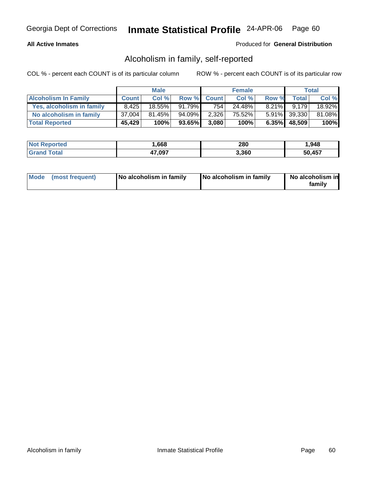### **All Active Inmates**

### Produced for **General Distribution**

## Alcoholism in family, self-reported

|                             |              | <b>Male</b> |           |             | <b>Female</b> |          |              | <b>Total</b> |
|-----------------------------|--------------|-------------|-----------|-------------|---------------|----------|--------------|--------------|
| <b>Alcoholism In Family</b> | <b>Count</b> | Col %       |           | Row % Count | Col %         | Row %    | <b>Total</b> | Col %        |
| Yes, alcoholism in family   | 8,425        | 18.55%      | $91.79\%$ | 754         | 24.48%        | $8.21\%$ | 9.179        | 18.92%       |
| No alcoholism in family     | 37,004       | $81.45\%$   | 94.09%    | 2,326       | 75.52%        |          | 5.91% 39,330 | 81.08%       |
| <b>Total Reported</b>       | 45,429       | 100%        | 93.65%    | 3.080       | 100%          |          | 6.35% 48,509 | 100%         |

| <b>Not Reported</b> | ,668   | 280   | .948   |
|---------------------|--------|-------|--------|
| Total               | 47,097 | 3.360 | 50.457 |

| Mode (most frequent) | No alcoholism in family | No alcoholism in family | No alcoholism in<br>familv |
|----------------------|-------------------------|-------------------------|----------------------------|
|----------------------|-------------------------|-------------------------|----------------------------|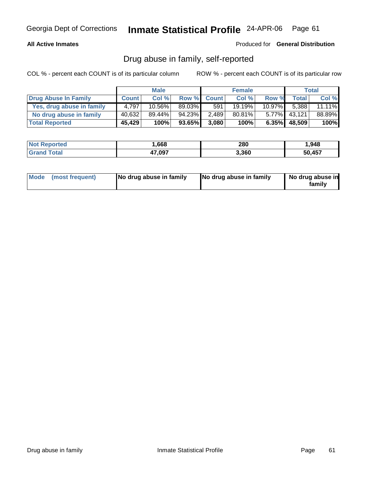### **All Active Inmates**

Produced for **General Distribution**

## Drug abuse in family, self-reported

|                           |              | <b>Male</b> |        |             | <b>Female</b> |           |                 | Total     |
|---------------------------|--------------|-------------|--------|-------------|---------------|-----------|-----------------|-----------|
| Drug Abuse In Family      | <b>Count</b> | Col %       |        | Row % Count | Col %         | Row %     | <b>Total</b>    | Col %     |
| Yes, drug abuse in family | 4.797        | 10.56%      | 89.03% | 591         | 19.19%        | $10.97\%$ | 5.388           | $11.11\%$ |
| No drug abuse in family   | 40,632       | 89.44%      | 94.23% | 2,489       | 80.81%        | $5.77\%$  | 43.121          | 88.89%    |
| <b>Total Reported</b>     | 45,429       | 100%        | 93.65% | 3.080       | 100%          |           | $6.35\%$ 48,509 | 100%      |

| <b>Not Reported</b> | .668   | 280   | 948.   |  |
|---------------------|--------|-------|--------|--|
| Total<br>l Grand    | 47,097 | 3,360 | 50.457 |  |

| Mode (most frequent) |  | No drug abuse in family | No drug abuse in family | No drug abuse in<br>familv |
|----------------------|--|-------------------------|-------------------------|----------------------------|
|----------------------|--|-------------------------|-------------------------|----------------------------|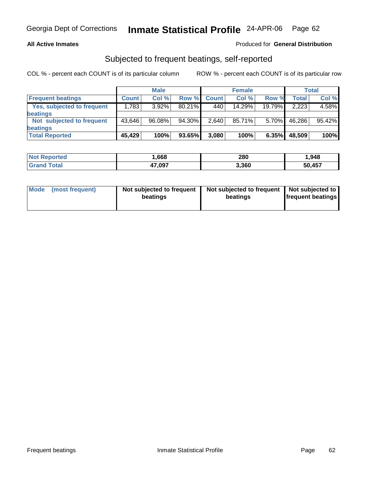### **All Active Inmates**

### Produced for **General Distribution**

## Subjected to frequent beatings, self-reported

|                            |              | <b>Male</b> |           |              | <b>Female</b> |                |        | Total  |
|----------------------------|--------------|-------------|-----------|--------------|---------------|----------------|--------|--------|
| <b>Frequent beatings</b>   | <b>Count</b> | Col%        | Row %     | <b>Count</b> | Col%          | Row %          | Total  | Col %  |
| Yes, subjected to frequent | 1.783        | $3.92\%$    | $80.21\%$ | 440          | 14.29%        | 19.79%         | 2,223  | 4.58%  |
| <b>beatings</b>            |              |             |           |              |               |                |        |        |
| Not subjected to frequent  | 43,646       | 96.08%      | 94.30%    | 2,640        | 85.71%        | 5.70% <b>I</b> | 46,286 | 95.42% |
| beatings                   |              |             |           |              |               |                |        |        |
| <b>Total Reported</b>      | 45,429       | 100%        | 93.65%    | 3,080        | 100%          | 6.35%          | 48,509 | 100%   |

| <b>Not Reported</b> | .,668  | 280   | 948. ا |
|---------------------|--------|-------|--------|
| Total<br>'Grano     | 47,097 | 3,360 | 50,457 |

| Mode            | Not subjected to frequent | Not subjected to frequent | Not subjected to         |
|-----------------|---------------------------|---------------------------|--------------------------|
| (most frequent) | beatings                  | beatings                  | <b>frequent beatings</b> |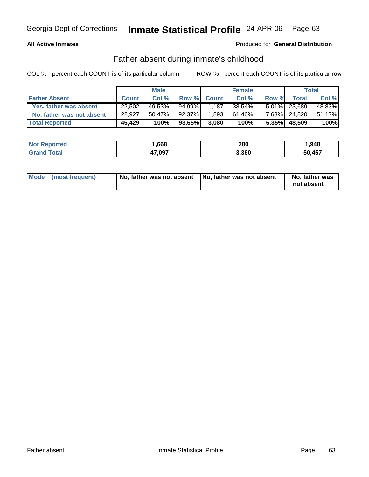### **All Active Inmates**

### Produced for **General Distribution**

## Father absent during inmate's childhood

|                           |              | <b>Male</b> |        |             | <b>Female</b> |       |                 | Total  |
|---------------------------|--------------|-------------|--------|-------------|---------------|-------|-----------------|--------|
| <b>Father Absent</b>      | <b>Count</b> | Col %       |        | Row % Count | Col %         | Row % | <b>Total</b>    | Col %  |
| Yes, father was absent    | 22,502       | 49.53%      | 94.99% | 1.187       | $38.54\%$     |       | 5.01% 23,689    | 48.83% |
| No, father was not absent | 22,927       | $50.47\%$   | 92.37% | 1,893       | 61.46%        |       | 7.63% 24,820    | 51.17% |
| <b>Total Reported</b>     | 45,429       | 100%        | 93.65% | 3.080       | 100%          |       | $6.35\%$ 48,509 | 100%   |

| <b>Not Reported</b> | ,668   | 280   | .948   |  |
|---------------------|--------|-------|--------|--|
| Total               | 47,097 | 3.360 | 50.457 |  |

| Mode (most frequent) | No, father was not absent No, father was not absent | No, father was<br>not absent |
|----------------------|-----------------------------------------------------|------------------------------|
|----------------------|-----------------------------------------------------|------------------------------|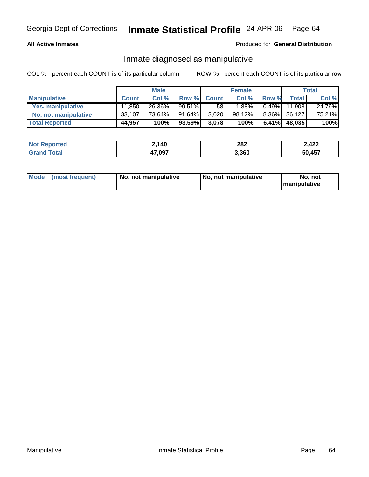### **All Active Inmates**

### Produced for **General Distribution**

## Inmate diagnosed as manipulative

|                          |              | <b>Male</b> |        |                 | <b>Female</b> |          |        | Total  |
|--------------------------|--------------|-------------|--------|-----------------|---------------|----------|--------|--------|
| <b>Manipulative</b>      | <b>Count</b> | Col %       |        | Row % Count     | Col %         | Row %    | Total  | Col %  |
| <b>Yes, manipulative</b> | 11,850       | 26.36%      | 99.51% | 58 <sup>1</sup> | .88%          | $0.49\%$ | 11.908 | 24.79% |
| No, not manipulative     | 33,107       | 73.64%      | 91.64% | 3,020           | 98.12%        | $8.36\%$ | 36,127 | 75.21% |
| <b>Total Reported</b>    | 44,957       | 100%        | 93.59% | 3,078           | 100%          | $6.41\%$ | 48,035 | 100%   |

| <b>Not</b><br>Reported | 2,140  | 282   | 2,422  |  |
|------------------------|--------|-------|--------|--|
| $\sim$ $\sim$          | +7,097 | 3,360 | 50,457 |  |

| Mode | (most frequent) | No. not manipulative | <b>I</b> No. not manipulative | not<br>No<br><b>Imanipulative</b> |
|------|-----------------|----------------------|-------------------------------|-----------------------------------|
|------|-----------------|----------------------|-------------------------------|-----------------------------------|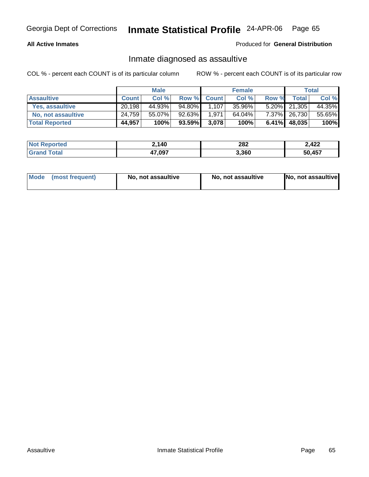### **All Active Inmates**

### Produced for **General Distribution**

## Inmate diagnosed as assaultive

|                       |              | <b>Male</b> |        |             | <b>Female</b> |       |                 | Total  |
|-----------------------|--------------|-------------|--------|-------------|---------------|-------|-----------------|--------|
| <b>Assaultive</b>     | <b>Count</b> | Col %       |        | Row % Count | Col %         | Row % | <b>Total</b>    | Col %  |
| Yes, assaultive       | 20,198       | 44.93%      | 94.80% | 1,107       | 35.96%        |       | $5.20\%$ 21,305 | 44.35% |
| No, not assaultive    | 24,759       | 55.07%      | 92.63% | 1,971       | 64.04%        |       | 7.37% 26,730    | 55.65% |
| <b>Total Reported</b> | 44,957       | 100%        | 93.59% | 3,078       | 100%          |       | 6.41% 48,035    | 100%   |

| <b>Not Reported</b> | 2,140  | 282   | 2,422  |
|---------------------|--------|-------|--------|
| <b>Grand Total</b>  | 47,097 | 3.360 | 50.457 |

| Mode (most frequent) |  | No, not assaultive | No, not assaultive | No, not assaultive |
|----------------------|--|--------------------|--------------------|--------------------|
|----------------------|--|--------------------|--------------------|--------------------|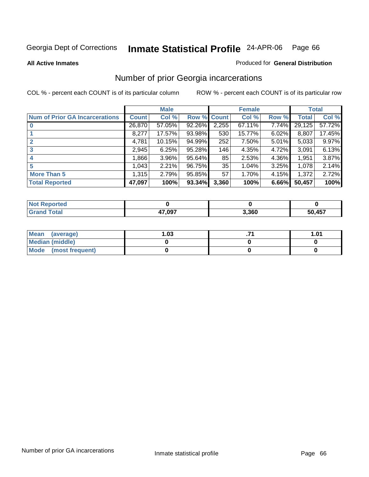**All Active Inmates**

### Produced for **General Distribution**

## Number of prior Georgia incarcerations

|                                       |                | <b>Male</b> |                    |       | <b>Female</b> |       |        | <b>Total</b> |
|---------------------------------------|----------------|-------------|--------------------|-------|---------------|-------|--------|--------------|
| <b>Num of Prior GA Incarcerations</b> | <b>Count</b> l | Col %       | <b>Row % Count</b> |       | Col %         | Row % | Total  | Col %        |
| $\bf{0}$                              | 26,870         | 57.05%      | 92.26%             | 2,255 | 67.11%        | 7.74% | 29,125 | 57.72%       |
|                                       | 8,277          | 17.57%      | 93.98%             | 530   | 15.77%        | 6.02% | 8,807  | 17.45%       |
|                                       | 4,781          | 10.15%      | 94.99%             | 252   | 7.50%         | 5.01% | 5,033  | 9.97%        |
| 3                                     | 2,945          | 6.25%       | 95.28%             | 146   | 4.35%         | 4.72% | 3,091  | 6.13%        |
|                                       | 1,866          | 3.96%       | 95.64%             | 85    | 2.53%         | 4.36% | 1,951  | 3.87%        |
| 5                                     | 1,043          | 2.21%       | 96.75%             | 35    | 1.04%         | 3.25% | 1,078  | 2.14%        |
| <b>More Than 5</b>                    | 1,315          | 2.79%       | 95.85%             | 57    | 1.70%         | 4.15% | 1,372  | 2.72%        |
| <b>Total Reported</b>                 | 47,097         | 100%        | 93.34%             | 3,360 | 100%          | 6.66% | 50,457 | 100%         |

| N     |        |       |           |
|-------|--------|-------|-----------|
| _____ | 17.097 | 3.360 | 457<br>50 |

| Mean (average)       | l.O3 | 1.01 |
|----------------------|------|------|
| Median (middle)      |      |      |
| Mode (most frequent) |      |      |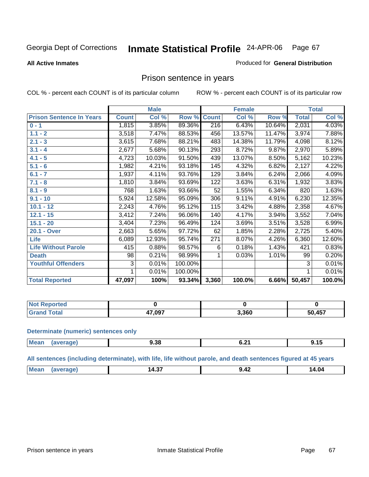Produced for **General Distribution**

### **All Active Inmates**

## Prison sentence in years

COL % - percent each COUNT is of its particular column ROW % - percent each COUNT is of its particular row

|                                 |              | <b>Male</b> |         |              | <b>Female</b> |        |                    | <b>Total</b> |
|---------------------------------|--------------|-------------|---------|--------------|---------------|--------|--------------------|--------------|
| <b>Prison Sentence In Years</b> | <b>Count</b> | Col %       | Row %   | <b>Count</b> | Col %         | Row %  | <b>Total</b>       | Col %        |
| $0 - 1$                         | 1,815        | 3.85%       | 89.36%  | 216          | 6.43%         | 10.64% | 2,031              | 4.03%        |
| $1.1 - 2$                       | 3,518        | 7.47%       | 88.53%  | 456          | 13.57%        | 11.47% | 3,974              | 7.88%        |
| $2.1 - 3$                       | 3,615        | 7.68%       | 88.21%  | 483          | 14.38%        | 11.79% | 4,098              | 8.12%        |
| $3.1 - 4$                       | 2,677        | 5.68%       | 90.13%  | 293          | 8.72%         | 9.87%  | $\overline{2,970}$ | 5.89%        |
| $4.1 - 5$                       | 4,723        | 10.03%      | 91.50%  | 439          | 13.07%        | 8.50%  | 5,162              | 10.23%       |
| $5.1 - 6$                       | 1,982        | 4.21%       | 93.18%  | 145          | 4.32%         | 6.82%  | 2,127              | 4.22%        |
| $6.1 - 7$                       | 1,937        | 4.11%       | 93.76%  | 129          | 3.84%         | 6.24%  | 2,066              | 4.09%        |
| $7.1 - 8$                       | 1,810        | 3.84%       | 93.69%  | 122          | 3.63%         | 6.31%  | 1,932              | 3.83%        |
| $8.1 - 9$                       | 768          | 1.63%       | 93.66%  | 52           | 1.55%         | 6.34%  | 820                | 1.63%        |
| $9.1 - 10$                      | 5,924        | 12.58%      | 95.09%  | 306          | 9.11%         | 4.91%  | 6,230              | 12.35%       |
| $10.1 - 12$                     | 2,243        | 4.76%       | 95.12%  | 115          | 3.42%         | 4.88%  | 2,358              | 4.67%        |
| $12.1 - 15$                     | 3,412        | 7.24%       | 96.06%  | 140          | 4.17%         | 3.94%  | 3,552              | 7.04%        |
| $15.1 - 20$                     | 3,404        | 7.23%       | 96.49%  | 124          | 3.69%         | 3.51%  | 3,528              | 6.99%        |
| 20.1 - Over                     | 2,663        | 5.65%       | 97.72%  | 62           | 1.85%         | 2.28%  | 2,725              | 5.40%        |
| Life                            | 6,089        | 12.93%      | 95.74%  | 271          | 8.07%         | 4.26%  | 6,360              | 12.60%       |
| <b>Life Without Parole</b>      | 415          | 0.88%       | 98.57%  | 6            | 0.18%         | 1.43%  | 421                | 0.83%        |
| <b>Death</b>                    | 98           | 0.21%       | 98.99%  |              | 0.03%         | 1.01%  | 99                 | 0.20%        |
| <b>Youthful Offenders</b>       | 3            | 0.01%       | 100.00% |              |               |        | 3                  | 0.01%        |
|                                 | 1            | 0.01%       | 100.00% |              |               |        | 1                  | 0.01%        |
| <b>Total Reported</b>           | 47,097       | 100%        | 93.34%  | 3,360        | 100.0%        | 6.66%  | 50,457             | 100.0%       |

| eported |        |       |        |
|---------|--------|-------|--------|
|         | 17,097 | 3,360 | 50,457 |

### **Determinate (numeric) sentences only**

| Mea<br><b>OD</b> | .ສ.ວດ<br>$  -$ | $\sim$<br><b>V.L.</b><br>$\sim$ $\sim$ | .<br><u></u> |
|------------------|----------------|----------------------------------------|--------------|

### **All sentences (including determinate), with life, life without parole, and death sentences figured at 45 years**

| M۵<br>$\sim$<br>∴د.¤י<br>. <b>. .</b> | .4.04<br>_______ |
|---------------------------------------|------------------|
|---------------------------------------|------------------|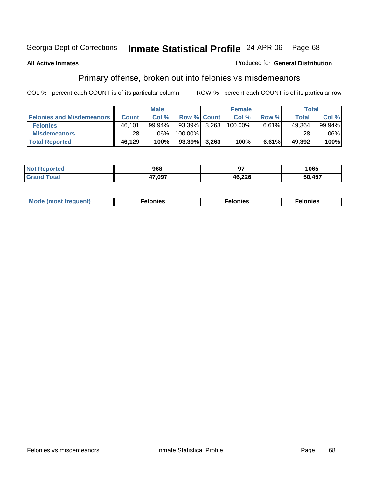### **All Active Inmates**

### Produced for **General Distribution**

## Primary offense, broken out into felonies vs misdemeanors

|                                  |              | <b>Male</b> |                    |       | <b>Female</b> |       | Total  |           |
|----------------------------------|--------------|-------------|--------------------|-------|---------------|-------|--------|-----------|
| <b>Felonies and Misdemeanors</b> | <b>Count</b> | Col %       | <b>Row % Count</b> |       | Col %         | Row % | Total  | Col %     |
| <b>Felonies</b>                  | 46,101       | 99.94%      | 93.39%             | 3,263 | 100.00%       | 6.61% | 49,364 | $99.94\%$ |
| <b>Misdemeanors</b>              | 28           | $.06\%$     | 100.00%            |       |               |       | 28     | .06%      |
| <b>Total Reported</b>            | 46,129       | 100%        | $93.39\%$          | 3,263 | 100%          | 6.61% | 49,392 | 100%      |

| N <sub>of</sub><br>'eported<br>$\sim$ | 968    | --<br>. | 1065              |
|---------------------------------------|--------|---------|-------------------|
|                                       | 17 NQ7 | 46,226  | <b>457</b><br>5Λ. |

| Mode (most frequent) | าทเคร | lonies | elonies |
|----------------------|-------|--------|---------|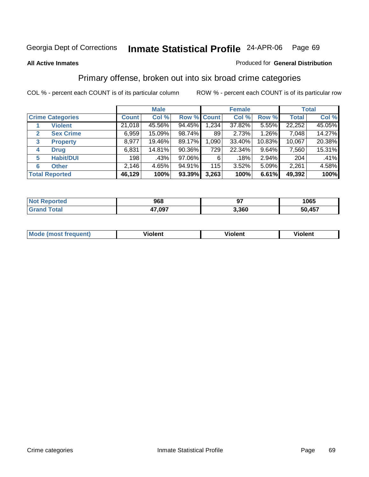### **All Active Inmates**

### Produced for **General Distribution**

## Primary offense, broken out into six broad crime categories

|                                  |              | <b>Male</b> |                    |       | <b>Female</b> |        |              | <b>Total</b> |
|----------------------------------|--------------|-------------|--------------------|-------|---------------|--------|--------------|--------------|
| <b>Crime Categories</b>          | <b>Count</b> | Col %       | <b>Row % Count</b> |       | Col %         | Row %  | <b>Total</b> | Col %        |
| <b>Violent</b>                   | 21,018       | 45.56%      | 94.45%             | 1,234 | 37.82%        | 5.55%  | 22,252       | 45.05%       |
| <b>Sex Crime</b><br>$\mathbf{2}$ | 6,959        | 15.09%      | 98.74%             | 89    | 2.73%         | 1.26%  | 7,048        | 14.27%       |
| $\mathbf{3}$<br><b>Property</b>  | 8,977        | 19.46%      | 89.17%             | 1,090 | 33.40%        | 10.83% | 10,067       | 20.38%       |
| <b>Drug</b><br>4                 | 6,831        | 14.81%      | 90.36%             | 729   | 22.34%        | 9.64%  | 7,560        | 15.31%       |
| <b>Habit/DUI</b><br>5            | 198          | .43%        | 97.06%             | 6     | .18%          | 2.94%  | 204          | .41%         |
| <b>Other</b><br>6                | 2,146        | 4.65%       | 94.91%             | 115   | 3.52%         | 5.09%  | 2,261        | 4.58%        |
| <b>Total Reported</b>            | 46,129       | 100%        | 93.39%             | 3,263 | 100%          | 6.61%  | 49,392       | 100%         |

| <b>Anted</b><br>NO. | 968   | ~-    | 1065 |
|---------------------|-------|-------|------|
| <b>Total</b>        | ∕,097 | 3,360 | ,457 |
| Gr <sup>o</sup>     | 47    |       | 50   |

|  | <b>Mou</b> | .<br>Violent | <br>iolent | งlent |
|--|------------|--------------|------------|-------|
|--|------------|--------------|------------|-------|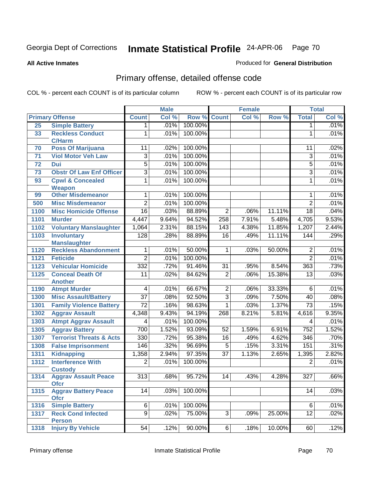**All Active Inmates**

### Produced for **General Distribution**

## Primary offense, detailed offense code

|                 |                                              |                         | <b>Male</b> |         |                 | <b>Female</b> |        |                  | <b>Total</b> |
|-----------------|----------------------------------------------|-------------------------|-------------|---------|-----------------|---------------|--------|------------------|--------------|
|                 | <b>Primary Offense</b>                       | <b>Count</b>            | Col %       | Row %   | <b>Count</b>    | Col %         | Row %  | <b>Total</b>     | Col %        |
| 25              | <b>Simple Battery</b>                        | 1                       | .01%        | 100.00% |                 |               |        | $\mathbf 1$      | .01%         |
| 33              | <b>Reckless Conduct</b><br><b>C/Harm</b>     | 1                       | .01%        | 100.00% |                 |               |        | 1                | .01%         |
| 70              | <b>Poss Of Marijuana</b>                     | 11                      | .02%        | 100.00% |                 |               |        | 11               | .02%         |
| 71              | <b>Viol Motor Veh Law</b>                    | $\overline{3}$          | .01%        | 100.00% |                 |               |        | $\overline{3}$   | .01%         |
| $\overline{72}$ | <b>Dui</b>                                   | $\overline{5}$          | .01%        | 100.00% |                 |               |        | $\overline{5}$   | .01%         |
| 73              | <b>Obstr Of Law Enf Officer</b>              | $\overline{3}$          | .01%        | 100.00% |                 |               |        | $\overline{3}$   | .01%         |
| 93              | <b>Cpwl &amp; Concealed</b><br><b>Weapon</b> | 1                       | .01%        | 100.00% |                 |               |        | 1                | .01%         |
| 99              | <b>Other Misdemeanor</b>                     | 1                       | .01%        | 100.00% |                 |               |        | 1                | .01%         |
| 500             | <b>Misc Misdemeanor</b>                      | $\overline{2}$          | .01%        | 100.00% |                 |               |        | $\overline{2}$   | .01%         |
| 1100            | <b>Misc Homicide Offense</b>                 | 16                      | .03%        | 88.89%  | $\overline{2}$  | .06%          | 11.11% | $\overline{18}$  | .04%         |
| 1101            | <b>Murder</b>                                | 4,447                   | 9.64%       | 94.52%  | 258             | 7.91%         | 5.48%  | 4,705            | 9.53%        |
| 1102            | <b>Voluntary Manslaughter</b>                | 1,064                   | 2.31%       | 88.15%  | 143             | 4.38%         | 11.85% | 1,207            | 2.44%        |
| 1103            | <b>Involuntary</b>                           | 128                     | .28%        | 88.89%  | $\overline{16}$ | .49%          | 11.11% | 144              | .29%         |
|                 | <b>Manslaughter</b>                          |                         |             |         |                 |               |        |                  |              |
| 1120            | <b>Reckless Abandonment</b>                  | 1                       | .01%        | 50.00%  | 1               | .03%          | 50.00% | $\overline{2}$   | .01%         |
| 1121            | <b>Feticide</b>                              | $\overline{2}$          | .01%        | 100.00% |                 |               |        | $\overline{2}$   | .01%         |
| 1123            | <b>Vehicular Homicide</b>                    | 332                     | .72%        | 91.46%  | $\overline{31}$ | .95%          | 8.54%  | 363              | .73%         |
| 1125            | <b>Conceal Death Of</b>                      | $\overline{11}$         | .02%        | 84.62%  | $\overline{2}$  | .06%          | 15.38% | 13               | .03%         |
| 1190            | <b>Another</b><br><b>Atmpt Murder</b>        | $\overline{\mathbf{4}}$ | .01%        | 66.67%  | $\overline{2}$  | .06%          | 33.33% | $\overline{6}$   | .01%         |
| 1300            | <b>Misc Assault/Battery</b>                  | $\overline{37}$         | .08%        | 92.50%  | $\overline{3}$  | .09%          | 7.50%  | 40               | .08%         |
| 1301            | <b>Family Violence Battery</b>               | $\overline{72}$         | .16%        | 98.63%  | 1               | .03%          | 1.37%  | $\overline{73}$  | .15%         |
| 1302            | <b>Aggrav Assault</b>                        | 4,348                   | 9.43%       | 94.19%  | 268             | 8.21%         | 5.81%  | 4,616            | 9.35%        |
| 1303            | <b>Atmpt Aggrav Assault</b>                  | 4                       | .01%        | 100.00% |                 |               |        | 4                | .01%         |
| 1305            | <b>Aggrav Battery</b>                        | 700                     | 1.52%       | 93.09%  | 52              | 1.59%         | 6.91%  | 752              | 1.52%        |
| 1307            | <b>Terrorist Threats &amp; Acts</b>          | $\overline{330}$        | .72%        | 95.38%  | $\overline{16}$ | .49%          | 4.62%  | $\overline{346}$ | .70%         |
| 1308            | <b>False Imprisonment</b>                    | 146                     | .32%        | 96.69%  | $\overline{5}$  | .15%          | 3.31%  | 151              | .31%         |
| 1311            | <b>Kidnapping</b>                            | 1,358                   | 2.94%       | 97.35%  | $\overline{37}$ | 1.13%         | 2.65%  | 1,395            | 2.82%        |
| 1312            | <b>Interference With</b>                     | $\overline{2}$          | .01%        | 100.00% |                 |               |        | $\overline{2}$   | .01%         |
|                 | <b>Custody</b>                               |                         |             |         |                 |               |        |                  |              |
| 1314            | <b>Aggrav Assault Peace</b><br><b>Ofcr</b>   | $\overline{313}$        | .68%        | 95.72%  | 14              | .43%          | 4.28%  | $\overline{327}$ | .66%         |
| 1315            | <b>Aggrav Battery Peace</b><br><b>Ofcr</b>   | 14                      | .03%        | 100.00% |                 |               |        | 14               | .03%         |
| 1316            | <b>Simple Battery</b>                        | $6\phantom{a}$          | .01%        | 100.00% |                 |               |        | 6                | .01%         |
| 1317            | <b>Reck Cond Infected</b><br><b>Person</b>   | $\overline{9}$          | .02%        | 75.00%  | $\overline{3}$  | .09%          | 25.00% | 12               | $.02\%$      |
| 1318            | <b>Injury By Vehicle</b>                     | 54                      | .12%        | 90.00%  | 6               | .18%          | 10.00% | 60               | .12%         |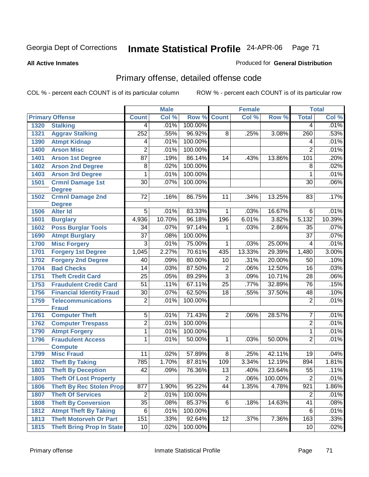**All Active Inmates**

### Produced for **General Distribution**

## Primary offense, detailed offense code

|      |                                            |                 | <b>Male</b> |         |                 | <b>Female</b> |         |                 | <b>Total</b> |
|------|--------------------------------------------|-----------------|-------------|---------|-----------------|---------------|---------|-----------------|--------------|
|      | <b>Primary Offense</b>                     | <b>Count</b>    | Col %       | Row %   | <b>Count</b>    | Col %         | Row %   | <b>Total</b>    | Col %        |
| 1320 | <b>Stalking</b>                            | $\overline{4}$  | .01%        | 100.00% |                 |               |         | 4               | .01%         |
| 1321 | <b>Aggrav Stalking</b>                     | 252             | .55%        | 96.92%  | $\overline{8}$  | .25%          | 3.08%   | 260             | .53%         |
| 1390 | <b>Atmpt Kidnap</b>                        | 4               | .01%        | 100.00% |                 |               |         | 4               | .01%         |
| 1400 | <b>Arson Misc</b>                          | $\overline{2}$  | .01%        | 100.00% |                 |               |         | $\overline{2}$  | .01%         |
| 1401 | <b>Arson 1st Degree</b>                    | $\overline{87}$ | .19%        | 86.14%  | 14              | .43%          | 13.86%  | 101             | .20%         |
| 1402 | <b>Arson 2nd Degree</b>                    | 8               | .02%        | 100.00% |                 |               |         | $\overline{8}$  | .02%         |
| 1403 | <b>Arson 3rd Degree</b>                    | 1               | .01%        | 100.00% |                 |               |         | $\mathbf{1}$    | .01%         |
| 1501 | <b>Crmnl Damage 1st</b>                    | $\overline{30}$ | .07%        | 100.00% |                 |               |         | $\overline{30}$ | .06%         |
|      | <b>Degree</b>                              |                 |             |         |                 |               |         |                 |              |
| 1502 | <b>Crmnl Damage 2nd</b>                    | 72              | .16%        | 86.75%  | 11              | .34%          | 13.25%  | 83              | .17%         |
|      | <b>Degree</b>                              |                 |             |         |                 |               |         |                 |              |
| 1506 | <b>Alter Id</b>                            | 5               | .01%        | 83.33%  | 1               | .03%          | 16.67%  | 6               | .01%         |
| 1601 | <b>Burglary</b>                            | 4,936           | 10.70%      | 96.18%  | 196             | 6.01%         | 3.82%   | 5,132           | 10.39%       |
| 1602 | <b>Poss Burglar Tools</b>                  | 34              | .07%        | 97.14%  | 1               | .03%          | 2.86%   | 35              | .07%         |
| 1690 | <b>Atmpt Burglary</b>                      | $\overline{37}$ | .08%        | 100.00% |                 |               |         | $\overline{37}$ | .07%         |
| 1700 | <b>Misc Forgery</b>                        | $\overline{3}$  | .01%        | 75.00%  | 1               | .03%          | 25.00%  | $\overline{4}$  | .01%         |
| 1701 | <b>Forgery 1st Degree</b>                  | 1,045           | 2.27%       | 70.61%  | 435             | 13.33%        | 29.39%  | 1,480           | 3.00%        |
| 1702 | <b>Forgery 2nd Degree</b>                  | 40              | .09%        | 80.00%  | 10              | .31%          | 20.00%  | 50              | .10%         |
| 1704 | <b>Bad Checks</b>                          | 14              | .03%        | 87.50%  | $\overline{2}$  | .06%          | 12.50%  | 16              | .03%         |
| 1751 | <b>Theft Credit Card</b>                   | $\overline{25}$ | .05%        | 89.29%  | $\overline{3}$  | .09%          | 10.71%  | $\overline{28}$ | .06%         |
| 1753 | <b>Fraudulent Credit Card</b>              | $\overline{51}$ | .11%        | 67.11%  | $\overline{25}$ | .77%          | 32.89%  | $\overline{76}$ | .15%         |
| 1756 | <b>Financial Identity Fraud</b>            | $\overline{30}$ | .07%        | 62.50%  | $\overline{18}$ | .55%          | 37.50%  | 48              | .10%         |
| 1759 | <b>Telecommunications</b>                  | $\overline{2}$  | .01%        | 100.00% |                 |               |         | $\overline{2}$  | .01%         |
|      | <b>Fraud</b>                               |                 |             |         |                 |               |         |                 |              |
| 1761 | <b>Computer Theft</b>                      | $\overline{5}$  | .01%        | 71.43%  | $\overline{2}$  | .06%          | 28.57%  | 7               | .01%         |
| 1762 | <b>Computer Trespass</b>                   | $\overline{2}$  | .01%        | 100.00% |                 |               |         | $\overline{2}$  | .01%         |
| 1790 | <b>Atmpt Forgery</b>                       | 1               | .01%        | 100.00% |                 |               |         | 1               | .01%         |
| 1796 | <b>Fraudulent Access</b><br><b>Compute</b> | 1               | .01%        | 50.00%  | 1               | .03%          | 50.00%  | $\overline{2}$  | .01%         |
| 1799 | <b>Misc Fraud</b>                          | 11              | .02%        | 57.89%  | $\overline{8}$  | .25%          | 42.11%  | 19              | .04%         |
| 1802 | <b>Theft By Taking</b>                     | 785             | 1.70%       | 87.81%  | 109             | 3.34%         | 12.19%  | 894             | 1.81%        |
| 1803 | <b>Theft By Deception</b>                  | $\overline{42}$ | .09%        | 76.36%  | $\overline{13}$ | .40%          | 23.64%  | $\overline{55}$ | .11%         |
| 1805 | <b>Theft Of Lost Property</b>              |                 |             |         | $\overline{c}$  | .06%          | 100.00% | $\overline{2}$  | .01%         |
| 1806 | <b>Theft By Rec Stolen Prop</b>            | 877             | 1.90%       | 95.22%  | 44              | 1.35%         | 4.78%   | 921             | 1.86%        |
| 1807 | <b>Theft Of Services</b>                   | $\overline{2}$  | .01%        | 100.00% |                 |               |         | $\overline{2}$  | .01%         |
| 1808 | <b>Theft By Conversion</b>                 | $\overline{35}$ | .08%        | 85.37%  | 6               | .18%          | 14.63%  | 41              | .08%         |
| 1812 | <b>Atmpt Theft By Taking</b>               | 6               | .01%        | 100.00% |                 |               |         | 6               | .01%         |
| 1813 | <b>Theft Motorveh Or Part</b>              | 151             | .33%        | 92.64%  | 12              | .37%          | 7.36%   | 163             | .33%         |
|      |                                            |                 |             |         |                 |               |         |                 |              |
| 1815 | <b>Theft Bring Prop In State</b>           | 10              | .02%        | 100.00% |                 |               |         | 10              | .02%         |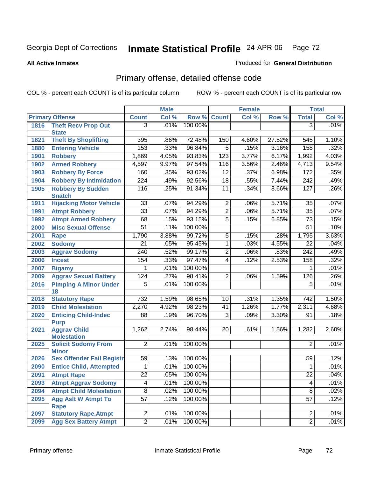**All Active Inmates**

### Produced for **General Distribution**

## Primary offense, detailed offense code

|      |                                            |                  | <b>Male</b> |         |                 | <b>Female</b> |        |                         | <b>Total</b> |
|------|--------------------------------------------|------------------|-------------|---------|-----------------|---------------|--------|-------------------------|--------------|
|      | <b>Primary Offense</b>                     | <b>Count</b>     | Col %       | Row %   | <b>Count</b>    | Col %         | Row %  | <b>Total</b>            | Col %        |
| 1816 | <b>Theft Recv Prop Out</b>                 | $\overline{3}$   | .01%        | 100.00% |                 |               |        | $\overline{3}$          | .01%         |
|      | <b>State</b>                               |                  |             |         |                 |               |        |                         |              |
| 1821 | <b>Theft By Shoplifting</b>                | 395              | .86%        | 72.48%  | 150             | 4.60%         | 27.52% | 545                     | 1.10%        |
| 1880 | <b>Entering Vehicle</b>                    | 153              | .33%        | 96.84%  | $\overline{5}$  | .15%          | 3.16%  | 158                     | .32%         |
| 1901 | <b>Robbery</b>                             | 1,869            | 4.05%       | 93.83%  | 123             | 3.77%         | 6.17%  | 1,992                   | 4.03%        |
| 1902 | <b>Armed Robbery</b>                       | 4,597            | 9.97%       | 97.54%  | 116             | 3.56%         | 2.46%  | 4,713                   | 9.54%        |
| 1903 | <b>Robbery By Force</b>                    | 160              | .35%        | 93.02%  | $\overline{12}$ | .37%          | 6.98%  | 172                     | .35%         |
| 1904 | <b>Robbery By Intimidation</b>             | 224              | .49%        | 92.56%  | $\overline{18}$ | .55%          | 7.44%  | $\overline{242}$        | .49%         |
| 1905 | <b>Robbery By Sudden</b><br><b>Snatch</b>  | 116              | .25%        | 91.34%  | $\overline{11}$ | .34%          | 8.66%  | 127                     | .26%         |
| 1911 | <b>Hijacking Motor Vehicle</b>             | $\overline{33}$  | .07%        | 94.29%  | $\overline{2}$  | .06%          | 5.71%  | 35                      | .07%         |
| 1991 | <b>Atmpt Robbery</b>                       | $\overline{33}$  | .07%        | 94.29%  | $\overline{2}$  | .06%          | 5.71%  | $\overline{35}$         | .07%         |
| 1992 | <b>Atmpt Armed Robbery</b>                 | 68               | .15%        | 93.15%  | $\overline{5}$  | .15%          | 6.85%  | 73                      | .15%         |
| 2000 | <b>Misc Sexual Offense</b>                 | $\overline{51}$  | .11%        | 100.00% |                 |               |        | $\overline{51}$         | .10%         |
| 2001 | <b>Rape</b>                                | 1,790            | 3.88%       | 99.72%  | $\overline{5}$  | .15%          | .28%   | 1,795                   | 3.63%        |
| 2002 | <b>Sodomy</b>                              | $\overline{21}$  | .05%        | 95.45%  | $\mathbf{1}$    | .03%          | 4.55%  | $\overline{22}$         | .04%         |
| 2003 | <b>Aggrav Sodomy</b>                       | $\overline{240}$ | .52%        | 99.17%  | $\overline{2}$  | .06%          | .83%   | $\overline{242}$        | .49%         |
| 2006 | <b>Incest</b>                              | 154              | .33%        | 97.47%  | $\overline{4}$  | .12%          | 2.53%  | 158                     | .32%         |
| 2007 | <b>Bigamy</b>                              | 1                | .01%        | 100.00% |                 |               |        | 1                       | .01%         |
| 2009 | <b>Aggrav Sexual Battery</b>               | 124              | .27%        | 98.41%  | $\overline{2}$  | .06%          | 1.59%  | $\overline{126}$        | .26%         |
| 2016 | <b>Pimping A Minor Under</b>               | $\overline{5}$   | .01%        | 100.00% |                 |               |        | $\overline{5}$          | .01%         |
|      | 18                                         |                  |             |         |                 |               |        |                         |              |
| 2018 | <b>Statutory Rape</b>                      | $\overline{732}$ | 1.59%       | 98.65%  | 10              | .31%          | 1.35%  | 742                     | 1.50%        |
| 2019 | <b>Child Molestation</b>                   | 2,270            | 4.92%       | 98.23%  | 41              | 1.26%         | 1.77%  | 2,311                   | 4.68%        |
| 2020 | <b>Enticing Child-Indec</b><br><b>Purp</b> | 88               | .19%        | 96.70%  | $\overline{3}$  | .09%          | 3.30%  | 91                      | .18%         |
| 2021 | <b>Aggrav Child</b><br><b>Molestation</b>  | 1,262            | 2.74%       | 98.44%  | 20              | .61%          | 1.56%  | 1,282                   | 2.60%        |
| 2025 | <b>Solicit Sodomy From</b><br><b>Minor</b> | $\overline{2}$   | .01%        | 100.00% |                 |               |        | $\overline{2}$          | .01%         |
| 2026 | <b>Sex Offender Fail Registr</b>           | 59               | .13%        | 100.00% |                 |               |        | 59                      | .12%         |
| 2090 | <b>Entice Child, Attempted</b>             | 1                | .01%        | 100.00% |                 |               |        | 1                       | .01%         |
| 2091 | <b>Atmpt Rape</b>                          | $\overline{22}$  | .05%        | 100.00% |                 |               |        | $\overline{22}$         | .04%         |
| 2093 | <b>Atmpt Aggrav Sodomy</b>                 | $\overline{4}$   | .01%        | 100.00% |                 |               |        | $\overline{\mathbf{4}}$ | .01%         |
| 2094 | <b>Atmpt Child Molestation</b>             | $\overline{8}$   | .02%        | 100.00% |                 |               |        | 8                       | .02%         |
| 2095 | <b>Agg Aslt W Atmpt To</b>                 | $\overline{57}$  | .12%        | 100.00% |                 |               |        | $\overline{57}$         | .12%         |
|      | <b>Rape</b>                                |                  |             |         |                 |               |        |                         |              |
| 2097 | <b>Statutory Rape, Atmpt</b>               | $\overline{2}$   | .01%        | 100.00% |                 |               |        | 2                       | .01%         |
| 2099 | <b>Agg Sex Battery Atmpt</b>               | $\overline{2}$   | .01%        | 100.00% |                 |               |        | $\overline{2}$          | .01%         |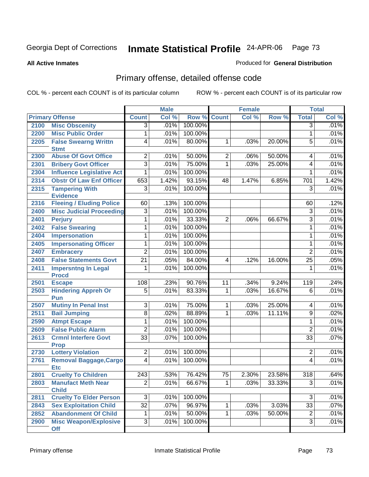**All Active Inmates**

#### Produced for **General Distribution**

# Primary offense, detailed offense code

|      |                                                              | <b>Male</b>                       |              |                   | <b>Female</b>   |       | <b>Total</b> |                         |       |
|------|--------------------------------------------------------------|-----------------------------------|--------------|-------------------|-----------------|-------|--------------|-------------------------|-------|
|      | <b>Primary Offense</b>                                       | <b>Count</b>                      | Col %        | Row %             | <b>Count</b>    | CoI%  | Row %        | <b>Total</b>            | Col % |
| 2100 | <b>Misc Obscenity</b>                                        | $\overline{3}$                    | .01%         | 100.00%           |                 |       |              | $\overline{3}$          | .01%  |
| 2200 | <b>Misc Public Order</b>                                     | 1                                 | .01%         | 100.00%           |                 |       |              | $\mathbf{1}$            | .01%  |
| 2205 | <b>False Swearng Writtn</b>                                  | 4                                 | .01%         | 80.00%            | 1               | .03%  | 20.00%       | $\overline{5}$          | .01%  |
|      | <b>Stmt</b>                                                  |                                   |              |                   |                 |       |              |                         |       |
| 2300 | <b>Abuse Of Govt Office</b>                                  | $\overline{2}$                    | .01%         | 50.00%            | $\overline{2}$  | .06%  | 50.00%       | 4                       | .01%  |
| 2301 | <b>Bribery Govt Officer</b>                                  | 3                                 | .01%         | 75.00%            | 1               | .03%  | 25.00%       | $\overline{\mathbf{4}}$ | .01%  |
| 2304 | <b>Influence Legislative Act</b>                             | 1                                 | .01%         | 100.00%           |                 |       |              | $\mathbf{1}$            | .01%  |
| 2314 | <b>Obstr Of Law Enf Officer</b>                              | 653                               | 1.42%        | 93.15%            | 48              | 1.47% | 6.85%        | 701                     | 1.42% |
| 2315 | <b>Tampering With</b>                                        | $\overline{3}$                    | .01%         | 100.00%           |                 |       |              | $\overline{3}$          | .01%  |
|      | <b>Evidence</b>                                              |                                   |              |                   |                 |       |              |                         |       |
| 2316 | <b>Fleeing / Eluding Police</b>                              | 60                                | .13%         | 100.00%           |                 |       |              | 60                      | .12%  |
| 2400 | <b>Misc Judicial Proceeding</b>                              | $\overline{3}$                    | .01%         | 100.00%           |                 |       |              | $\overline{3}$          | .01%  |
| 2401 | <b>Perjury</b>                                               | 1                                 | .01%         | 33.33%            | $\overline{2}$  | .06%  | 66.67%       | $\overline{3}$          | .01%  |
| 2402 | <b>False Swearing</b>                                        | 1                                 | .01%         | 100.00%           |                 |       |              | $\mathbf 1$             | .01%  |
| 2404 | <b>Impersonation</b>                                         | 1                                 | .01%         | 100.00%           |                 |       |              | $\mathbf{1}$            | .01%  |
| 2405 | <b>Impersonating Officer</b>                                 | 1                                 | .01%         | 100.00%           |                 |       |              | $\mathbf{1}$            | .01%  |
| 2407 | <b>Embracery</b>                                             | $\overline{2}$                    | .01%         | 100.00%           |                 |       |              | $\overline{2}$          | .01%  |
| 2408 | <b>False Statements Govt</b>                                 | $\overline{21}$                   | .05%         | 84.00%            | 4               | .12%  | 16.00%       | $\overline{25}$         | .05%  |
| 2411 | <b>Impersntng In Legal</b>                                   | 1                                 | .01%         | 100.00%           |                 |       |              | $\mathbf{1}$            | .01%  |
| 2501 | <b>Procd</b><br><b>Escape</b>                                | 108                               | .23%         | 90.76%            | 11              | .34%  | 9.24%        | 119                     | .24%  |
| 2503 | <b>Hindering Appreh Or</b>                                   | $\overline{5}$                    | .01%         | 83.33%            | 1               | .03%  | 16.67%       | $\overline{6}$          | .01%  |
|      | Pun                                                          |                                   |              |                   |                 |       |              |                         |       |
| 2507 | <b>Mutiny In Penal Inst</b>                                  | $\overline{3}$                    | .01%         | 75.00%            | 1               | .03%  | 25.00%       | 4                       | .01%  |
| 2511 | <b>Bail Jumping</b>                                          | $\overline{8}$                    | .02%         | 88.89%            | 1               | .03%  | 11.11%       | $\overline{9}$          | .02%  |
| 2590 | <b>Atmpt Escape</b>                                          | 1                                 | .01%         | 100.00%           |                 |       |              | $\mathbf 1$             | .01%  |
| 2609 | <b>False Public Alarm</b>                                    | $\overline{2}$                    | .01%         | 100.00%           |                 |       |              | $\overline{2}$          | .01%  |
| 2613 | <b>Crmnl Interfere Govt</b>                                  | $\overline{33}$                   | .07%         | 100.00%           |                 |       |              | $\overline{33}$         | .07%  |
|      | <b>Prop</b>                                                  |                                   |              |                   |                 |       |              |                         |       |
| 2730 | <b>Lottery Violation</b>                                     | $\overline{2}$                    | .01%         | 100.00%           |                 |       |              | $\mathbf 2$             | .01%  |
| 2761 | Removal Baggage, Cargo                                       | 4                                 | .01%         | 100.00%           |                 |       |              | 4                       | .01%  |
|      | <b>Etc</b>                                                   |                                   |              |                   |                 |       |              |                         |       |
| 2801 | <b>Cruelty To Children</b>                                   | $\overline{243}$                  | .53%         | 76.42%            | $\overline{75}$ | 2.30% | 23.58%       | $\overline{318}$        | .64%  |
| 2803 | <b>Manufact Meth Near</b>                                    | $\overline{2}$                    | .01%         | 66.67%            |                 | .03%  | 33.33%       | $\overline{3}$          | .01%  |
|      | <b>Child</b><br><b>Cruelty To Elder Person</b>               |                                   |              |                   |                 |       |              | $\overline{3}$          | .01%  |
| 2811 |                                                              | $\overline{3}$<br>$\overline{32}$ | .01%<br>.07% | 100.00%<br>96.97% |                 |       | 3.03%        | $\overline{33}$         |       |
| 2843 | <b>Sex Exploitation Child</b><br><b>Abandonment Of Child</b> |                                   |              |                   | 1               | .03%  |              |                         | .07%  |
| 2852 |                                                              | 1                                 | .01%         | 50.00%            | $\mathbf 1$     | .03%  | 50.00%       | $\overline{2}$          | .01%  |
| 2900 | <b>Misc Weapon/Explosive</b><br><b>Off</b>                   | $\overline{3}$                    | .01%         | 100.00%           |                 |       |              | $\overline{3}$          | .01%  |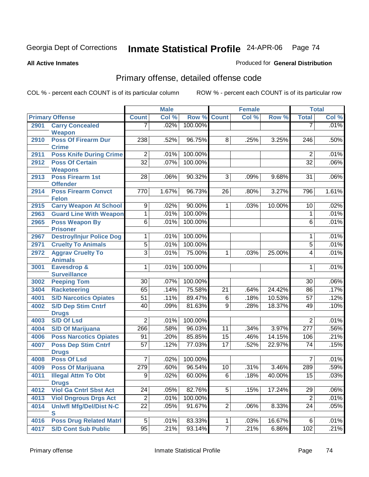Produced for **General Distribution**

#### **All Active Inmates**

# Primary offense, detailed offense code

|      |                                            | <b>Male</b>      |       | <b>Female</b> |                 |       | <b>Total</b> |                  |       |
|------|--------------------------------------------|------------------|-------|---------------|-----------------|-------|--------------|------------------|-------|
|      | <b>Primary Offense</b>                     | <b>Count</b>     | Col % | Row %         | <b>Count</b>    | Col % | Row %        | <b>Total</b>     | Col % |
| 2901 | <b>Carry Concealed</b>                     | 7                | .02%  | 100.00%       |                 |       |              | 7                | .01%  |
|      | Weapon                                     |                  |       |               |                 |       |              |                  |       |
| 2910 | <b>Poss Of Firearm Dur</b>                 | 238              | .52%  | 96.75%        | $\overline{8}$  | .25%  | 3.25%        | $\overline{246}$ | .50%  |
|      | <b>Crime</b>                               |                  |       |               |                 |       |              |                  |       |
| 2911 | <b>Poss Knife During Crime</b>             | $\overline{2}$   | .01%  | 100.00%       |                 |       |              | $\overline{2}$   | .01%  |
| 2912 | <b>Poss Of Certain</b>                     | $\overline{32}$  | .07%  | 100.00%       |                 |       |              | $\overline{32}$  | .06%  |
|      | <b>Weapons</b>                             |                  |       |               |                 |       |              |                  |       |
| 2913 | <b>Poss Firearm 1st</b><br><b>Offender</b> | $\overline{28}$  | .06%  | 90.32%        | $\overline{3}$  | .09%  | 9.68%        | 31               | .06%  |
| 2914 | <b>Poss Firearm Convct</b>                 | 770              | 1.67% | 96.73%        | 26              | .80%  | 3.27%        | 796              | 1.61% |
|      | <b>Felon</b>                               |                  |       |               |                 |       |              |                  |       |
| 2915 | <b>Carry Weapon At School</b>              | $\overline{9}$   | .02%  | 90.00%        | $\mathbf{1}$    | .03%  | 10.00%       | 10               | .02%  |
| 2963 | <b>Guard Line With Weapon</b>              | 1                | .01%  | 100.00%       |                 |       |              | 1                | .01%  |
| 2965 | <b>Poss Weapon By</b>                      | $\overline{6}$   | .01%  | 100.00%       |                 |       |              | $\overline{6}$   | .01%  |
|      | <b>Prisoner</b>                            |                  |       |               |                 |       |              |                  |       |
| 2967 | <b>Destroy/Injur Police Dog</b>            | 1                | .01%  | 100.00%       |                 |       |              | 1                | .01%  |
| 2971 | <b>Cruelty To Animals</b>                  | $\overline{5}$   | .01%  | 100.00%       |                 |       |              | $\overline{5}$   | .01%  |
| 2972 | <b>Aggrav Cruelty To</b>                   | $\overline{3}$   | .01%  | 75.00%        | $\mathbf{1}$    | .03%  | 25.00%       | 4                | .01%  |
|      | <b>Animals</b>                             |                  |       |               |                 |       |              |                  |       |
| 3001 | <b>Eavesdrop &amp;</b>                     | 1                | .01%  | 100.00%       |                 |       |              | $\mathbf 1$      | .01%  |
|      | <b>Surveillance</b>                        |                  |       |               |                 |       |              |                  |       |
| 3002 | <b>Peeping Tom</b>                         | 30               | .07%  | 100.00%       |                 |       |              | 30               | .06%  |
| 3404 | <b>Racketeering</b>                        | 65               | .14%  | 75.58%        | 21              | .64%  | 24.42%       | 86               | .17%  |
| 4001 | <b>S/D Narcotics Opiates</b>               | 51               | .11%  | 89.47%        | $6\phantom{a}$  | .18%  | 10.53%       | 57               | .12%  |
| 4002 | <b>S/D Dep Stim Cntrf</b>                  | 40               | .09%  | 81.63%        | 9               | .28%  | 18.37%       | 49               | .10%  |
|      | <b>Drugs</b>                               |                  |       |               |                 |       |              |                  |       |
| 4003 | <b>S/D Of Lsd</b>                          | $\overline{2}$   | .01%  | 100.00%       |                 |       |              | $\overline{2}$   | .01%  |
| 4004 | <b>S/D Of Marijuana</b>                    | 266              | .58%  | 96.03%        | 11              | .34%  | 3.97%        | 277              | .56%  |
| 4006 | <b>Poss Narcotics Opiates</b>              | 91               | .20%  | 85.85%        | $\overline{15}$ | .46%  | 14.15%       | 106              | .21%  |
| 4007 | <b>Poss Dep Stim Cntrf</b>                 | 57               | .12%  | 77.03%        | 17              | .52%  | 22.97%       | 74               | .15%  |
|      | <b>Drugs</b>                               |                  |       |               |                 |       |              |                  |       |
| 4008 | <b>Poss Of Lsd</b>                         | 7                | .02%  | 100.00%       |                 |       |              | 7                | .01%  |
| 4009 | <b>Poss Of Marijuana</b>                   | 279              | .60%  | 96.54%        | 10              | .31%  | 3.46%        | 289              | .59%  |
| 4011 | <b>Illegal Attm To Obt</b>                 | $\overline{9}$   | .02%  | 60.00%        | $\overline{6}$  | .18%  | 40.00%       | $\overline{15}$  | .03%  |
|      | <b>Drugs</b>                               |                  |       |               |                 |       |              |                  |       |
| 4012 | <b>Viol Ga Cntrl Sbst Act</b>              | 24               | .05%  | 82.76%        | 5               | .15%  | 17.24%       | 29               | .06%  |
| 4013 | <b>Viol Dngrous Drgs Act</b>               | $\boldsymbol{2}$ | .01%  | 100.00%       |                 |       |              | $\sqrt{2}$       | .01%  |
| 4014 | <b>Uniwfl Mfg/Del/Dist N-C</b>             | 22               | .05%  | 91.67%        | $\overline{2}$  | .06%  | 8.33%        | 24               | .05%  |
|      | $\mathbf{s}$                               |                  |       |               |                 |       |              |                  |       |
| 4016 | <b>Poss Drug Related Matri</b>             | 5                | .01%  | 83.33%        | 1               | .03%  | 16.67%       | 6                | .01%  |
| 4017 | <b>S/D Cont Sub Public</b>                 | 95               | .21%  | 93.14%        | 7               | .21%  | 6.86%        | 102              | .21%  |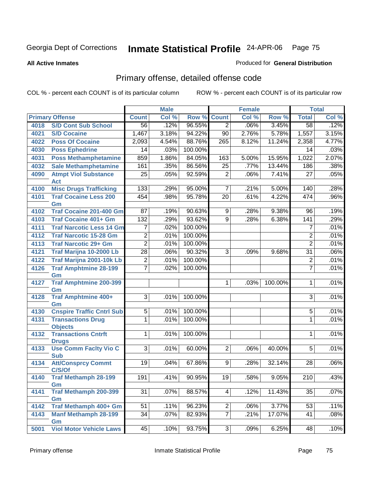#### **All Active Inmates**

### Produced for **General Distribution**

# Primary offense, detailed offense code

|      |                                            |                 | <b>Male</b> |         |                 | <b>Female</b> |         |                  | <b>Total</b> |
|------|--------------------------------------------|-----------------|-------------|---------|-----------------|---------------|---------|------------------|--------------|
|      | <b>Primary Offense</b>                     | <b>Count</b>    | Col %       | Row %   | <b>Count</b>    | Col %         | Row %   | <b>Total</b>     | Col %        |
| 4018 | <b>S/D Cont Sub School</b>                 | 56              | .12%        | 96.55%  | $\overline{2}$  | .06%          | 3.45%   | $\overline{58}$  | .12%         |
| 4021 | <b>S/D Cocaine</b>                         | 1,467           | 3.18%       | 94.22%  | $\overline{90}$ | 2.76%         | 5.78%   | 1,557            | 3.15%        |
| 4022 | <b>Poss Of Cocaine</b>                     | 2,093           | 4.54%       | 88.76%  | 265             | 8.12%         | 11.24%  | 2,358            | 4.77%        |
| 4030 | <b>Poss Ephedrine</b>                      | 14              | .03%        | 100.00% |                 |               |         | 14               | .03%         |
| 4031 | <b>Poss Methamphetamine</b>                | 859             | 1.86%       | 84.05%  | 163             | 5.00%         | 15.95%  | 1,022            | 2.07%        |
| 4032 | <b>Sale Methamphetamine</b>                | 161             | .35%        | 86.56%  | $\overline{25}$ | .77%          | 13.44%  | 186              | .38%         |
| 4090 | <b>Atmpt Viol Substance</b><br><b>Act</b>  | 25              | .05%        | 92.59%  | $\overline{2}$  | .06%          | 7.41%   | 27               | .05%         |
| 4100 | <b>Misc Drugs Trafficking</b>              | 133             | .29%        | 95.00%  | $\overline{7}$  | .21%          | 5.00%   | 140              | .28%         |
| 4101 | <b>Traf Cocaine Less 200</b><br>Gm         | 454             | .98%        | 95.78%  | $\overline{20}$ | .61%          | 4.22%   | 474              | .96%         |
| 4102 | <b>Traf Cocaine 201-400 Gm</b>             | $\overline{87}$ | .19%        | 90.63%  | 9               | .28%          | 9.38%   | 96               | .19%         |
| 4103 | <b>Traf Cocaine 401+ Gm</b>                | 132             | .29%        | 93.62%  | $\overline{9}$  | .28%          | 6.38%   | $\overline{141}$ | .29%         |
| 4111 | <b>Traf Narcotic Less 14 Gm</b>            | 7               | .02%        | 100.00% |                 |               |         | 7                | .01%         |
| 4112 | <b>Traf Narcotic 15-28 Gm</b>              | $\overline{2}$  | .01%        | 100.00% |                 |               |         | $\overline{2}$   | .01%         |
| 4113 | <b>Traf Narcotic 29+ Gm</b>                | $\overline{2}$  | .01%        | 100.00% |                 |               |         | $\overline{2}$   | .01%         |
| 4121 | Traf Marijna 10-2000 Lb                    | $\overline{28}$ | .06%        | 90.32%  | $\overline{3}$  | .09%          | 9.68%   | $\overline{31}$  | .06%         |
| 4122 | Traf Marijna 2001-10k Lb                   | $\overline{2}$  | .01%        | 100.00% |                 |               |         | $\overline{2}$   | .01%         |
| 4126 | <b>Traf Amphtmine 28-199</b>               | $\overline{7}$  | .02%        | 100.00% |                 |               |         | 7                | .01%         |
|      | Gm                                         |                 |             |         |                 |               |         |                  |              |
| 4127 | <b>Traf Amphtmine 200-399</b>              |                 |             |         | 1               | .03%          | 100.00% | 1                | .01%         |
| 4128 | Gm<br>Traf Amphtmine 400+                  | $\overline{3}$  | .01%        | 100.00% |                 |               |         | 3                | .01%         |
|      | Gm                                         |                 |             |         |                 |               |         |                  |              |
| 4130 | <b>Cnspire Traffic Cntrl Sub</b>           | $\overline{5}$  | .01%        | 100.00% |                 |               |         | 5                | .01%         |
| 4131 | <b>Transactions Drug</b>                   | $\overline{1}$  | .01%        | 100.00% |                 |               |         | 1                | .01%         |
|      | <b>Objects</b>                             |                 |             |         |                 |               |         |                  |              |
| 4132 | <b>Transactions Cntrft</b><br><b>Drugs</b> | $\mathbf{1}$    | .01%        | 100.00% |                 |               |         | 1                | .01%         |
| 4133 | <b>Use Comm Facity Vio C</b><br><b>Sub</b> | 3 <sup>1</sup>  | .01%        | 60.00%  | 2 <sup>1</sup>  | .06%          | 40.00%  | 5                | .01%         |
| 4134 | <b>Att/Consprcy Commt</b><br>C/S/Of        | 19              | .04%        | 67.86%  | 9 <sup>1</sup>  | .28%          | 32.14%  | 28               | .06%         |
| 4140 | <b>Traf Methamph 28-199</b><br>Gm          | 191             | .41%        | 90.95%  | 19              | .58%          | 9.05%   | 210              | .43%         |
| 4141 | Traf Methamph 200-399<br>Gm                | 31              | .07%        | 88.57%  | 4               | .12%          | 11.43%  | 35               | .07%         |
| 4142 | Traf Methamph 400+ Gm                      | 51              | .11%        | 96.23%  | 2               | .06%          | 3.77%   | 53               | .11%         |
| 4143 | <b>Manf Methamph 28-199</b>                | $\overline{34}$ | .07%        | 82.93%  | $\overline{7}$  | .21%          | 17.07%  | 41               | .08%         |
| 5001 | Gm<br><b>Viol Motor Vehicle Laws</b>       | 45              | .10%        | 93.75%  | 3               | .09%          | 6.25%   | 48               | .10%         |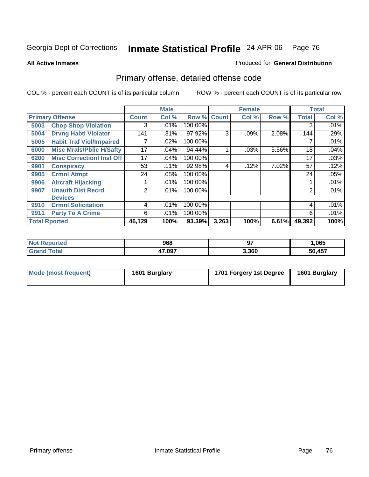**All Active Inmates**

#### Produced for **General Distribution**

# Primary offense, detailed offense code

|      |                                  |                | <b>Male</b> |         |             | <b>Female</b> |       |              | <b>Total</b> |
|------|----------------------------------|----------------|-------------|---------|-------------|---------------|-------|--------------|--------------|
|      | <b>Primary Offense</b>           | <b>Count</b>   | Col %       |         | Row % Count | Col %         | Row % | <b>Total</b> | Col %        |
| 5003 | <b>Chop Shop Violation</b>       | 3              | .01%        | 100.00% |             |               |       | 3            | $.01\%$      |
| 5004 | <b>Drvng Habtl Violator</b>      | 141            | .31%        | 97.92%  | 3           | $.09\%$       | 2.08% | 144          | .29%         |
| 5005 | <b>Habit Traf Viol/Impaired</b>  |                | $.02\%$     | 100.00% |             |               |       |              | .01%         |
| 6000 | <b>Misc Mrals/Pblic H/Safty</b>  | 17             | .04%        | 94.44%  |             | .03%          | 5.56% | 18           | .04%         |
| 6200 | <b>Misc Correctionl Inst Off</b> | 17             | .04%        | 100.00% |             |               |       | 17           | .03%         |
| 9901 | <b>Conspiracy</b>                | 53             | .11%        | 92.98%  | 4           | .12%          | 7.02% | 57           | .12%         |
| 9905 | <b>Crmnl Atmpt</b>               | 24             | .05%        | 100.00% |             |               |       | 24           | .05%         |
| 9906 | <b>Aircraft Hijacking</b>        |                | .01%        | 100.00% |             |               |       |              | .01%         |
| 9907 | <b>Unauth Dist Recrd</b>         | $\overline{2}$ | .01%        | 100.00% |             |               |       | 2            | .01%         |
|      | <b>Devices</b>                   |                |             |         |             |               |       |              |              |
| 9910 | <b>Crmnl Solicitation</b>        | 4              | .01%        | 100.00% |             |               |       | 4            | .01%         |
| 9911 | <b>Party To A Crime</b>          | 6              | .01%        | 100.00% |             |               |       | 6            | .01%         |
|      | <b>Total Rported</b>             | 46,129         | 100%        | 93.39%  | 3,263       | 100%          | 6.61% | 49,392       | 100%         |

| orreo | 968    | רח<br>v, | ,065       |
|-------|--------|----------|------------|
|       | 47,097 | 3,360    | AET<br>ישר |

| Mode (most frequent) | 1601 Burglary | 1701 Forgery 1st Degree | 1601 Burglary |
|----------------------|---------------|-------------------------|---------------|
|                      |               |                         |               |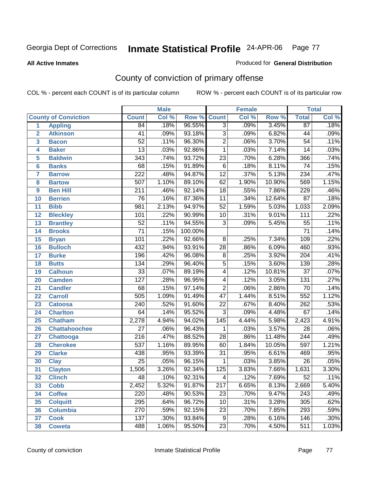#### **All Active Inmates**

#### Produced for **General Distribution**

# County of conviction of primary offense

|                 |                             |                  | <b>Male</b> |         | <b>Female</b>    |       |        | <b>Total</b>     |       |
|-----------------|-----------------------------|------------------|-------------|---------|------------------|-------|--------|------------------|-------|
|                 | <b>County of Conviction</b> | <b>Count</b>     | Col %       | Row %   | <b>Count</b>     | Col % | Row %  | <b>Total</b>     | Col % |
| 1               | <b>Appling</b>              | 84               | .18%        | 96.55%  | $\overline{3}$   | .09%  | 3.45%  | $\overline{87}$  | .18%  |
| $\overline{2}$  | <b>Atkinson</b>             | 41               | .09%        | 93.18%  | $\overline{3}$   | .09%  | 6.82%  | 44               | .09%  |
| 3               | <b>Bacon</b>                | $\overline{52}$  | .11%        | 96.30%  | $\overline{2}$   | .06%  | 3.70%  | $\overline{54}$  | .11%  |
| 4               | <b>Baker</b>                | $\overline{13}$  | .03%        | 92.86%  | 1                | .03%  | 7.14%  | 14               | .03%  |
| 5               | <b>Baldwin</b>              | $\overline{343}$ | .74%        | 93.72%  | $\overline{23}$  | .70%  | 6.28%  | 366              | .74%  |
| 6               | <b>Banks</b>                | 68               | .15%        | 91.89%  | $\,6$            | .18%  | 8.11%  | $\overline{74}$  | .15%  |
| 7               | <b>Barrow</b>               | $\overline{222}$ | .48%        | 94.87%  | $\overline{12}$  | .37%  | 5.13%  | 234              | .47%  |
| 8               | <b>Bartow</b>               | 507              | 1.10%       | 89.10%  | 62               | 1.90% | 10.90% | 569              | 1.15% |
| 9               | <b>Ben Hill</b>             | $\overline{211}$ | .46%        | 92.14%  | $\overline{18}$  | .55%  | 7.86%  | $\overline{229}$ | .46%  |
| 10              | <b>Berrien</b>              | 76               | .16%        | 87.36%  | 11               | .34%  | 12.64% | $\overline{87}$  | .18%  |
| 11              | <b>Bibb</b>                 | $\overline{981}$ | 2.13%       | 94.97%  | $\overline{52}$  | 1.59% | 5.03%  | 1,033            | 2.09% |
| 12              | <b>Bleckley</b>             | 101              | .22%        | 90.99%  | 10               | .31%  | 9.01%  | $\overline{111}$ | .22%  |
| $\overline{13}$ | <b>Brantley</b>             | $\overline{52}$  | .11%        | 94.55%  | $\overline{3}$   | .09%  | 5.45%  | $\overline{55}$  | .11%  |
| 14              | <b>Brooks</b>               | $\overline{71}$  | .15%        | 100.00% |                  |       |        | $\overline{71}$  | .14%  |
| 15              | <b>Bryan</b>                | 101              | .22%        | 92.66%  | $\overline{8}$   | .25%  | 7.34%  | 109              | .22%  |
| 16              | <b>Bulloch</b>              | 432              | .94%        | 93.91%  | 28               | .86%  | 6.09%  | 460              | .93%  |
| 17              | <b>Burke</b>                | 196              | .42%        | 96.08%  | $\overline{8}$   | .25%  | 3.92%  | $\overline{204}$ | .41%  |
| 18              | <b>Butts</b>                | 134              | .29%        | 96.40%  | $\overline{5}$   | .15%  | 3.60%  | 139              | .28%  |
| 19              | <b>Calhoun</b>              | $\overline{33}$  | .07%        | 89.19%  | 4                | .12%  | 10.81% | $\overline{37}$  | .07%  |
| 20              | <b>Camden</b>               | $\overline{127}$ | .28%        | 96.95%  | 4                | .12%  | 3.05%  | $\overline{131}$ | .27%  |
| 21              | <b>Candler</b>              | 68               | .15%        | 97.14%  | $\overline{2}$   | .06%  | 2.86%  | $\overline{70}$  | .14%  |
| 22              | <b>Carroll</b>              | 505              | 1.09%       | 91.49%  | $\overline{47}$  | 1.44% | 8.51%  | 552              | 1.12% |
| 23              | <b>Catoosa</b>              | $\overline{240}$ | .52%        | 91.60%  | $\overline{22}$  | .67%  | 8.40%  | 262              | .53%  |
| 24              | <b>Charlton</b>             | 64               | .14%        | 95.52%  | $\overline{3}$   | .09%  | 4.48%  | 67               | .14%  |
| 25              | <b>Chatham</b>              | 2,278            | 4.94%       | 94.02%  | $\overline{145}$ | 4.44% | 5.98%  | 2,423            | 4.91% |
| 26              | <b>Chattahoochee</b>        | $\overline{27}$  | .06%        | 96.43%  | 1                | .03%  | 3.57%  | $\overline{28}$  | .06%  |
| 27              | Chattooga                   | $\overline{216}$ | .47%        | 88.52%  | $\overline{28}$  | .86%  | 11.48% | $\overline{244}$ | .49%  |
| 28              | <b>Cherokee</b>             | $\overline{537}$ | 1.16%       | 89.95%  | 60               | 1.84% | 10.05% | 597              | 1.21% |
| 29              | <b>Clarke</b>               | 438              | .95%        | 93.39%  | $\overline{31}$  | .95%  | 6.61%  | 469              | .95%  |
| 30              | <b>Clay</b>                 | $\overline{25}$  | .05%        | 96.15%  | 1                | .03%  | 3.85%  | $\overline{26}$  | .05%  |
| $\overline{31}$ | <b>Clayton</b>              | 1,506            | 3.26%       | 92.34%  | $\overline{125}$ | 3.83% | 7.66%  | 1,631            | 3.30% |
| 32              | <b>Clinch</b>               | 48               | .10%        | 92.31%  | 4                | .12%  | 7.69%  | 52               | .11%  |
| 33              | <b>Cobb</b>                 | 2,452            | 5.32%       | 91.87%  | $\overline{217}$ | 6.65% | 8.13%  | 2,669            | 5.40% |
| 34              | <b>Coffee</b>               | 220              | .48%        | 90.53%  | 23               | .70%  | 9.47%  | 243              | .49%  |
| 35              | <b>Colquitt</b>             | 295              | .64%        | 96.72%  | 10               | .31%  | 3.28%  | $\overline{305}$ | .62%  |
| 36              | <b>Columbia</b>             | 270              | .59%        | 92.15%  | 23               | .70%  | 7.85%  | 293              | .59%  |
| 37              | <b>Cook</b>                 | $\overline{137}$ | .30%        | 93.84%  | $\overline{9}$   | .28%  | 6.16%  | 146              | .30%  |
| 38              | <b>Coweta</b>               | 488              | 1.06%       | 95.50%  | 23               | .70%  | 4.50%  | 511              | 1.03% |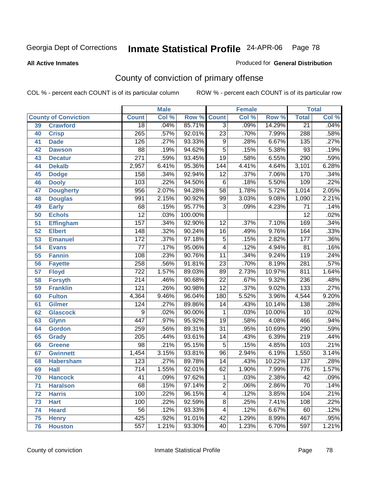Produced for **General Distribution**

#### **All Active Inmates**

# County of conviction of primary offense

|    |                             |                  | <b>Male</b> |         |                         | <b>Female</b> |        |                  | <b>Total</b> |  |
|----|-----------------------------|------------------|-------------|---------|-------------------------|---------------|--------|------------------|--------------|--|
|    | <b>County of Conviction</b> | <b>Count</b>     | Col %       | Row %   | <b>Count</b>            | Col %         | Row %  | <b>Total</b>     | Col %        |  |
| 39 | <b>Crawford</b>             | $\overline{18}$  | .04%        | 85.71%  | $\overline{3}$          | .09%          | 14.29% | $\overline{21}$  | .04%         |  |
| 40 | <b>Crisp</b>                | 265              | .57%        | 92.01%  | $\overline{23}$         | .70%          | 7.99%  | 288              | .58%         |  |
| 41 | <b>Dade</b>                 | 126              | .27%        | 93.33%  | $\overline{9}$          | .28%          | 6.67%  | $\overline{135}$ | .27%         |  |
| 42 | <b>Dawson</b>               | 88               | .19%        | 94.62%  | $\overline{5}$          | .15%          | 5.38%  | 93               | .19%         |  |
| 43 | <b>Decatur</b>              | $\overline{271}$ | .59%        | 93.45%  | $\overline{19}$         | .58%          | 6.55%  | 290              | .59%         |  |
| 44 | <b>Dekalb</b>               | 2,957            | 6.41%       | 95.36%  | 144                     | 4.41%         | 4.64%  | 3,101            | 6.28%        |  |
| 45 | <b>Dodge</b>                | 158              | .34%        | 92.94%  | $\overline{12}$         | .37%          | 7.06%  | 170              | .34%         |  |
| 46 | <b>Dooly</b>                | 103              | .22%        | 94.50%  | $\,6$                   | .18%          | 5.50%  | 109              | .22%         |  |
| 47 | <b>Dougherty</b>            | 956              | 2.07%       | 94.28%  | $\overline{58}$         | 1.78%         | 5.72%  | 1,014            | 2.05%        |  |
| 48 | <b>Douglas</b>              | 991              | 2.15%       | 90.92%  | 99                      | 3.03%         | 9.08%  | 1,090            | 2.21%        |  |
| 49 | <b>Early</b>                | 68               | .15%        | 95.77%  | $\overline{3}$          | .09%          | 4.23%  | $\overline{71}$  | .14%         |  |
| 50 | <b>Echols</b>               | $\overline{12}$  | .03%        | 100.00% |                         |               |        | $\overline{12}$  | .02%         |  |
| 51 | <b>Effingham</b>            | 157              | .34%        | 92.90%  | $\overline{12}$         | .37%          | 7.10%  | 169              | .34%         |  |
| 52 | <b>Elbert</b>               | 148              | .32%        | 90.24%  | $\overline{16}$         | .49%          | 9.76%  | 164              | .33%         |  |
| 53 | <b>Emanuel</b>              | 172              | .37%        | 97.18%  | $\overline{5}$          | .15%          | 2.82%  | 177              | .36%         |  |
| 54 | <b>Evans</b>                | 77               | .17%        | 95.06%  | 4                       | .12%          | 4.94%  | 81               | .16%         |  |
| 55 | <b>Fannin</b>               | 108              | .23%        | 90.76%  | 11                      | .34%          | 9.24%  | 119              | .24%         |  |
| 56 | <b>Fayette</b>              | 258              | .56%        | 91.81%  | $\overline{23}$         | .70%          | 8.19%  | 281              | .57%         |  |
| 57 | <b>Floyd</b>                | $\overline{722}$ | 1.57%       | 89.03%  | 89                      | 2.73%         | 10.97% | 811              | 1.64%        |  |
| 58 | <b>Forsyth</b>              | 214              | .46%        | 90.68%  | 22                      | .67%          | 9.32%  | $\overline{236}$ | .48%         |  |
| 59 | <b>Franklin</b>             | 121              | .26%        | 90.98%  | $\overline{12}$         | .37%          | 9.02%  | 133              | .27%         |  |
| 60 | <b>Fulton</b>               | 4,364            | 9.46%       | 96.04%  | 180                     | 5.52%         | 3.96%  | 4,544            | 9.20%        |  |
| 61 | <b>Gilmer</b>               | 124              | .27%        | 89.86%  | $\overline{14}$         | .43%          | 10.14% | 138              | .28%         |  |
| 62 | <b>Glascock</b>             | 9                | .02%        | 90.00%  | 1                       | .03%          | 10.00% | 10               | .02%         |  |
| 63 | <b>Glynn</b>                | 447              | .97%        | 95.92%  | $\overline{19}$         | .58%          | 4.08%  | 466              | .94%         |  |
| 64 | <b>Gordon</b>               | 259              | .56%        | 89.31%  | $\overline{31}$         | .95%          | 10.69% | 290              | .59%         |  |
| 65 | <b>Grady</b>                | 205              | .44%        | 93.61%  | 14                      | .43%          | 6.39%  | $\overline{219}$ | .44%         |  |
| 66 | <b>Greene</b>               | $\overline{98}$  | .21%        | 95.15%  | $\overline{5}$          | .15%          | 4.85%  | 103              | .21%         |  |
| 67 | <b>Gwinnett</b>             | 1,454            | 3.15%       | 93.81%  | $\overline{96}$         | 2.94%         | 6.19%  | 1,550            | 3.14%        |  |
| 68 | <b>Habersham</b>            | 123              | .27%        | 89.78%  | 14                      | .43%          | 10.22% | 137              | .28%         |  |
| 69 | <b>Hall</b>                 | $\overline{714}$ | 1.55%       | 92.01%  | 62                      | 1.90%         | 7.99%  | 776              | 1.57%        |  |
| 70 | <b>Hancock</b>              | 41               | .09%        | 97.62%  | 1                       | .03%          | 2.38%  | 42               | .09%         |  |
| 71 | <b>Haralson</b>             | 68               | .15%        | 97.14%  | $\overline{2}$          | .06%          | 2.86%  | $\overline{70}$  | .14%         |  |
| 72 | <b>Harris</b>               | 100              | .22%        | 96.15%  | $\overline{\mathbf{4}}$ | .12%          | 3.85%  | 104              | .21%         |  |
| 73 | <b>Hart</b>                 | 100              | .22%        | 92.59%  | $\overline{8}$          | .25%          | 7.41%  | 108              | .22%         |  |
| 74 | <b>Heard</b>                | 56               | .12%        | 93.33%  | 4                       | .12%          | 6.67%  | 60               | .12%         |  |
| 75 | <b>Henry</b>                | 425              | .92%        | 91.01%  | 42                      | 1.29%         | 8.99%  | 467              | .95%         |  |
| 76 | <b>Houston</b>              | 557              | 1.21%       | 93.30%  | 40                      | 1.23%         | 6.70%  | 597              | 1.21%        |  |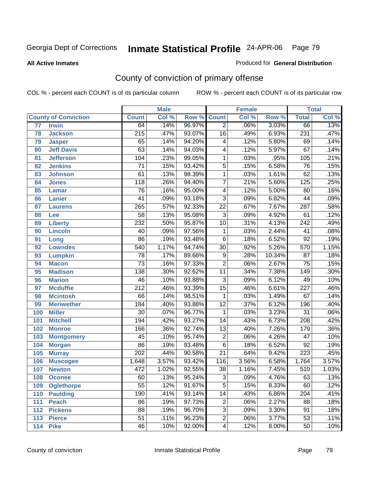**All Active Inmates**

#### Produced for **General Distribution**

# County of conviction of primary offense

|                 |                             |                  | <b>Male</b> |        |                         | <b>Female</b> |        |                  | <b>Total</b> |
|-----------------|-----------------------------|------------------|-------------|--------|-------------------------|---------------|--------|------------------|--------------|
|                 | <b>County of Conviction</b> | <b>Count</b>     | Col %       | Row %  | <b>Count</b>            | Col %         | Row %  | <b>Total</b>     | Col %        |
| $\overline{77}$ | <b>Irwin</b>                | 64               | .14%        | 96.97% | $\overline{2}$          | .06%          | 3.03%  | 66               | .13%         |
| 78              | <b>Jackson</b>              | $\overline{215}$ | .47%        | 93.07% | $\overline{16}$         | .49%          | 6.93%  | 231              | .47%         |
| 79              | <b>Jasper</b>               | 65               | .14%        | 94.20% | 4                       | .12%          | 5.80%  | 69               | .14%         |
| 80              | <b>Jeff Davis</b>           | 63               | .14%        | 94.03% | 4                       | .12%          | 5.97%  | 67               | .14%         |
| 81              | <b>Jefferson</b>            | 104              | .23%        | 99.05% | $\mathbf{1}$            | .03%          | .95%   | 105              | .21%         |
| 82              | <b>Jenkins</b>              | $\overline{71}$  | .15%        | 93.42% | $\overline{5}$          | .15%          | 6.58%  | 76               | .15%         |
| 83              | <b>Johnson</b>              | 61               | .13%        | 98.39% | 1                       | .03%          | 1.61%  | 62               | .13%         |
| 84              | <b>Jones</b>                | 118              | .26%        | 94.40% | 7                       | .21%          | 5.60%  | 125              | .25%         |
| 85              | <b>Lamar</b>                | 76               | .16%        | 95.00% | 4                       | .12%          | 5.00%  | $\overline{80}$  | .16%         |
| 86              | <b>Lanier</b>               | 41               | .09%        | 93.18% | $\overline{3}$          | .09%          | 6.82%  | 44               | .09%         |
| 87              | <b>Laurens</b>              | $\overline{265}$ | .57%        | 92.33% | $\overline{22}$         | .67%          | 7.67%  | 287              | .58%         |
| 88              | Lee                         | 58               | .13%        | 95.08% | $\overline{3}$          | .09%          | 4.92%  | 61               | .12%         |
| 89              | <b>Liberty</b>              | 232              | .50%        | 95.87% | $\overline{10}$         | .31%          | 4.13%  | $\overline{242}$ | .49%         |
| 90              | <b>Lincoln</b>              | 40               | .09%        | 97.56% | 1                       | .03%          | 2.44%  | 41               | .08%         |
| 91              | Long                        | $\overline{86}$  | .19%        | 93.48% | $\overline{6}$          | .18%          | 6.52%  | $\overline{92}$  | .19%         |
| 92              | <b>Lowndes</b>              | 540              | 1.17%       | 94.74% | $\overline{30}$         | .92%          | 5.26%  | 570              | 1.15%        |
| 93              | <b>Lumpkin</b>              | $\overline{78}$  | .17%        | 89.66% | $\overline{9}$          | .28%          | 10.34% | $\overline{87}$  | .18%         |
| 94              | <b>Macon</b>                | $\overline{73}$  | .16%        | 97.33% | $\overline{2}$          | .06%          | 2.67%  | $\overline{75}$  | .15%         |
| 95              | <b>Madison</b>              | $\overline{138}$ | .30%        | 92.62% | 11                      | .34%          | 7.38%  | $\overline{149}$ | .30%         |
| 96              | <b>Marion</b>               | 46               | .10%        | 93.88% | $\overline{3}$          | .09%          | 6.12%  | 49               | .10%         |
| 97              | <b>Mcduffie</b>             | $\overline{212}$ | .46%        | 93.39% | $\overline{15}$         | .46%          | 6.61%  | $\overline{227}$ | .46%         |
| 98              | <b>Mcintosh</b>             | 66               | .14%        | 98.51% | $\mathbf{1}$            | .03%          | 1.49%  | 67               | .14%         |
| 99              | <b>Meriwether</b>           | $\overline{184}$ | .40%        | 93.88% | $\overline{12}$         | .37%          | 6.12%  | 196              | .40%         |
| 100             | <b>Miller</b>               | 30               | .07%        | 96.77% | 1                       | .03%          | 3.23%  | $\overline{31}$  | .06%         |
| 101             | <b>Mitchell</b>             | 194              | .42%        | 93.27% | $\overline{14}$         | .43%          | 6.73%  | $\overline{208}$ | .42%         |
| 102             | <b>Monroe</b>               | 166              | .36%        | 92.74% | $\overline{13}$         | .40%          | 7.26%  | 179              | .36%         |
| 103             | <b>Montgomery</b>           | 45               | .10%        | 95.74% | $\overline{2}$          | .06%          | 4.26%  | $\overline{47}$  | .10%         |
| 104             | <b>Morgan</b>               | $\overline{86}$  | .19%        | 93.48% | $\overline{6}$          | .18%          | 6.52%  | $\overline{92}$  | .19%         |
| 105             | <b>Murray</b>               | $\overline{202}$ | .44%        | 90.58% | $\overline{21}$         | .64%          | 9.42%  | 223              | .45%         |
| 106             | <b>Muscogee</b>             | 1,648            | 3.57%       | 93.42% | 116                     | 3.56%         | 6.58%  | 1,764            | 3.57%        |
| 107             | <b>Newton</b>               | 472              | 1.02%       | 92.55% | $\overline{38}$         | 1.16%         | 7.45%  | $\overline{510}$ | 1.03%        |
| 108             | <b>Oconee</b>               | 60               | .13%        | 95.24% | 3                       | .09%          | 4.76%  | 63               | .13%         |
| 109             | <b>Oglethorpe</b>           | $\overline{55}$  | .12%        | 91.67% | $\overline{5}$          | .15%          | 8.33%  | 60               | .12%         |
| 110             | <b>Paulding</b>             | 190              | .41%        | 93.14% | $\overline{14}$         | .43%          | 6.86%  | 204              | .41%         |
| 111             | <b>Peach</b>                | $\overline{86}$  | .19%        | 97.73% | $\overline{2}$          | .06%          | 2.27%  | 88               | .18%         |
| 112             | <b>Pickens</b>              | 88               | .19%        | 96.70% | $\overline{3}$          | .09%          | 3.30%  | 91               | .18%         |
| 113             | <b>Pierce</b>               | $\overline{51}$  | .11%        | 96.23% | $\overline{2}$          | .06%          | 3.77%  | $\overline{53}$  | .11%         |
| 114             | <b>Pike</b>                 | 46               | .10%        | 92.00% | $\overline{\mathbf{4}}$ | .12%          | 8.00%  | 50               | .10%         |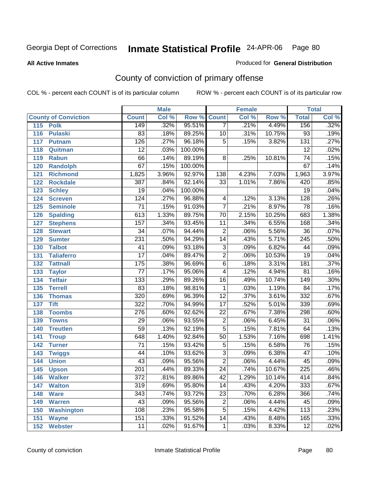**All Active Inmates**

#### Produced for **General Distribution**

# County of conviction of primary offense

|     |                             |                  | <b>Male</b> |         | <b>Female</b>   |       |        | <b>Total</b>     |       |
|-----|-----------------------------|------------------|-------------|---------|-----------------|-------|--------|------------------|-------|
|     | <b>County of Conviction</b> | <b>Count</b>     | Col %       | Row %   | <b>Count</b>    | Col % | Row %  | <b>Total</b>     | Col % |
|     | 115 Polk                    | 149              | .32%        | 95.51%  | 7               | .21%  | 4.49%  | 156              | .32%  |
| 116 | <b>Pulaski</b>              | 83               | .18%        | 89.25%  | 10              | .31%  | 10.75% | 93               | .19%  |
| 117 | <b>Putnam</b>               | 126              | .27%        | 96.18%  | $\overline{5}$  | .15%  | 3.82%  | $\overline{131}$ | .27%  |
| 118 | Quitman                     | $\overline{12}$  | .03%        | 100.00% |                 |       |        | $\overline{12}$  | .02%  |
| 119 | <b>Rabun</b>                | 66               | .14%        | 89.19%  | $\overline{8}$  | .25%  | 10.81% | $\overline{74}$  | .15%  |
| 120 | <b>Randolph</b>             | 67               | .15%        | 100.00% |                 |       |        | 67               | .14%  |
| 121 | <b>Richmond</b>             | 1,825            | 3.96%       | 92.97%  | 138             | 4.23% | 7.03%  | 1,963            | 3.97% |
| 122 | <b>Rockdale</b>             | 387              | .84%        | 92.14%  | 33              | 1.01% | 7.86%  | 420              | .85%  |
| 123 | <b>Schley</b>               | $\overline{19}$  | .04%        | 100.00% |                 |       |        | $\overline{19}$  | .04%  |
| 124 | <b>Screven</b>              | 124              | .27%        | 96.88%  | 4               | .12%  | 3.13%  | $\overline{128}$ | .26%  |
| 125 | <b>Seminole</b>             | $\overline{71}$  | .15%        | 91.03%  | $\overline{7}$  | .21%  | 8.97%  | $\overline{78}$  | .16%  |
| 126 | <b>Spalding</b>             | 613              | 1.33%       | 89.75%  | 70              | 2.15% | 10.25% | 683              | 1.38% |
| 127 | <b>Stephens</b>             | 157              | .34%        | 93.45%  | 11              | .34%  | 6.55%  | 168              | .34%  |
| 128 | <b>Stewart</b>              | $\overline{34}$  | .07%        | 94.44%  | $\overline{2}$  | .06%  | 5.56%  | $\overline{36}$  | .07%  |
| 129 | <b>Sumter</b>               | 231              | .50%        | 94.29%  | $\overline{14}$ | .43%  | 5.71%  | $\overline{245}$ | .50%  |
| 130 | <b>Talbot</b>               | 41               | .09%        | 93.18%  | 3               | .09%  | 6.82%  | 44               | .09%  |
| 131 | <b>Taliaferro</b>           | $\overline{17}$  | .04%        | 89.47%  | $\overline{2}$  | .06%  | 10.53% | $\overline{19}$  | .04%  |
| 132 | <b>Tattnall</b>             | $\overline{175}$ | .38%        | 96.69%  | $\overline{6}$  | .18%  | 3.31%  | 181              | .37%  |
| 133 | <b>Taylor</b>               | $\overline{77}$  | .17%        | 95.06%  | 4               | .12%  | 4.94%  | $\overline{81}$  | .16%  |
| 134 | <b>Telfair</b>              | $\overline{133}$ | .29%        | 89.26%  | 16              | .49%  | 10.74% | 149              | .30%  |
| 135 | <b>Terrell</b>              | $\overline{83}$  | .18%        | 98.81%  | $\mathbf{1}$    | .03%  | 1.19%  | $\overline{84}$  | .17%  |
| 136 | <b>Thomas</b>               | $\overline{320}$ | .69%        | 96.39%  | $\overline{12}$ | .37%  | 3.61%  | 332              | .67%  |
| 137 | <b>Tift</b>                 | $\overline{322}$ | .70%        | 94.99%  | $\overline{17}$ | .52%  | 5.01%  | 339              | .69%  |
| 138 | <b>Toombs</b>               | 276              | .60%        | 92.62%  | 22              | .67%  | 7.38%  | 298              | .60%  |
| 139 | <b>Towns</b>                | 29               | .06%        | 93.55%  | $\overline{2}$  | .06%  | 6.45%  | $\overline{31}$  | .06%  |
| 140 | <b>Treutlen</b>             | $\overline{59}$  | .13%        | 92.19%  | $\overline{5}$  | .15%  | 7.81%  | 64               | .13%  |
| 141 | <b>Troup</b>                | 648              | 1.40%       | 92.84%  | $\overline{50}$ | 1.53% | 7.16%  | 698              | 1.41% |
| 142 | <b>Turner</b>               | 71               | .15%        | 93.42%  | $\overline{5}$  | .15%  | 6.58%  | 76               | .15%  |
| 143 | <b>Twiggs</b>               | $\overline{44}$  | .10%        | 93.62%  | $\overline{3}$  | .09%  | 6.38%  | $\overline{47}$  | .10%  |
| 144 | <b>Union</b>                | 43               | .09%        | 95.56%  | $\overline{2}$  | .06%  | 4.44%  | 45               | .09%  |
| 145 | <b>Upson</b>                | $\overline{201}$ | .44%        | 89.33%  | $\overline{24}$ | .74%  | 10.67% | $\overline{225}$ | .46%  |
| 146 | <b>Walker</b>               | 372              | .81%        | 89.86%  | 42              | 1.29% | 10.14% | 414              | .84%  |
| 147 | <b>Walton</b>               | $\overline{319}$ | .69%        | 95.80%  | $\overline{14}$ | .43%  | 4.20%  | 333              | .67%  |
| 148 | <b>Ware</b>                 | 343              | .74%        | 93.72%  | $\overline{23}$ | .70%  | 6.28%  | 366              | .74%  |
| 149 | <b>Warren</b>               | 43               | .09%        | 95.56%  | 2               | .06%  | 4.44%  | 45               | .09%  |
| 150 | <b>Washington</b>           | 108              | .23%        | 95.58%  | $\overline{5}$  | .15%  | 4.42%  | 113              | .23%  |
| 151 | <b>Wayne</b>                | 151              | .33%        | 91.52%  | 14              | .43%  | 8.48%  | 165              | .33%  |
| 152 | <b>Webster</b>              | 11               | .02%        | 91.67%  | 1               | .03%  | 8.33%  | 12               | .02%  |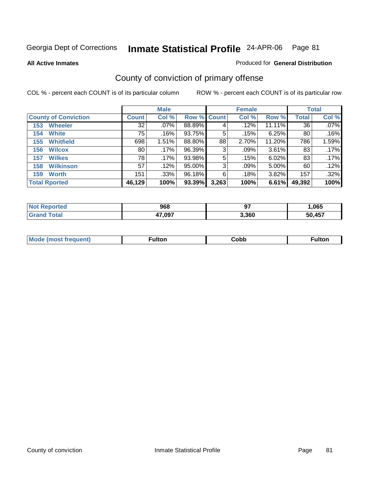Produced for **General Distribution**

**All Active Inmates**

# County of conviction of primary offense

|                             |              | <b>Male</b> |                    |       | <b>Female</b> |          |              | <b>Total</b> |
|-----------------------------|--------------|-------------|--------------------|-------|---------------|----------|--------------|--------------|
| <b>County of Conviction</b> | <b>Count</b> | Col %       | <b>Row % Count</b> |       | Col %         | Row %    | <b>Total</b> | Col %        |
| <b>Wheeler</b><br>153       | 32           | $.07\%$     | 88.89%             | 4     | .12%          | 11.11%   | 36           | $.07\%$      |
| <b>White</b><br>154         | 75           | .16%        | 93.75%             | 5     | .15%          | 6.25%    | 80           | .16%         |
| <b>Whitfield</b><br>155     | 698          | 1.51%       | 88.80%             | 88    | 2.70%         | 11.20%   | 786          | 1.59%        |
| <b>Wilcox</b><br>156        | 80           | .17%        | 96.39%             | 3     | .09%          | $3.61\%$ | 83           | .17%         |
| <b>Wilkes</b><br>157        | 78           | .17%        | 93.98%             | 5     | .15%          | 6.02%    | 83           | $.17\%$      |
| <b>Wilkinson</b><br>158     | 57           | .12%        | 95.00%             | 3     | .09%          | $5.00\%$ | 60           | $.12\%$      |
| <b>Worth</b><br>159         | 151          | $.33\%$     | 96.18%             | 6     | .18%          | 3.82%    | 157          | .32%         |
| <b>Total Rported</b>        | 46,129       | 100%        | 93.39%             | 3,263 | 100%          | 6.61%    | 49,392       | 100%         |

| TE 10 | 968    | $\sim$<br>v. | ,065       |
|-------|--------|--------------|------------|
|       | 17,097 | 3,360        | <b>A57</b> |

| Mc<br>auent)<br>. | -unon. | obb. | ™ulton |
|-------------------|--------|------|--------|
|                   |        |      |        |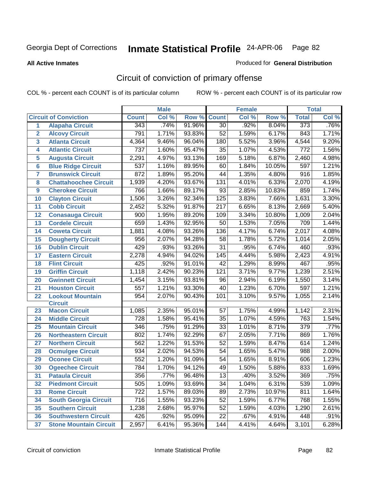**All Active Inmates**

#### Produced for **General Distribution**

# Circuit of conviction of primary offense

|                  |                               |                  | <b>Male</b> |        |                  | <b>Female</b> |        |                  | <b>Total</b> |
|------------------|-------------------------------|------------------|-------------|--------|------------------|---------------|--------|------------------|--------------|
|                  | <b>Circuit of Conviction</b>  | <b>Count</b>     | Col %       | Row %  | <b>Count</b>     | Col %         | Row %  | <b>Total</b>     | Col %        |
| $\mathbf{1}$     | <b>Alapaha Circuit</b>        | 343              | .74%        | 91.96% | $\overline{30}$  | .92%          | 8.04%  | 373              | .76%         |
| $\overline{2}$   | <b>Alcovy Circuit</b>         | 791              | 1.71%       | 93.83% | $\overline{52}$  | 1.59%         | 6.17%  | 843              | 1.71%        |
| 3                | <b>Atlanta Circuit</b>        | 4,364            | 9.46%       | 96.04% | 180              | 5.52%         | 3.96%  | 4,544            | 9.20%        |
| 4                | <b>Atlantic Circuit</b>       | 737              | 1.60%       | 95.47% | 35               | 1.07%         | 4.53%  | 772              | 1.56%        |
| 5                | <b>Augusta Circuit</b>        | 2,291            | 4.97%       | 93.13% | 169              | 5.18%         | 6.87%  | 2,460            | 4.98%        |
| $6\phantom{a}$   | <b>Blue Ridge Circuit</b>     | 537              | 1.16%       | 89.95% | 60               | 1.84%         | 10.05% | 597              | 1.21%        |
| 7                | <b>Brunswick Circuit</b>      | 872              | 1.89%       | 95.20% | 44               | 1.35%         | 4.80%  | $\overline{916}$ | 1.85%        |
| 8                | <b>Chattahoochee Circuit</b>  | 1,939            | 4.20%       | 93.67% | 131              | 4.01%         | 6.33%  | 2,070            | 4.19%        |
| $\boldsymbol{9}$ | <b>Cherokee Circuit</b>       | 766              | 1.66%       | 89.17% | 93               | 2.85%         | 10.83% | 859              | 1.74%        |
| 10               | <b>Clayton Circuit</b>        | 1,506            | 3.26%       | 92.34% | 125              | 3.83%         | 7.66%  | 1,631            | 3.30%        |
| 11               | <b>Cobb Circuit</b>           | 2,452            | 5.32%       | 91.87% | $\overline{217}$ | 6.65%         | 8.13%  | 2,669            | 5.40%        |
| 12               | <b>Conasauga Circuit</b>      | 900              | 1.95%       | 89.20% | 109              | 3.34%         | 10.80% | 1,009            | 2.04%        |
| 13               | <b>Cordele Circuit</b>        | 659              | 1.43%       | 92.95% | $\overline{50}$  | 1.53%         | 7.05%  | 709              | 1.44%        |
| 14               | <b>Coweta Circuit</b>         | 1,881            | 4.08%       | 93.26% | 136              | 4.17%         | 6.74%  | 2,017            | 4.08%        |
| 15               | <b>Dougherty Circuit</b>      | 956              | 2.07%       | 94.28% | 58               | 1.78%         | 5.72%  | 1,014            | 2.05%        |
| 16               | <b>Dublin Circuit</b>         | 429              | .93%        | 93.26% | 31               | .95%          | 6.74%  | 460              | .93%         |
| 17               | <b>Eastern Circuit</b>        | 2,278            | 4.94%       | 94.02% | 145              | 4.44%         | 5.98%  | 2,423            | 4.91%        |
| 18               | <b>Flint Circuit</b>          | 425              | .92%        | 91.01% | 42               | 1.29%         | 8.99%  | 467              | .95%         |
| 19               | <b>Griffin Circuit</b>        | 1,118            | 2.42%       | 90.23% | 121              | 3.71%         | 9.77%  | 1,239            | 2.51%        |
| 20               | <b>Gwinnett Circuit</b>       | 1,454            | 3.15%       | 93.81% | 96               | 2.94%         | 6.19%  | 1,550            | 3.14%        |
| 21               | <b>Houston Circuit</b>        | 557              | 1.21%       | 93.30% | 40               | 1.23%         | 6.70%  | 597              | 1.21%        |
| 22               | <b>Lookout Mountain</b>       | 954              | 2.07%       | 90.43% | 101              | 3.10%         | 9.57%  | 1,055            | 2.14%        |
|                  | <b>Circuit</b>                |                  |             |        |                  |               |        |                  |              |
| 23               | <b>Macon Circuit</b>          | 1,085            | 2.35%       | 95.01% | 57               | 1.75%         | 4.99%  | 1,142            | 2.31%        |
| 24               | <b>Middle Circuit</b>         | $\overline{728}$ | 1.58%       | 95.41% | 35               | 1.07%         | 4.59%  | 763              | 1.54%        |
| 25               | <b>Mountain Circuit</b>       | 346              | .75%        | 91.29% | 33               | 1.01%         | 8.71%  | 379              | .77%         |
| 26               | <b>Northeastern Circuit</b>   | 802              | 1.74%       | 92.29% | $\overline{67}$  | 2.05%         | 7.71%  | 869              | 1.76%        |
| 27               | <b>Northern Circuit</b>       | 562              | 1.22%       | 91.53% | $\overline{52}$  | 1.59%         | 8.47%  | 614              | 1.24%        |
| 28               | <b>Ocmulgee Circuit</b>       | 934              | 2.02%       | 94.53% | 54               | 1.65%         | 5.47%  | 988              | 2.00%        |
| 29               | <b>Oconee Circuit</b>         | 552              | 1.20%       | 91.09% | 54               | 1.65%         | 8.91%  | 606              | 1.23%        |
| 30               | <b>Ogeechee Circuit</b>       | 784              | 1.70%       | 94.12% | 49               | 1.50%         | 5.88%  | 833              | 1.69%        |
| 31               | <b>Pataula Circuit</b>        | $\overline{356}$ | .77%        | 96.48% | $\overline{13}$  | .40%          | 3.52%  | 369              | .75%         |
| 32               | <b>Piedmont Circuit</b>       | 505              | 1.09%       | 93.69% | 34               | 1.04%         | 6.31%  | 539              | 1.09%        |
| 33               | <b>Rome Circuit</b>           | 722              | 1.57%       | 89.03% | 89               | 2.73%         | 10.97% | 811              | 1.64%        |
| 34               | <b>South Georgia Circuit</b>  | 716              | 1.55%       | 93.23% | 52               | 1.59%         | 6.77%  | 768              | 1.55%        |
| 35               | <b>Southern Circuit</b>       | 1,238            | 2.68%       | 95.97% | 52               | 1.59%         | 4.03%  | 1,290            | 2.61%        |
| 36               | <b>Southwestern Circuit</b>   | 426              | .92%        | 95.09% | 22               | .67%          | 4.91%  | 448              | .91%         |
| 37               | <b>Stone Mountain Circuit</b> | 2,957            | 6.41%       | 95.36% | 144              | 4.41%         | 4.64%  | 3,101            | 6.28%        |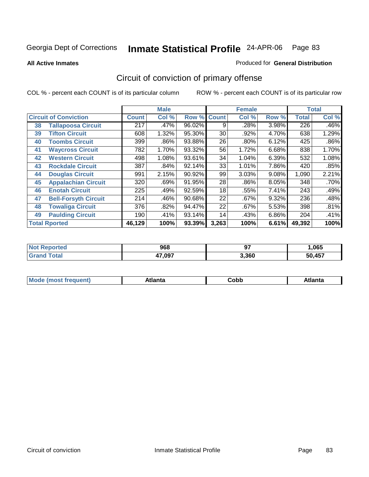**All Active Inmates**

#### Produced for **General Distribution**

# Circuit of conviction of primary offense

|    |                              |              | <b>Male</b> |                    |       | <b>Female</b> |       |              | <b>Total</b> |
|----|------------------------------|--------------|-------------|--------------------|-------|---------------|-------|--------------|--------------|
|    | <b>Circuit of Conviction</b> | <b>Count</b> | Col %       | <b>Row % Count</b> |       | Col %         | Row % | <b>Total</b> | Col %        |
| 38 | <b>Tallapoosa Circuit</b>    | 217          | $.47\%$     | 96.02%             | 9     | .28%          | 3.98% | 226          | .46%         |
| 39 | <b>Tifton Circuit</b>        | 608          | 1.32%       | 95.30%             | 30    | .92%          | 4.70% | 638          | 1.29%        |
| 40 | <b>Toombs Circuit</b>        | 399          | .86%        | 93.88%             | 26    | .80%          | 6.12% | 425          | .86%         |
| 41 | <b>Waycross Circuit</b>      | 782          | 1.70%       | 93.32%             | 56    | 1.72%         | 6.68% | 838          | 1.70%        |
| 42 | <b>Western Circuit</b>       | 498          | 1.08%       | 93.61%             | 34    | 1.04%         | 6.39% | 532          | 1.08%        |
| 43 | <b>Rockdale Circuit</b>      | 387          | .84%        | 92.14%             | 33    | 1.01%         | 7.86% | 420          | .85%         |
| 44 | <b>Douglas Circuit</b>       | 991          | 2.15%       | 90.92%             | 99    | 3.03%         | 9.08% | 1,090        | 2.21%        |
| 45 | <b>Appalachian Circuit</b>   | 320          | .69%        | 91.95%             | 28    | .86%          | 8.05% | 348          | .70%         |
| 46 | <b>Enotah Circuit</b>        | 225          | .49%        | 92.59%             | 18    | .55%          | 7.41% | 243          | .49%         |
| 47 | <b>Bell-Forsyth Circuit</b>  | 214          | .46%        | 90.68%             | 22    | .67%          | 9.32% | 236          | .48%         |
| 48 | <b>Towaliga Circuit</b>      | 376          | .82%        | 94.47%             | 22    | .67%          | 5.53% | 398          | .81%         |
| 49 | <b>Paulding Circuit</b>      | 190          | .41%        | 93.14%             | 14    | .43%          | 6.86% | 204          | .41%         |
|    | <b>Total Rported</b>         | 46,129       | 100%        | 93.39%             | 3,263 | 100%          | 6.61% | 49,392       | 100%         |

| <b>orted</b> | 968    | $\sim$<br>J. | ,065 |
|--------------|--------|--------------|------|
|              | 47,097 | 3,360        | 457  |

| M | --- | ∶obb<br>- - - - | Atlanta |
|---|-----|-----------------|---------|
|   |     |                 |         |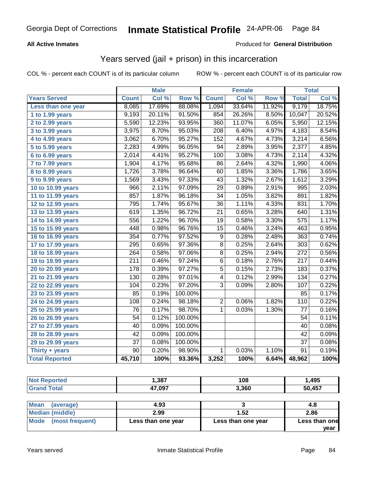### **All Active Inmates**

### Produced for **General Distribution**

### Years served (jail + prison) in this incarceration

|                              |                  | <b>Male</b> |         |                         | <b>Female</b> |        |                  | <b>Total</b> |
|------------------------------|------------------|-------------|---------|-------------------------|---------------|--------|------------------|--------------|
| <b>Years Served</b>          | <b>Count</b>     | Col %       | Row %   | <b>Count</b>            | Col %         | Row %  | <b>Total</b>     | Col %        |
| Less than one year           | 8,085            | 17.69%      | 88.08%  | 1,094                   | 33.64%        | 11.92% | 9,179            | 18.75%       |
| 1 to 1.99 years              | 9,193            | 20.11%      | 91.50%  | 854                     | 26.26%        | 8.50%  | 10,047           | 20.52%       |
| 2 to 2.99 years              | 5,590            | 12.23%      | 93.95%  | 360                     | 11.07%        | 6.05%  | 5,950            | 12.15%       |
| 3 to 3.99 years              | 3,975            | 8.70%       | 95.03%  | $\overline{208}$        | 6.40%         | 4.97%  | 4,183            | 8.54%        |
| $\overline{4}$ to 4.99 years | 3,062            | 6.70%       | 95.27%  | $\overline{152}$        | 4.67%         | 4.73%  | 3,214            | 6.56%        |
| 5 to 5.99 years              | 2,283            | 4.99%       | 96.05%  | 94                      | 2.89%         | 3.95%  | 2,377            | 4.85%        |
| 6 to 6.99 years              | 2,014            | 4.41%       | 95.27%  | 100                     | 3.08%         | 4.73%  | 2,114            | 4.32%        |
| $\overline{7}$ to 7.99 years | 1,904            | 4.17%       | 95.68%  | 86                      | 2.64%         | 4.32%  | 1,990            | 4.06%        |
| $\overline{8}$ to 8.99 years | 1,726            | 3.78%       | 96.64%  | 60                      | 1.85%         | 3.36%  | 1,786            | 3.65%        |
| 9 to 9.99 years              | 1,569            | 3.43%       | 97.33%  | $\overline{43}$         | 1.32%         | 2.67%  | 1,612            | 3.29%        |
| 10 to 10.99 years            | 966              | 2.11%       | 97.09%  | $\overline{29}$         | 0.89%         | 2.91%  | 995              | 2.03%        |
| 11 to 11.99 years            | 857              | 1.87%       | 96.18%  | $\overline{34}$         | 1.05%         | 3.82%  | 891              | 1.82%        |
| 12 to 12.99 years            | 795              | 1.74%       | 95.67%  | $\overline{36}$         | 1.11%         | 4.33%  | 831              | 1.70%        |
| 13 to 13.99 years            | 619              | 1.35%       | 96.72%  | $\overline{21}$         | 0.65%         | 3.28%  | 640              | 1.31%        |
| 14 to 14.99 years            | 556              | 1.22%       | 96.70%  | 19                      | 0.58%         | 3.30%  | 575              | 1.17%        |
| 15 to 15.99 years            | 448              | 0.98%       | 96.76%  | 15                      | 0.46%         | 3.24%  | 463              | 0.95%        |
| 16 to 16.99 years            | 354              | 0.77%       | 97.52%  | $\overline{9}$          | 0.28%         | 2.48%  | 363              | 0.74%        |
| 17 to 17.99 years            | $\overline{295}$ | 0.65%       | 97.36%  | 8                       | 0.25%         | 2.64%  | 303              | 0.62%        |
| 18 to 18.99 years            | 264              | 0.58%       | 97.06%  | $\overline{8}$          | 0.25%         | 2.94%  | 272              | 0.56%        |
| 19 to 19.99 years            | $\overline{211}$ | 0.46%       | 97.24%  | $\overline{6}$          | 0.18%         | 2.76%  | $\overline{217}$ | 0.44%        |
| 20 to 20.99 years            | $\overline{178}$ | 0.39%       | 97.27%  | $\overline{5}$          | 0.15%         | 2.73%  | 183              | 0.37%        |
| 21 to 21.99 years            | 130              | 0.28%       | 97.01%  | $\overline{\mathbf{4}}$ | 0.12%         | 2.99%  | 134              | 0.27%        |
| 22 to 22.99 years            | 104              | 0.23%       | 97.20%  | $\overline{3}$          | 0.09%         | 2.80%  | 107              | 0.22%        |
| 23 to 23.99 years            | 85               | 0.19%       | 100.00% |                         |               |        | 85               | 0.17%        |
| 24 to 24.99 years            | 108              | 0.24%       | 98.18%  | $\overline{2}$          | 0.06%         | 1.82%  | $\overline{110}$ | 0.22%        |
| 25 to 25.99 years            | $\overline{76}$  | 0.17%       | 98.70%  | $\mathbf{1}$            | 0.03%         | 1.30%  | $\overline{77}$  | 0.16%        |
| 26 to 26.99 years            | 54               | 0.12%       | 100.00% |                         |               |        | 54               | 0.11%        |
| 27 to 27.99 years            | $\overline{40}$  | 0.09%       | 100.00% |                         |               |        | $\overline{40}$  | 0.08%        |
| 28 to 28.99 years            | $\overline{42}$  | 0.09%       | 100.00% |                         |               |        | $\overline{42}$  | 0.09%        |
| 29 to 29.99 years            | $\overline{37}$  | 0.08%       | 100.00% |                         |               |        | $\overline{37}$  | 0.08%        |
| Thirty $+$ years             | $\overline{90}$  | 0.20%       | 98.90%  | $\overline{1}$          | 0.03%         | 1.10%  | $\overline{91}$  | 0.19%        |
| <b>Total Reported</b>        | 45,710           | 100%        | 93.36%  | 3,252                   | 100%          | 6.64%  | 48,962           | 100%         |

| Reported<br>NOT F | ,387   | 108   | ,495   |
|-------------------|--------|-------|--------|
| $T$ otoi<br>Grs   | 47,097 | 3,360 | 50,457 |

| Mean<br>(average)    | 4.93               |                    | 4.8           |
|----------------------|--------------------|--------------------|---------------|
| Median (middle)      | 2.99               | 1.52               | 2.86          |
| Mode (most frequent) | Less than one year | Less than one year | Less than one |
|                      |                    |                    | vear          |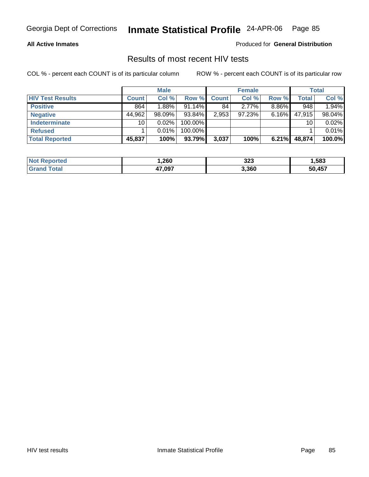### **All Active Inmates**

Produced for **General Distribution**

### Results of most recent HIV tests

|                         |              | <b>Male</b> |            |              | <b>Female</b> |       |        | <b>Total</b> |
|-------------------------|--------------|-------------|------------|--------------|---------------|-------|--------|--------------|
| <b>HIV Test Results</b> | <b>Count</b> | Col %       | Row %      | <b>Count</b> | Col %         | Row % | Total  | Col %        |
| <b>Positive</b>         | 864          | 1.88%       | 91.14%     | 84           | $2.77\%$      | 8.86% | 948    | 1.94%        |
| <b>Negative</b>         | 44,962       | $98.09\%$   | 93.84%     | 2,953        | 97.23%        | 6.16% | 47.915 | 98.04%       |
| <b>Indeterminate</b>    | 10           | $0.02\%$    | 100.00%    |              |               |       | 10     | 0.02%        |
| <b>Refused</b>          |              | 0.01%       | $100.00\%$ |              |               |       |        | 0.01%        |
| <b>Total Reported</b>   | 45,837       | 100%        | 93.79%     | 3,037        | 100%          | 6.21% | 48,874 | 100.0%       |

| <b>Not</b><br>⊾eported | ,260   | າາາ<br>JZJ | ,583                  |
|------------------------|--------|------------|-----------------------|
| `otal<br>Grai          | 47,097 | 3,360      | <b>EO 457</b><br>ו שי |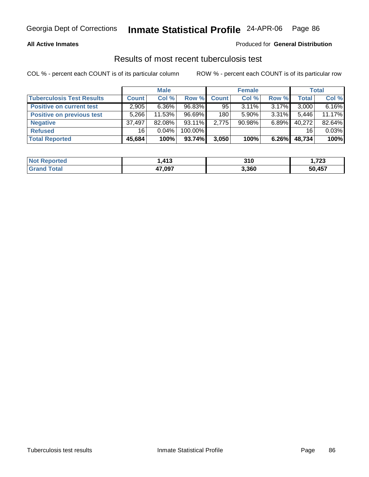### **All Active Inmates**

#### Produced for **General Distribution**

### Results of most recent tuberculosis test

|                                  |              | <b>Male</b> |           |       | <b>Female</b> |          |              | <b>Total</b> |
|----------------------------------|--------------|-------------|-----------|-------|---------------|----------|--------------|--------------|
| <b>Tuberculosis Test Results</b> | <b>Count</b> | Col %       | Row %     | Count | Col %         | Row %    | <b>Total</b> | Col %        |
| <b>Positive on current test</b>  | 2,905        | $6.36\%$    | 96.83%    | 95    | $3.11\%$      | $3.17\%$ | 3,000        | 6.16%        |
| <b>Positive on previous test</b> | 5,266        | 11.53%      | 96.69%    | 180   | 5.90%         | $3.31\%$ | 5,446        | 11.17%       |
| <b>Negative</b>                  | 37,497       | $82.08\%$   | $93.11\%$ | 2,775 | $90.98\%$     | $6.89\%$ | 40,272       | 82.64%       |
| <b>Refused</b>                   | 16           | $0.04\%$    | 100.00%   |       |               |          | 16           | 0.03%        |
| <b>Total Reported</b>            | 45,684       | 100%        | 93.74%    | 3,050 | 100%          | $6.26\%$ | 48,734       | 100%         |

| <b>Not</b><br>Reported | <b>413</b> | 310   | フへへ<br>נגו,ו |
|------------------------|------------|-------|--------------|
| Total<br>' Grand       | 47,097     | 3,360 | 50,457       |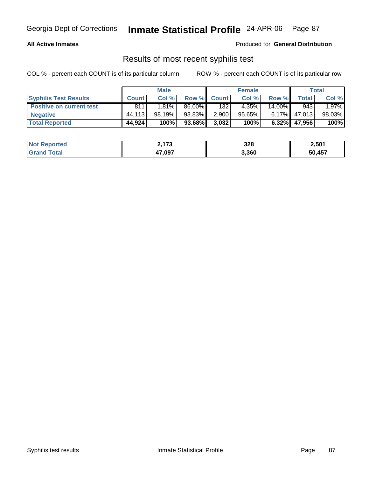### **All Active Inmates**

Produced for **General Distribution**

### Results of most recent syphilis test

|                                 |              | <b>Male</b> |           |             | <b>Female</b> |           |        | Total    |
|---------------------------------|--------------|-------------|-----------|-------------|---------------|-----------|--------|----------|
| <b>Syphilis Test Results</b>    | <b>Count</b> | Col %       |           | Row % Count | Col %         | Row %     | Total  | Col %    |
| <b>Positive on current test</b> | 811          | 1.81%       | 86.00%    | 132         | 4.35%         | $14.00\%$ | 943    | $1.97\%$ |
| <b>Negative</b>                 | 44.113       | 98.19%      | 93.83%    | 2,900       | $95.65\%$     | $6.17\%$  | 47.013 | 98.03%   |
| <b>Total Reported</b>           | 44,924       | 100%        | $93.68\%$ | 3,032       | 100%          | 6.32%     | 47,956 | 100%     |

| <b>Not Reported</b> | יי י<br>∠, I / J | 328   | 2.501  |
|---------------------|------------------|-------|--------|
| Total<br>Grand      | 47,097           | 3,360 | 50,457 |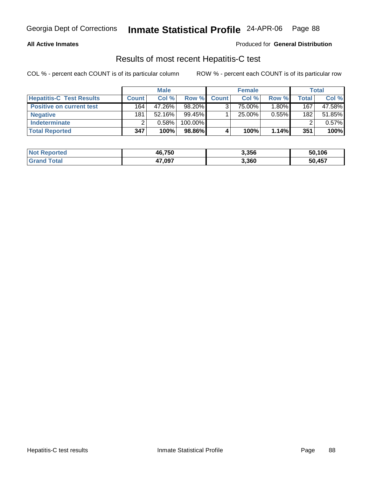### **All Active Inmates**

#### Produced for **General Distribution**

### Results of most recent Hepatitis-C test

|                                 |              | <b>Male</b> |            |              | <b>Female</b> |          |         | <b>Total</b> |
|---------------------------------|--------------|-------------|------------|--------------|---------------|----------|---------|--------------|
| <b>Hepatitis-C Test Results</b> | <b>Count</b> | Col %       | Row %      | <b>Count</b> | Col %         | Row %    | Total i | Col %        |
| <b>Positive on current test</b> | 164          | 47.26%      | 98.20%     |              | 75.00%        | 1.80%    | 167     | 47.58%       |
| <b>Negative</b>                 | 181          | $52.16\%$   | 99.45%     |              | 25.00%        | $0.55\%$ | 182     | 51.85%       |
| <b>Indeterminate</b>            |              | 0.58%       | $100.00\%$ |              |               |          |         | 0.57%        |
| <b>Total Reported</b>           | 347          | 100%        | 98.86%     |              | 100%          | 1.14%    | 351     | 100%         |

| <b>Not Reported</b>   | 46,750 | 3,356 | 50,106 |
|-----------------------|--------|-------|--------|
| <b>Total</b><br>Grand | 47,097 | 3,360 | 50,457 |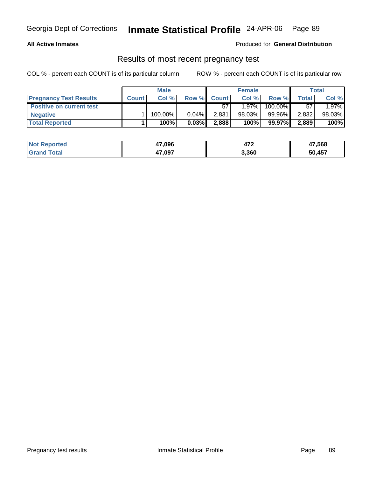### **All Active Inmates**

### Produced for **General Distribution**

### Results of most recent pregnancy test

|                                 |              | <b>Male</b> |          |              | <b>Female</b> |         |       | Total  |
|---------------------------------|--------------|-------------|----------|--------------|---------------|---------|-------|--------|
| <b>Pregnancy Test Results</b>   | <b>Count</b> | Col %       | Row %    | <b>Count</b> | Col %         | Row %   | Total | Col %  |
| <b>Positive on current test</b> |              |             |          | 57           | $1.97\%$      | 100.00% | 57    | 1.97%  |
| <b>Negative</b>                 |              | $100.00\%$  | $0.04\%$ | 2,831        | $98.03\%$     | 99.96%  | 2,832 | 98.03% |
| <b>Total Reported</b>           |              | 100%        | 0.03%    | 2,888        | 100%          | 99.97%  | 2,889 | 100%   |

| <b>Not Reported</b> | 47,096 | י ל<br>472 | 47,568 |
|---------------------|--------|------------|--------|
| <b>Grand Total</b>  | 47,097 | 3,360      | 50,457 |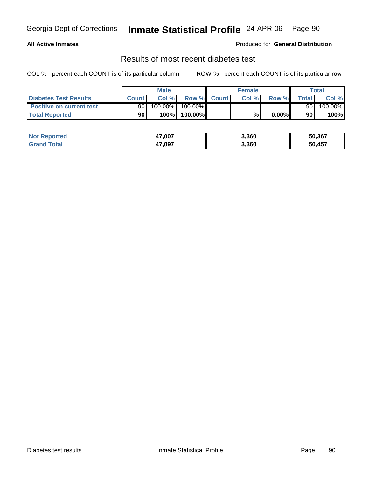### **All Active Inmates**

### Produced for **General Distribution**

### Results of most recent diabetes test

|                                 |              | <b>Male</b> |         |             | <b>Female</b> |          |              | Total   |
|---------------------------------|--------------|-------------|---------|-------------|---------------|----------|--------------|---------|
| Diabetes Test Results           | <b>Count</b> | Col %       |         | Row % Count | Col %         | Row %    | <b>Total</b> | Col %   |
| <b>Positive on current test</b> | 90           | $100.00\%$  | 100.00% |             |               |          | 90           | 100.00% |
| <b>Total Reported</b>           | 90           | 100%        | 100.00% |             | %             | $0.00\%$ | 90           | 100%    |

| <b>Not Reported</b>                                          | 47,007 | 3,360 | 50,367 |
|--------------------------------------------------------------|--------|-------|--------|
| Γotal<br>$\overline{\mathbf{G}}$ ran $\overline{\mathbf{G}}$ | 47,097 | 3,360 | 50,457 |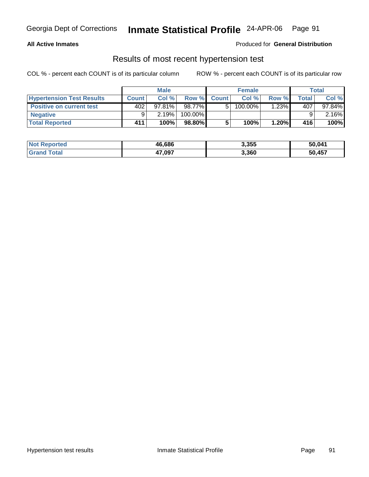### **All Active Inmates**

#### Produced for **General Distribution**

### Results of most recent hypertension test

|                                  |              | <b>Male</b> |           |             | <b>Female</b> |         |        | Total     |
|----------------------------------|--------------|-------------|-----------|-------------|---------------|---------|--------|-----------|
| <b>Hypertension Test Results</b> | <b>Count</b> | Col%        |           | Row % Count | Col%          | Row %   | Total, | Col %     |
| <b>Positive on current test</b>  | 402          | $97.81\%$   | 98.77%    | 51          | 100.00%       | $.23\%$ | 407    | $97.84\%$ |
| <b>Negative</b>                  |              | 2.19%       | 100.00%   |             |               |         |        | 2.16%     |
| <b>Total Reported</b>            | 411          | 100%        | $98.80\%$ |             | 100%          | 1.20%   | 416    | 100%      |

| <b>Not Reported</b> | 46,686 | 3,355 | 50,041 |
|---------------------|--------|-------|--------|
| <b>Grand Total</b>  | 47,097 | 3,360 | 50,457 |